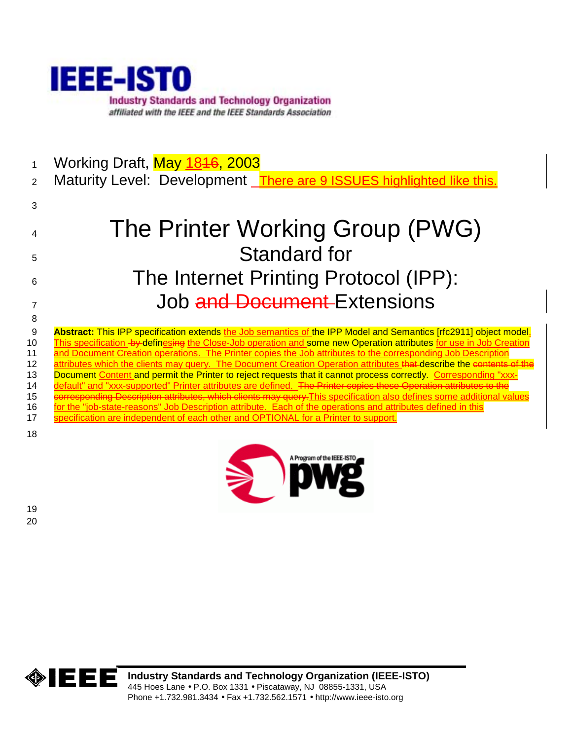

1 Working Draft, **May 1846, 2003** 

2 Maturity Level: Development There are 9 ISSUES highlighted like this.

# 4 The Printer Working Group (PWG) 5 Standard for 6 The Internet Printing Protocol (IPP): 7 Job and Document Extensions 8

9 **Abstract:** This IPP specification extends the Job semantics of the IPP Model and Semantics [rfc2911] object model. 10 This specification by definesing the Close-Job operation and some new Operation attributes for use in Job Creation 11 and Document Creation operations. The Printer copies the Job attributes to the corresponding Job Description 12 attributes which the clients may query. The Document Creation Operation attributes that describe the contents of the 13 Document Content and permit the Printer to reject requests that it cannot process correctly. Corresponding "xxx-14 default" and "xxx-supported" Printer attributes are defined. The Printer copies these Operation attributes to the 15 corresponding Description attributes, which clients may query. This specification also defines some additional values 16 for the "job-state-reasons" Job Description attribute. Each of the operations and attributes defined in this 17 specification are independent of each other and OPTIONAL for a Printer to support. 18



19 20

3



**Industry Standards and Technology Organization (IEEE-ISTO)**  445 Hoes Lane • P.O. Box 1331 • Piscataway, NJ 08855-1331, USA Phone +1.732.981.3434 • Fax +1.732.562.1571 • http://www.ieee-isto.org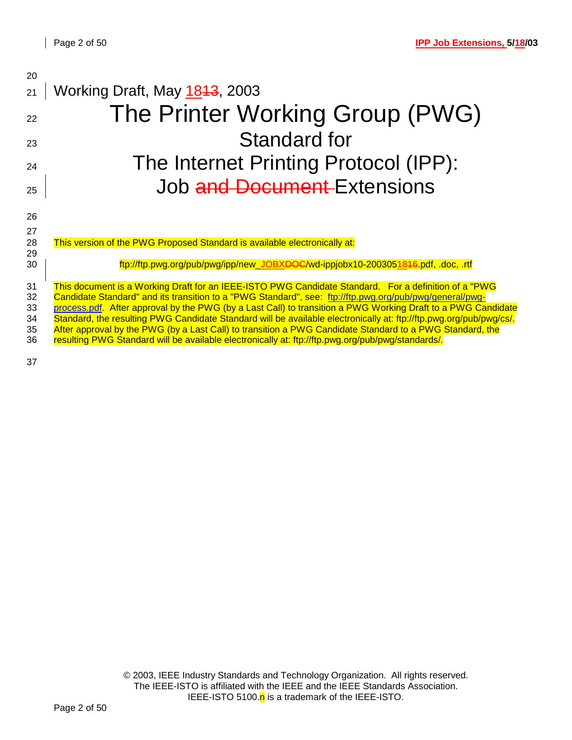| 20       |                                                                                                                                                                                                               |
|----------|---------------------------------------------------------------------------------------------------------------------------------------------------------------------------------------------------------------|
| 21       | Working Draft, May 1843, 2003                                                                                                                                                                                 |
| 22       | The Printer Working Group (PWG)                                                                                                                                                                               |
| 23       | <b>Standard for</b>                                                                                                                                                                                           |
| 24       | The Internet Printing Protocol (IPP):                                                                                                                                                                         |
| 25       | Job and Document-Extensions                                                                                                                                                                                   |
| 26       |                                                                                                                                                                                                               |
| 27       |                                                                                                                                                                                                               |
| 28       | This version of the PWG Proposed Standard is available electronically at:                                                                                                                                     |
| 29       |                                                                                                                                                                                                               |
| 30       | ftp://ftp.pwg.org/pub/pwg/ipp/new_JOBX <del>DOC</del> /wd-ippjobx10-2003051846.pdf,.doc,.rtf                                                                                                                  |
| 31       | This document is a Working Draft for an IEEE-ISTO PWG Candidate Standard. For a definition of a "PWG                                                                                                          |
| 32       | Candidate Standard" and its transition to a "PWG Standard", see: ftp://ftp.pwg.org/pub/pwg/general/pwg-                                                                                                       |
| 33       | process.pdf. After approval by the PWG (by a Last Call) to transition a PWG Working Draft to a PWG Candidate                                                                                                  |
| 34       | Standard, the resulting PWG Candidate Standard will be available electronically at: ftp://ftp.pwg.org/pub/pwg/cs/.                                                                                            |
| 35<br>36 | After approval by the PWG (by a Last Call) to transition a PWG Candidate Standard to a PWG Standard, the<br>resulting PWG Standard will be available electronically at: ftp://ftp.pwg.org/pub/pwg/standards/. |
|          |                                                                                                                                                                                                               |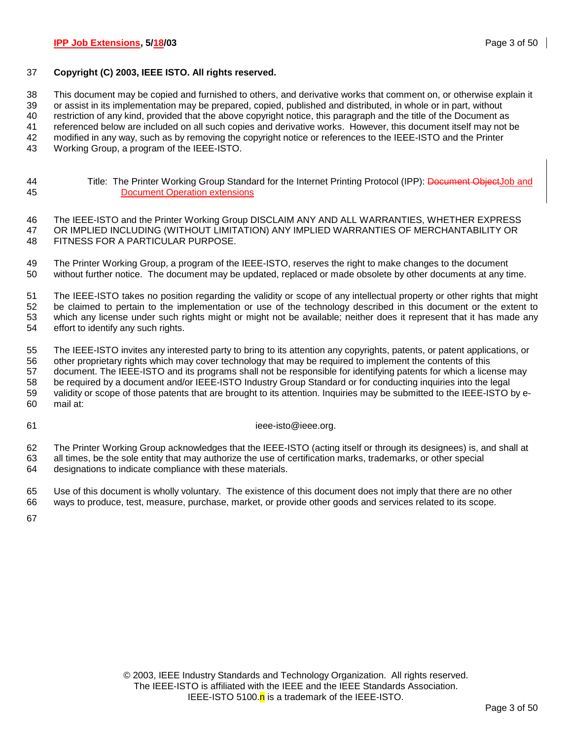### 37 **Copyright (C) 2003, IEEE ISTO. All rights reserved.**

38 This document may be copied and furnished to others, and derivative works that comment on, or otherwise explain it

39 or assist in its implementation may be prepared, copied, published and distributed, in whole or in part, without

40 restriction of any kind, provided that the above copyright notice, this paragraph and the title of the Document as

41 referenced below are included on all such copies and derivative works. However, this document itself may not be

42 modified in any way, such as by removing the copyright notice or references to the IEEE-ISTO and the Printer

43 Working Group, a program of the IEEE-ISTO.

44 Title: The Printer Working Group Standard for the Internet Printing Protocol (IPP): Document ObjectJob and 45 Document Operation extensions

46 The IEEE-ISTO and the Printer Working Group DISCLAIM ANY AND ALL WARRANTIES, WHETHER EXPRESS 47 OR IMPLIED INCLUDING (WITHOUT LIMITATION) ANY IMPLIED WARRANTIES OF MERCHANTABILITY OR 48 FITNESS FOR A PARTICULAR PURPOSE.

49 The Printer Working Group, a program of the IEEE-ISTO, reserves the right to make changes to the document 50 without further notice. The document may be updated, replaced or made obsolete by other documents at any time.

51 The IEEE-ISTO takes no position regarding the validity or scope of any intellectual property or other rights that might 52 be claimed to pertain to the implementation or use of the technology described in this document or the extent to 53 which any license under such rights might or might not be available; neither does it represent that it has made any 54 effort to identify any such rights.

55 The IEEE-ISTO invites any interested party to bring to its attention any copyrights, patents, or patent applications, or 56 other proprietary rights which may cover technology that may be required to implement the contents of this 57 document. The IEEE-ISTO and its programs shall not be responsible for identifying patents for which a license may 58 be required by a document and/or IEEE-ISTO Industry Group Standard or for conducting inquiries into the legal 59 validity or scope of those patents that are brought to its attention. Inquiries may be submitted to the IEEE-ISTO by e-60 mail at:

61 ieee-isto@ieee.org.

62 The Printer Working Group acknowledges that the IEEE-ISTO (acting itself or through its designees) is, and shall at 63 all times, be the sole entity that may authorize the use of certification marks, trademarks, or other special 64 designations to indicate compliance with these materials.

65 Use of this document is wholly voluntary. The existence of this document does not imply that there are no other 66 ways to produce, test, measure, purchase, market, or provide other goods and services related to its scope.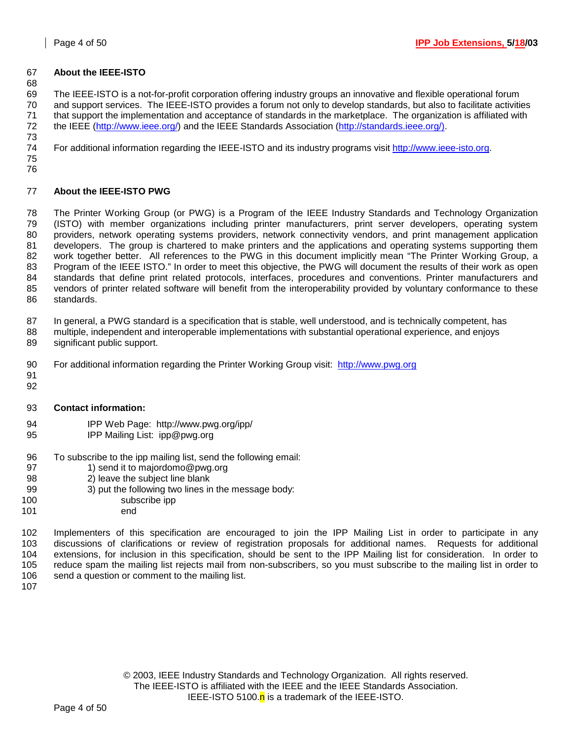### 67 **About the IEEE-ISTO**

68

69 The IEEE-ISTO is a not-for-profit corporation offering industry groups an innovative and flexible operational forum 70 and support services. The IEEE-ISTO provides a forum not only to develop standards, but also to facilitate activities 71 that support the implementation and acceptance of standards in the marketplace. The organization is affiliated with 72 the IEEE (http://www.ieee.org/) and the IEEE Standards Association (http://standards.ieee.org/). 73

74 For additional information regarding the IEEE-ISTO and its industry programs visit http://www.ieee-isto.org.

75 76

# 77 **About the IEEE-ISTO PWG**

78 The Printer Working Group (or PWG) is a Program of the IEEE Industry Standards and Technology Organization 79 (ISTO) with member organizations including printer manufacturers, print server developers, operating system 80 providers, network operating systems providers, network connectivity vendors, and print management application 81 developers. The group is chartered to make printers and the applications and operating systems supporting them 82 work together better. All references to the PWG in this document implicitly mean "The Printer Working Group, a 83 Program of the IEEE ISTO." In order to meet this objective, the PWG will document the results of their work as open 84 standards that define print related protocols, interfaces, procedures and conventions. Printer manufacturers and 85 vendors of printer related software will benefit from the interoperability provided by voluntary conformance to these 86 standards.

87 In general, a PWG standard is a specification that is stable, well understood, and is technically competent, has

- 88 multiple, independent and interoperable implementations with substantial operational experience, and enjoys 89 significant public support.
- 90 For additional information regarding the Printer Working Group visit: http://www.pwg.org
- 91 92
- 93 **Contact information:**
- 94 IPP Web Page: http://www.pwg.org/ipp/
- 95 IPP Mailing List: ipp@pwg.org
- 96 To subscribe to the ipp mailing list, send the following email:<br>97 1) send it to majordomo@pwg.org
- 1) send it to majordomo@pwg.org
- 98 2) leave the subject line blank
- 99 3) put the following two lines in the message body:
- 100 subscribe ipp
- 101 end

102 Implementers of this specification are encouraged to join the IPP Mailing List in order to participate in any 103 discussions of clarifications or review of registration proposals for additional names. Requests for additional 104 extensions, for inclusion in this specification, should be sent to the IPP Mailing list for consideration. In order to 105 reduce spam the mailing list rejects mail from non-subscribers, so you must subscribe to the mailing list in order to 106 send a question or comment to the mailing list.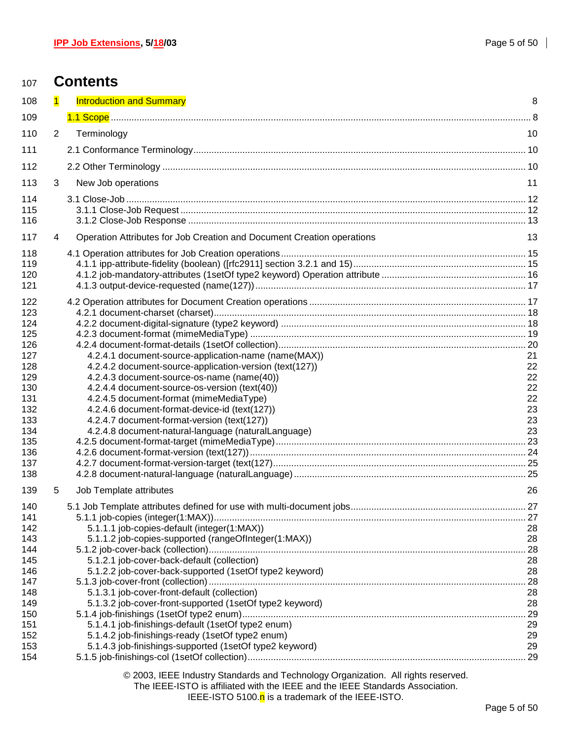| 107        |                         | <b>Contents</b>                                                        |    |
|------------|-------------------------|------------------------------------------------------------------------|----|
| 108        | $\overline{\mathbf{1}}$ | <b>Introduction and Summary</b>                                        | 8  |
| 109        |                         |                                                                        |    |
| 110        | $\overline{2}$          | Terminology                                                            | 10 |
| 111        |                         |                                                                        |    |
|            |                         |                                                                        |    |
| 112        |                         |                                                                        |    |
| 113        | 3                       | New Job operations                                                     | 11 |
| 114        |                         |                                                                        |    |
| 115        |                         |                                                                        |    |
| 116        |                         |                                                                        |    |
| 117        | 4                       | Operation Attributes for Job Creation and Document Creation operations | 13 |
| 118        |                         |                                                                        |    |
| 119        |                         |                                                                        |    |
| 120        |                         |                                                                        |    |
| 121        |                         |                                                                        |    |
| 122        |                         |                                                                        |    |
| 123        |                         |                                                                        |    |
| 124        |                         |                                                                        |    |
| 125        |                         |                                                                        |    |
| 126        |                         |                                                                        |    |
| 127        |                         | 4.2.4.1 document-source-application-name (name(MAX))                   | 21 |
| 128        |                         | 4.2.4.2 document-source-application-version (text(127))                | 22 |
| 129        |                         | 4.2.4.3 document-source-os-name (name(40))                             | 22 |
| 130        |                         | 4.2.4.4 document-source-os-version (text(40))                          | 22 |
| 131        |                         | 4.2.4.5 document-format (mimeMediaType)                                | 22 |
| 132        |                         | 4.2.4.6 document-format-device-id (text(127))                          | 23 |
| 133        |                         | 4.2.4.7 document-format-version (text(127))                            | 23 |
| 134        |                         | 4.2.4.8 document-natural-language (naturalLanguage)                    | 23 |
| 135        |                         |                                                                        |    |
| 136<br>137 |                         |                                                                        |    |
| 138        |                         |                                                                        |    |
|            |                         |                                                                        |    |
| 139        | 5                       | Job Template attributes                                                | 26 |
| 140<br>141 |                         |                                                                        |    |
| 142        |                         | 5.1.1.1 job-copies-default (integer(1:MAX))                            | 28 |
| 143        |                         | 5.1.1.2 job-copies-supported (rangeOfInteger(1:MAX))                   | 28 |
| 144        |                         |                                                                        |    |
| 145        |                         | 5.1.2.1 job-cover-back-default (collection)                            | 28 |
| 146        |                         | 5.1.2.2 job-cover-back-supported (1setOf type2 keyword)                | 28 |
| 147        |                         |                                                                        |    |
| 148        |                         | 5.1.3.1 job-cover-front-default (collection)                           | 28 |
| 149        |                         | 5.1.3.2 job-cover-front-supported (1setOf type2 keyword)               | 28 |
| 150        |                         |                                                                        |    |
| 151        |                         | 5.1.4.1 job-finishings-default (1setOf type2 enum)                     | 29 |
| 152        |                         | 5.1.4.2 job-finishings-ready (1setOf type2 enum)                       | 29 |
| 153        |                         | 5.1.4.3 job-finishings-supported (1setOf type2 keyword)                | 29 |
| 154        |                         |                                                                        |    |

© 2003, IEEE Industry Standards and Technology Organization. All rights reserved.

The IEEE-ISTO is affiliated with the IEEE and the IEEE Standards Association. IEEE-ISTO 5100. $n$  is a trademark of the IEEE-ISTO.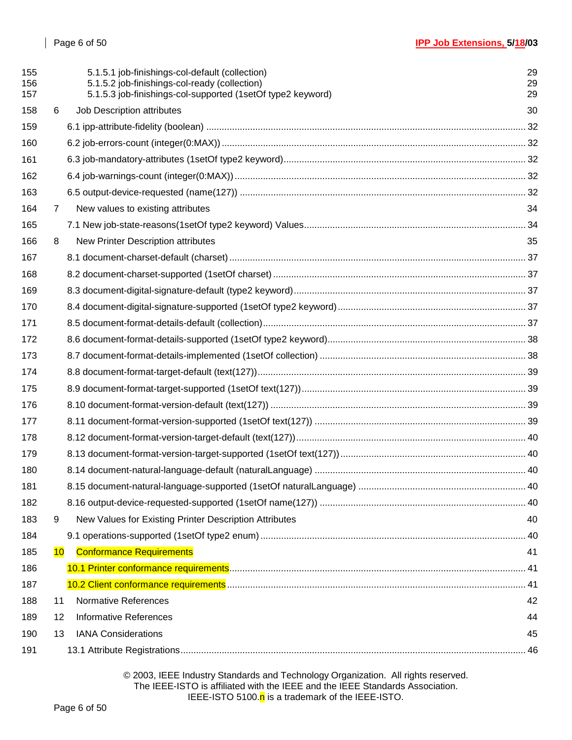| 155<br>156<br>157 |                | 5.1.5.1 job-finishings-col-default (collection)<br>5.1.5.2 job-finishings-col-ready (collection)<br>5.1.5.3 job-finishings-col-supported (1setOf type2 keyword) | 29<br>29<br>29 |
|-------------------|----------------|-----------------------------------------------------------------------------------------------------------------------------------------------------------------|----------------|
| 158               | 6              | Job Description attributes                                                                                                                                      | 30             |
| 159               |                |                                                                                                                                                                 |                |
| 160               |                |                                                                                                                                                                 |                |
| 161               |                |                                                                                                                                                                 |                |
| 162               |                |                                                                                                                                                                 |                |
| 163               |                |                                                                                                                                                                 |                |
| 164               | $\overline{7}$ | New values to existing attributes                                                                                                                               | 34             |
| 165               |                |                                                                                                                                                                 |                |
| 166               | 8              | New Printer Description attributes                                                                                                                              | 35             |
| 167               |                |                                                                                                                                                                 |                |
| 168               |                |                                                                                                                                                                 |                |
| 169               |                |                                                                                                                                                                 |                |
| 170               |                |                                                                                                                                                                 |                |
| 171               |                |                                                                                                                                                                 |                |
| 172               |                |                                                                                                                                                                 |                |
| 173               |                |                                                                                                                                                                 |                |
| 174               |                |                                                                                                                                                                 |                |
| 175               |                |                                                                                                                                                                 |                |
| 176               |                |                                                                                                                                                                 |                |
| 177               |                |                                                                                                                                                                 |                |
| 178               |                |                                                                                                                                                                 |                |
| 179               |                |                                                                                                                                                                 |                |
| 180               |                |                                                                                                                                                                 |                |
| 181               |                |                                                                                                                                                                 |                |
| 182               |                |                                                                                                                                                                 |                |
| 183               | 9              | New Values for Existing Printer Description Attributes                                                                                                          | 40             |
| 184               |                |                                                                                                                                                                 |                |
| 185               | 10             | <b>Conformance Requirements</b>                                                                                                                                 | 41             |
| 186               |                |                                                                                                                                                                 |                |
| 187               |                |                                                                                                                                                                 |                |
| 188               | 11             | <b>Normative References</b>                                                                                                                                     | 42             |
| 189               | 12             | <b>Informative References</b>                                                                                                                                   | 44             |
| 190               | 13             | <b>IANA Considerations</b>                                                                                                                                      | 45             |
| 191               |                |                                                                                                                                                                 |                |

© 2003, IEEE Industry Standards and Technology Organization. All rights reserved. The IEEE-ISTO is affiliated with the IEEE and the IEEE Standards Association. IEEE-ISTO 5100.<sup>n</sup> is a trademark of the IEEE-ISTO.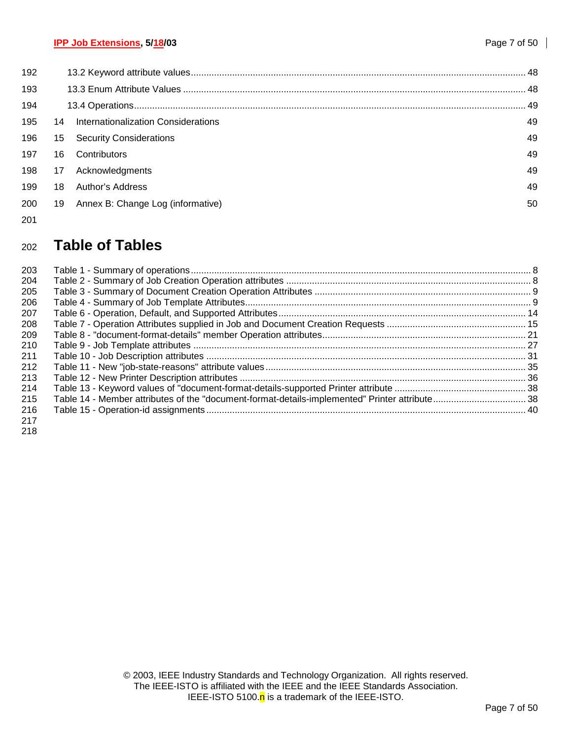| 192 |    |                                     |     |
|-----|----|-------------------------------------|-----|
| 193 |    |                                     |     |
| 194 |    |                                     | .49 |
| 195 | 14 | Internationalization Considerations | 49  |
| 196 | 15 | <b>Security Considerations</b>      | 49  |
| 197 | 16 | Contributors                        | 49  |
| 198 | 17 | Acknowledgments                     | 49  |
| 199 | 18 | Author's Address                    | 49  |
| 200 | 19 | Annex B: Change Log (informative)   | 50  |
| 201 |    |                                     |     |

# <sup>202</sup>**Table of Tables**

| 203 |                                                                                               |  |
|-----|-----------------------------------------------------------------------------------------------|--|
| 204 |                                                                                               |  |
| 205 |                                                                                               |  |
| 206 |                                                                                               |  |
| 207 |                                                                                               |  |
| 208 |                                                                                               |  |
| 209 |                                                                                               |  |
| 210 |                                                                                               |  |
| 211 |                                                                                               |  |
| 212 |                                                                                               |  |
| 213 |                                                                                               |  |
| 214 |                                                                                               |  |
| 215 | Table 14 - Member attributes of the "document-format-details-implemented" Printer attribute38 |  |
| 216 |                                                                                               |  |
| 217 |                                                                                               |  |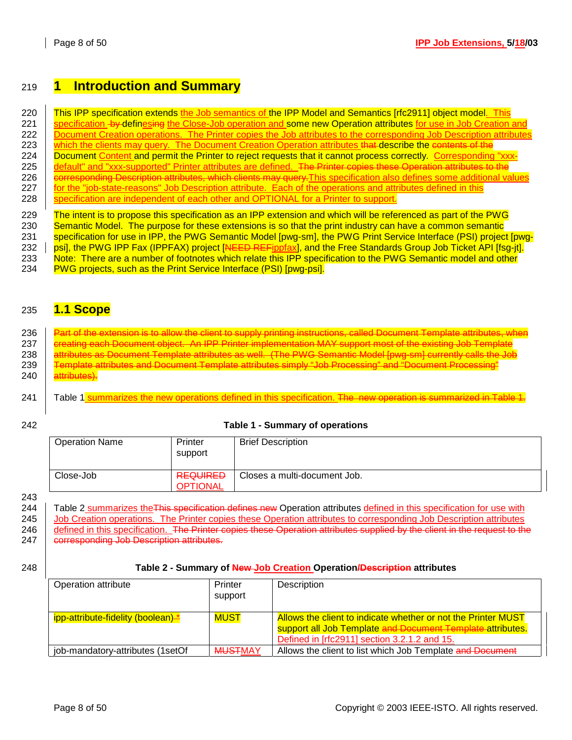# 219 **1 Introduction and Summary**

220 This IPP specification extends the Job semantics of the IPP Model and Semantics [rfc2911] object model. This 221 Specification by definesing the Close-Job operation and some new Operation attributes for use in Job Creation and 222 | Document Creation operations. The Printer copies the Job attributes to the corresponding Job Description attributes 223 which the clients may query. The Document Creation Operation attributes that describe the contents of the 224 | Document Content and permit the Printer to reject requests that it cannot process correctly. Corresponding "xxx-225 default" and "xxx-supported" Printer attributes are defined. The Printer copies these Operation attributes to the 226 **corresponding Description attributes, which clients may query. This specification also defines some additional values** 227 for the "job-state-reasons" Job Description attribute. Each of the operations and attributes defined in this 228  $\frac{1}{28}$  specification are independent of each other and OPTIONAL for a Printer to support. 229 The intent is to propose this specification as an IPP extension and which will be referenced as part of the PWG 230 Semantic Model. The purpose for these extensions is so that the print industry can have a common semantic

231 specification for use in IPP, the PWG Semantic Model [pwg-sm], the PWG Print Service Interface (PSI) project [pwg-232 | psi], the PWG IPP Fax (IPPFAX) project [NEED REFippfax], and the Free Standards Group Job Ticket API [fsg-jt]. 233 Note: There are a number of footnotes which relate this IPP specification to the PWG Semantic model and other

234 PWG projects, such as the Print Service Interface (PSI) [pwg-psi].

# 235 **1.1 Scope**

### 236 | Part of the extension is to allow the client to supply printing instructions, called Document Template attributes, wher 237  $\parallel$  ereating each Document object. An IPP Printer implementation MAY support most of the existing Job Template<br>238  $\parallel$  attributes as Document Template attributes as well. (The PWG Semantic Model [pwg-sm] currently ca attributes as Document Template attributes as well. (The PWG Semantic Model [pwg-sm] currently calls the Job 239 Template attributes and Document Template attributes simply "Job Processing" and "Document Processing" 240 **attributes**).

- 241 Table 1 summarizes the new operations defined in this specification. The new operation is summarized in Table
- 

#### 242 **Table 1 - Summary of operations**

| <b>Operation Name</b> | Printer<br>support                 | <b>Brief Description</b>     |
|-----------------------|------------------------------------|------------------------------|
| Close-Job             | <b>REQUIRED</b><br><b>OPTIONAL</b> | Closes a multi-document Job. |

243

244 Table 2 summarizes the This specification defines new Operation attributes defined in this specification for use with 245 | Job Creation operations. The Printer copies these Operation attributes to corresponding Job Description attributes 246 | defined in this specification. The Printer copies these Operation attributes supplied by the client in the request to the 247 | corresponding Job Description attributes.

### 248 **Table 2 - Summary of New Job Creation Operation/Description attributes**

| Operation attribute                           | Printer<br>support | Description                                                                                                                                                                 |
|-----------------------------------------------|--------------------|-----------------------------------------------------------------------------------------------------------------------------------------------------------------------------|
| ipp-attribute-fidelity (boolean) <sup>*</sup> | <b>MUST</b>        | Allows the client to indicate whether or not the Printer MUST<br>support all Job Template and Document Template attributes.<br>Defined in [rfc2911] section 3.2.1.2 and 15. |
| job-mandatory-attributes (1setOf              | <b>MUSTMAY</b>     | Allows the client to list which Job Template and Document                                                                                                                   |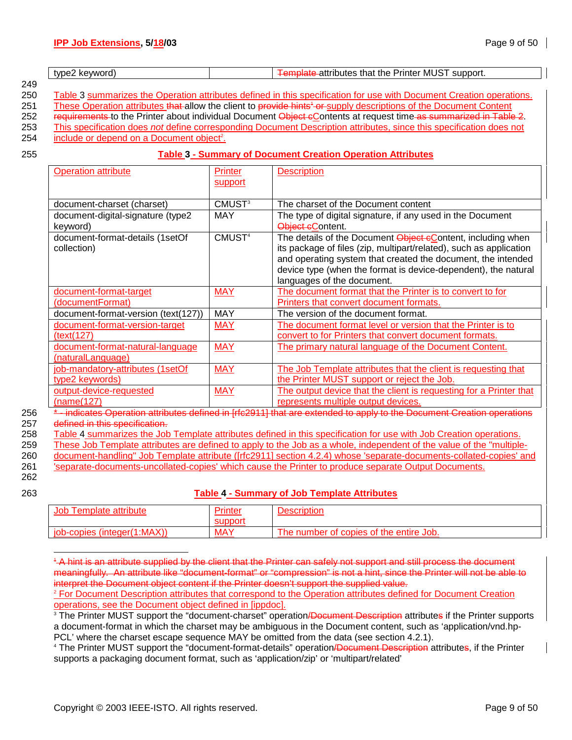|     | t\/l | - -<br>Printer<br>----<br>ne<br>IVIL<br>пa<br><b>JL.</b> |
|-----|------|----------------------------------------------------------|
| 249 |      |                                                          |

250 Table 3 summarizes the Operation attributes defined in this specification for use with Document Creation operations.

251 These Operation attributes that allow the client to provide hints<sup>+</sup> or supply descriptions of the Document Content

252 requirements to the Printer about individual Document Object cContents at request time as summarized in Table 2.

253 This specification does *not* define corresponding Document Description attributes, since this specification does not 254 include or depend on a Document object<sup>2</sup>.

### 255 **Table 3 - Summary of Document Creation Operation Attributes**

| <b>Operation attribute</b>                                                                                           | <b>Printer</b>     | <b>Description</b>                                                                                                 |  |  |
|----------------------------------------------------------------------------------------------------------------------|--------------------|--------------------------------------------------------------------------------------------------------------------|--|--|
|                                                                                                                      | support            |                                                                                                                    |  |  |
|                                                                                                                      |                    |                                                                                                                    |  |  |
| document-charset (charset)                                                                                           | CMUST <sup>3</sup> | The charset of the Document content                                                                                |  |  |
| document-digital-signature (type2                                                                                    | MAY                | The type of digital signature, if any used in the Document                                                         |  |  |
| keyword)                                                                                                             |                    | Object eContent.                                                                                                   |  |  |
| document-format-details (1setOf                                                                                      | CMUST <sup>4</sup> | The details of the Document <b>Object cContent</b> , including when                                                |  |  |
| collection)                                                                                                          |                    | its package of files (zip, multipart/related), such as application                                                 |  |  |
|                                                                                                                      |                    | and operating system that created the document, the intended                                                       |  |  |
|                                                                                                                      |                    | device type (when the format is device-dependent), the natural                                                     |  |  |
|                                                                                                                      |                    | languages of the document.                                                                                         |  |  |
| document-format-target                                                                                               | <b>MAY</b>         | The document format that the Printer is to convert to for                                                          |  |  |
| (documentFormat)                                                                                                     |                    | Printers that convert document formats.                                                                            |  |  |
| document-format-version (text(127))                                                                                  | <b>MAY</b>         | The version of the document format.                                                                                |  |  |
| document-format-version-target                                                                                       | <b>MAY</b>         | The document format level or version that the Printer is to                                                        |  |  |
| (text(127)                                                                                                           |                    | convert to for Printers that convert document formats.                                                             |  |  |
| document-format-natural-language                                                                                     | <b>MAY</b>         | The primary natural language of the Document Content.                                                              |  |  |
| (naturalLanguage)                                                                                                    |                    |                                                                                                                    |  |  |
| job-mandatory-attributes (1setOf                                                                                     | <b>MAY</b>         | The Job Template attributes that the client is requesting that                                                     |  |  |
| type2 keywords)                                                                                                      |                    | the Printer MUST support or reject the Job.                                                                        |  |  |
| output-device-requested                                                                                              | <b>MAY</b>         | The output device that the client is requesting for a Printer that                                                 |  |  |
| (name(127)                                                                                                           |                    | represents multiple output devices.                                                                                |  |  |
|                                                                                                                      |                    | indicates Operation attributes defined in [rfc2911] that are extended to apply to the Document Creation operations |  |  |
| defined in this specification.                                                                                       |                    |                                                                                                                    |  |  |
| Table 4 summarizes the Job Template attributes defined in this specification for use with Job Creation operations.   |                    |                                                                                                                    |  |  |
| These Job Template attributes are defined to apply to the Job as a whole, independent of the value of the "multiple- |                    |                                                                                                                    |  |  |
|                                                                                                                      |                    | document-handling" Job Template attribute ([rfc2911] section 4.2.4) whose 'separate-documents-collated-copies' and |  |  |
| 'separate-documents-uncollated-copies' which cause the Printer to produce separate Output Documents.                 |                    |                                                                                                                    |  |  |

262

l

### 263 **Table 4 - Summary of Job Template Attributes**

| JOD<br>emplate                  | nnter      | اعقور<br>SCHDHOL                                               |
|---------------------------------|------------|----------------------------------------------------------------|
| :MAX<br>job-copies<br>(integer( | <b>MAY</b> | <sup>t</sup> copies of the entire Job.<br>number<br>.ot<br>ne. |

1 A hint is an attribute supplied by the client that the Printer can safely not support and still process the document meaningfully. An attribute like "document-format" or "compression" is not a hint, since the Printer will not be able to interpret the Document object content if the Printer doesn't support the supplied value.

<sup>4</sup> The Printer MUST support the "document-format-details" operation<del>/Document Description</del> attributes, if the Printer supports a packaging document format, such as 'application/zip' or 'multipart/related'

<sup>&</sup>lt;sup>2</sup> For Document Description attributes that correspond to the Operation attributes defined for Document Creation operations, see the Document object defined in [ippdoc].

<sup>&</sup>lt;sup>3</sup> The Printer MUST support the "document-charset" operation<del>/Document Description</del> attributes if the Printer supports a document-format in which the charset may be ambiguous in the Document content, such as 'application/vnd.hp-PCL' where the charset escape sequence MAY be omitted from the data (see section 4.2.1).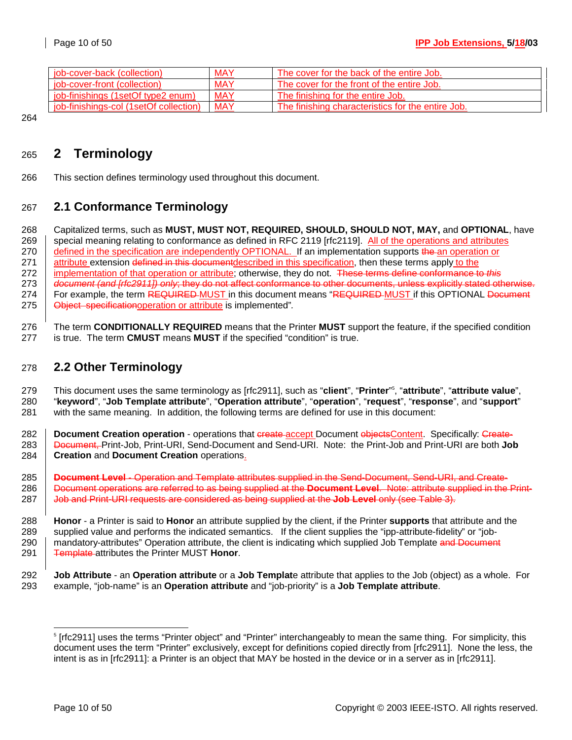| job-cover-back (collection)            | <b>MAY</b> | The cover for the back of the entire Job.         |
|----------------------------------------|------------|---------------------------------------------------|
| job-cover-front (collection)           | <b>MAY</b> | The cover for the front of the entire Job.        |
| job-finishings (1setOf type2 enum)     | <b>MAY</b> | The finishing for the entire Job.                 |
| job-finishings-col (1setOf collection) | <b>MAY</b> | The finishing characteristics for the entire Job. |

264

# 265 **2 Terminology**

266 This section defines terminology used throughout this document.

# 267 **2.1 Conformance Terminology**

268 Capitalized terms, such as **MUST, MUST NOT, REQUIRED, SHOULD, SHOULD NOT, MAY,** and **OPTIONAL**, have 269 special meaning relating to conformance as defined in RFC 2119 [rfc2119]. All of the operations and attributes 270 defined in the specification are independently OPTIONAL. If an implementation supports the an operation or 271 **attribute extension defined in this document** described in this specification, then these terms apply to the 272 | implementation of that operation or attribute; otherwise, they do not. These terms define conformance to this 273 *document (and [rfc2911]) only*; they do not affect conformance to other documents, unless explicitly stated otherwise. 274 For example, the term REQUIRED MUST in this document means "REQUIRED MUST if this OPTIONAL Document 275 Object specificationoperation or attribute is implemented"*.* 

276 The term **CONDITIONALLY REQUIRED** means that the Printer **MUST** support the feature, if the specified condition 277 is true. The term **CMUST** means **MUST** if the specified "condition" is true.

# 278 **2.2 Other Terminology**

This document uses the same terminology as [rfc2911], such as "**client**", "**Printer**" <sup>5</sup> 279 , "**attribute**", "**attribute value**", 280 "**keyword**", "**Job Template attribute**", "**Operation attribute**", "**operation**", "**request**", "**response**", and "**support**" 281 with the same meaning. In addition, the following terms are defined for use in this document:

282 **Document Creation operation** - operations that create accept Document objects Content. Specifically: Create-283 Document, Print-Job, Print-URI, Send-Document and Send-URI. Note: the Print-Job and Print-URI are both **Job**  284 **Creation** and **Document Creation** operations.

285 **Document Level** - Operation and Template attributes supplied in the Send-Document, Send-URI, and Create-286 Document operations are referred to as being supplied at the **Document Level**. Note: attribute supplied in the Print-287 Job and Print-URI requests are considered as being supplied at the **Job Level** only (see Table 3).

288 **Honor** - a Printer is said to **Honor** an attribute supplied by the client, if the Printer **supports** that attribute and the 289 supplied value and performs the indicated semantics. If the client supplies the "ipp-attribute-fidelity" or "job-290 mandatory-attributes" Operation attribute, the client is indicating which supplied Job Template and Document 291 Template attributes the Printer MUST **Honor**.

l

<sup>292</sup> **Job Attribute** - an **Operation attribute** or a **Job Templat**e attribute that applies to the Job (object) as a whole. For 293 example, "job-name" is an **Operation attribute** and "job-priority" is a **Job Template attribute**.

<sup>5</sup> [rfc2911] uses the terms "Printer object" and "Printer" interchangeably to mean the same thing. For simplicity, this document uses the term "Printer" exclusively, except for definitions copied directly from [rfc2911]. None the less, the intent is as in [rfc2911]: a Printer is an object that MAY be hosted in the device or in a server as in [rfc2911].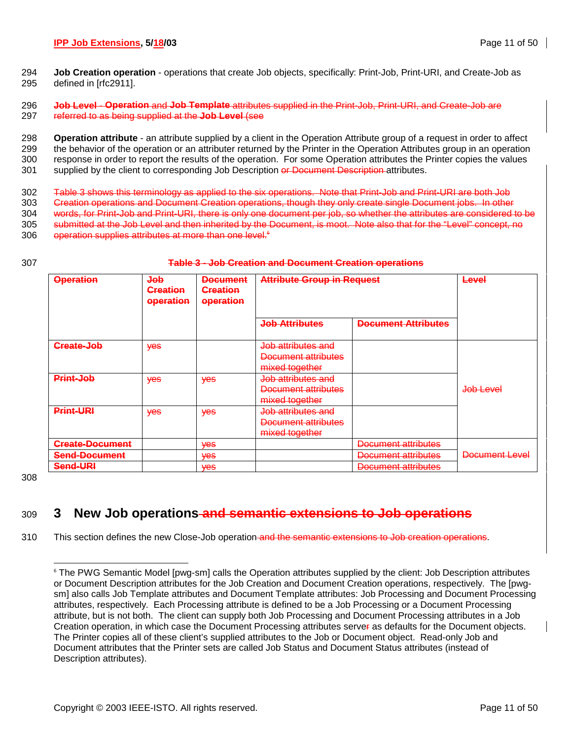294 **Job Creation operation** - operations that create Job objects, specifically: Print-Job, Print-URI, and Create-Job as 295 defined in [rfc2911].

296 **Job Level** - **Operation** and **Job Template** attributes supplied in the Print-Job, Print-URI, and Create-Job are 297 referred to as being supplied at the **Job Level** (see

298 **Operation attribute** - an attribute supplied by a client in the Operation Attribute group of a request in order to affect 299 the behavior of the operation or an attributer returned by the Printer in the Operation Attributes group in an operation 300 response in order to report the results of the operation. For some Operation attributes the Printer copies the values 301 supplied by the client to corresponding Job Description or Document Description attributes.

302 Table 3 shows this terminology as applied to the six operations. Note that Print-Job and Print-URI are both Job 303 Creation operations and Document Creation operations, though they only create single Document jobs. In other 304 words, for Print-Job and Print-URI, there is only one document per job, so whether the attributes are considered to be 305 submitted at the Job Level and then inherited by the Document, is moot. Note also that for the "Level" concept, no 306 operation supplies attributes at more than one level.<sup>6</sup>

#### 307 **Table 3 - Job Creation and Document Creation operations**

| <b>Operation</b>                               | dob<br><b>Creation</b><br>operation | <b>Document</b><br><b>Creation</b><br>operation | <b>Attribute Group in Request</b>                                      |                                            | <b>Level</b>         |
|------------------------------------------------|-------------------------------------|-------------------------------------------------|------------------------------------------------------------------------|--------------------------------------------|----------------------|
|                                                |                                     |                                                 | <b>Job Attributes</b>                                                  | <b>Document Attributes</b>                 |                      |
| Create-Job                                     | <b>yes</b>                          |                                                 | Job attributes and<br>Document attributes<br>mixed together            |                                            |                      |
| Print-Job                                      | <b>Yes</b>                          | <b>Yes</b>                                      | Job attributes and<br>Document attributes<br>mixed together            |                                            | <del>Job Level</del> |
| <b>Print-URI</b>                               | <b>yes</b>                          | <b>Yes</b>                                      | <del>Job attributes and</del><br>Document attributes<br>mixed together |                                            |                      |
| <b>Create-Document</b><br><b>Send-Document</b> |                                     | <b>Ves</b><br><b>Yes</b>                        |                                                                        | Document attributes<br>Document attributes | Document Level       |
| Send-URI                                       |                                     | <b>Ves</b>                                      |                                                                        | Document attributes                        |                      |

308

# 309 **3 New Job operations and semantic extensions to Job operations**

310 This section defines the new Close-Job operation and the semantic extensions to Job creation operations.

l 6 The PWG Semantic Model [pwg-sm] calls the Operation attributes supplied by the client: Job Description attributes or Document Description attributes for the Job Creation and Document Creation operations, respectively. The [pwgsm] also calls Job Template attributes and Document Template attributes: Job Processing and Document Processing attributes, respectively. Each Processing attribute is defined to be a Job Processing or a Document Processing attribute, but is not both. The client can supply both Job Processing and Document Processing attributes in a Job Creation operation, in which case the Document Processing attributes server as defaults for the Document objects. The Printer copies all of these client's supplied attributes to the Job or Document object. Read-only Job and Document attributes that the Printer sets are called Job Status and Document Status attributes (instead of Description attributes).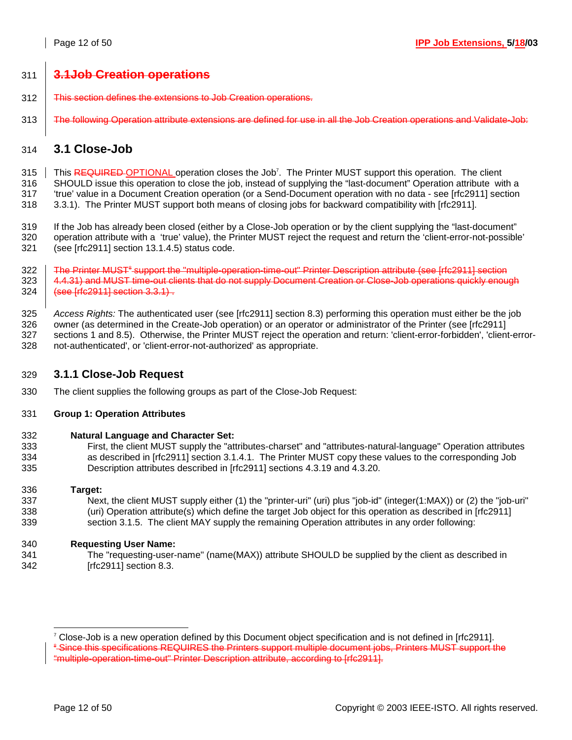# 311 **3.1Job Creation operations**

- 312 This section defines the extensions to Job Creation operations.
- 313 The following Operation attribute extensions are defined for use in all the Job Creation operations and Validate-Job:

# 314 **3.1 Close-Job**

315 This REQUIRED OPTIONAL operation closes the Job<sup>7</sup>. The Printer MUST support this operation. The client

316 SHOULD issue this operation to close the job, instead of supplying the "last-document" Operation attribute with a

317 'true' value in a Document Creation operation (or a Send-Document operation with no data - see [rfc2911] section 318 3.3.1). The Printer MUST support both means of closing jobs for backward compatibility with [rfc2911].

319 If the Job has already been closed (either by a Close-Job operation or by the client supplying the "last-document" 320 operation attribute with a 'true' value), the Printer MUST reject the request and return the 'client-error-not-possible' 321 (see [rfc2911] section 13.1.4.5) status code.

322 Fine Printer MUST<sup>s</sup> support the "multiple-operation-time-out" Printer Description attribute (see [rfc2911] section 323  $\frac{1}{4.4.31}$  and MUST time-out clients that do not supply Document Creation or Close-Job operations quickly enough 324 (see [rfc2911] section 3.3.1).

325 *Access Rights:* The authenticated user (see [rfc2911] section 8.3) performing this operation must either be the job 326 owner (as determined in the Create-Job operation) or an operator or administrator of the Printer (see [rfc2911] 327 sections 1 and 8.5). Otherwise, the Printer MUST reject the operation and return: 'client-error-forbidden', 'client-error-328 not-authenticated', or 'client-error-not-authorized' as appropriate.

### 329 **3.1.1 Close-Job Request**

330 The client supplies the following groups as part of the Close-Job Request:

### 331 **Group 1: Operation Attributes**

### 332 **Natural Language and Character Set:**

333 First, the client MUST supply the "attributes-charset" and "attributes-natural-language" Operation attributes 334 as described in [rfc2911] section 3.1.4.1. The Printer MUST copy these values to the corresponding Job 335 Description attributes described in [rfc2911] sections 4.3.19 and 4.3.20.

### 336 **Target:**

l

337 Next, the client MUST supply either (1) the "printer-uri" (uri) plus "job-id" (integer(1:MAX)) or (2) the "job-uri" 338 (uri) Operation attribute(s) which define the target Job object for this operation as described in [rfc2911] 339 section 3.1.5. The client MAY supply the remaining Operation attributes in any order following:

### 340 **Requesting User Name:**

341 The "requesting-user-name" (name(MAX)) attribute SHOULD be supplied by the client as described in 342 [rfc2911] section 8.3.

<sup>7</sup> Close-Job is a new operation defined by this Document object specification and is not defined in [rfc2911].  $\textsuperscript{a}-$  Since this specifications REQUIRES the Printers support multiple document jobs, Printers MUST support the  $\textsuperscript{a}-$ "multiple-operation-time-out" Printer Description attribute, according to [rfc2911].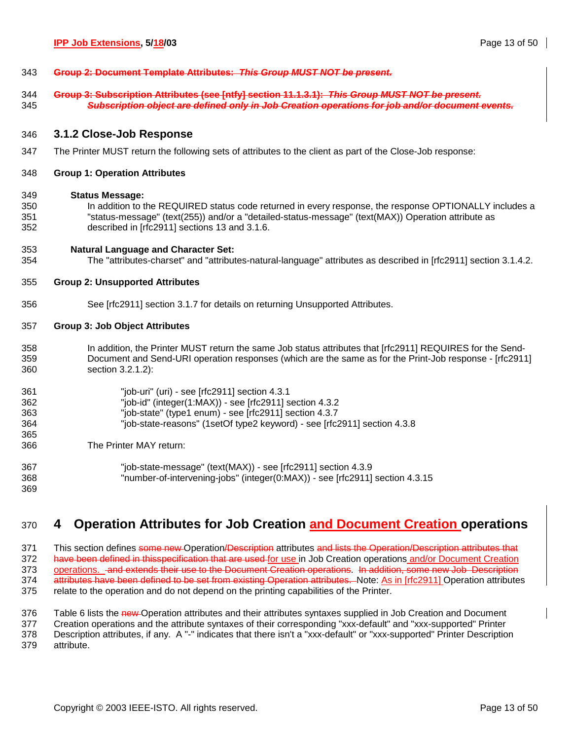| 343 | <u> Group 2: Document Template Attributes: This Group MIIST NOT be present</u> |
|-----|--------------------------------------------------------------------------------|
|     | <u>oroup z. Document Template Attributes. This oroup most not be present.</u>  |

344 **Group 3: Subscription Attributes (see [ntfy] section 11.1.3.1):** *This Group MUST NOT be present.*  345 *Subscription object are defined only in Job Creation operations for job and/or document events.*

### 346 **3.1.2 Close-Job Response**

- 347 The Printer MUST return the following sets of attributes to the client as part of the Close-Job response:
- 348 **Group 1: Operation Attributes**

#### 349 **Status Message:**

350 In addition to the REQUIRED status code returned in every response, the response OPTIONALLY includes a 351 "status-message" (text(255)) and/or a "detailed-status-message" (text(MAX)) Operation attribute as 352 described in [rfc2911] sections 13 and 3.1.6.

### 353 **Natural Language and Character Set:**

354 The "attributes-charset" and "attributes-natural-language" attributes as described in [rfc2911] section 3.1.4.2.

### 355 **Group 2: Unsupported Attributes**

356 See [rfc2911] section 3.1.7 for details on returning Unsupported Attributes.

### 357 **Group 3: Job Object Attributes**

358 In addition, the Printer MUST return the same Job status attributes that [rfc2911] REQUIRES for the Send-359 Document and Send-URI operation responses (which are the same as for the Print-Job response - [rfc2911] 360 section 3.2.1.2):

| 361 | "job-uri" (uri) - see [rfc2911] section $4.3.1$                              |
|-----|------------------------------------------------------------------------------|
| 362 | "job-id" (integer(1:MAX)) - see [rfc2911] section $4.3.2$                    |
| 363 | "job-state" (type1 enum) - see [rfc2911] section 4.3.7                       |
| 364 | "job-state-reasons" (1setOf type2 keyword) - see [rfc2911] section 4.3.8     |
| 365 |                                                                              |
| 366 | The Printer MAY return:                                                      |
| 367 | "job-state-message" (text(MAX)) - see [rfc2911] section $4.3.9$              |
| 368 | "number-of-intervening-jobs" (integer(0:MAX)) - see [rfc2911] section 4.3.15 |

# 370 **4 Operation Attributes for Job Creation and Document Creation operations**

371 This section defines some new Operation/Description attributes and lists the Operation/Description attributes that 372 have been defined in thisspecification that are used for use in Job Creation operations and/or Document Creation 373 operations. And extends their use to the Document Creation operations. In addition, some new Job Description 374 attributes have been defined to be set from existing Operation attributes. Note: As in [rfc2911] Operation attributes 375 relate to the operation and do not depend on the printing capabilities of the Printer.

376 Table 6 lists the new Operation attributes and their attributes syntaxes supplied in Job Creation and Document

377 Creation operations and the attribute syntaxes of their corresponding "xxx-default" and "xxx-supported" Printer 378 Description attributes, if any. A "-" indicates that there isn't a "xxx-default" or "xxx-supported" Printer Description 379 attribute.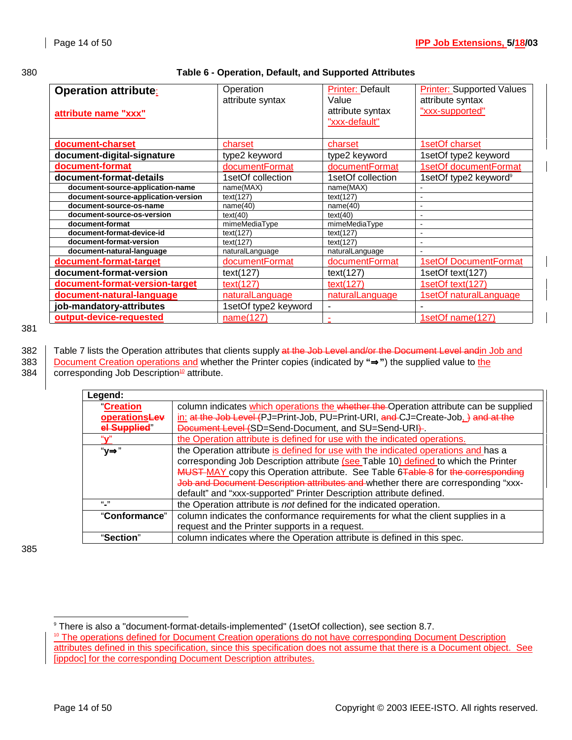### 380 **Table 6 - Operation, Default, and Supported Attributes**

| <b>Operation attribute:</b><br>attribute name "xxx" | Operation<br>attribute syntax | <b>Printer: Default</b><br>Value<br>attribute syntax<br>"xxx-default" | <b>Printer: Supported Values</b><br>attribute syntax<br>"xxx-supported" |
|-----------------------------------------------------|-------------------------------|-----------------------------------------------------------------------|-------------------------------------------------------------------------|
| document-charset                                    | charset                       | charset                                                               | 1setOf charset                                                          |
| document-digital-signature                          | type2 keyword                 | type2 keyword                                                         | 1setOf type2 keyword                                                    |
| document-format                                     | documentFormat                | documentFormat                                                        | 1setOf documentFormat                                                   |
| document-format-details                             | 1setOf collection             | 1setOf collection                                                     | 1setOf type2 keyword <sup>9</sup>                                       |
| document-source-application-name                    | name(MAX)                     | name(MAX)                                                             |                                                                         |
| document-source-application-version                 | text(127)                     | text(127)                                                             |                                                                         |
| document-source-os-name                             | name(40)                      | name(40)                                                              |                                                                         |
| document-source-os-version                          | text(40)                      | text(40)                                                              |                                                                         |
| document-format                                     | mimeMediaType                 | mimeMediaType                                                         | $\overline{\phantom{a}}$                                                |
| document-format-device-id                           | text(127)                     | text(127)                                                             |                                                                         |
| document-format-version                             | text(127)                     | text(127)                                                             |                                                                         |
| document-natural-language                           | naturalLanguage               | naturalLanguage                                                       |                                                                         |
| document-format-target                              | documentFormat                | documentFormat                                                        | <b>1setOf DocumentFormat</b>                                            |
| document-format-version                             | text(127)                     | text(127)                                                             | 1setOf text(127)                                                        |
| document-format-version-target                      | text(127)                     | text(127)                                                             | 1setOf text(127)                                                        |
| document-natural-language                           | naturalLanguage               | naturalLanguage                                                       | <b>1setOf naturalLanguage</b>                                           |
| job-mandatory-attributes                            | 1setOf type2 keyword          |                                                                       |                                                                         |
| output-device-requested                             | name(127)                     |                                                                       | 1setOf name(127)                                                        |

381

382 Table 7 lists the Operation attributes that clients supply at the Job Level and/or the Document Level andin Job and 383 Document Creation operations and whether the Printer copies (indicated by **"**⇒**"**) the supplied value to the 384  $\int$  corresponding Job Description<sup>10</sup> attribute.

| Legend:         |                                                                                       |
|-----------------|---------------------------------------------------------------------------------------|
| <b>Creation</b> | column indicates which operations the whether the Operation attribute can be supplied |
| operationsLev   | in: at the Job Level (PJ=Print-Job, PU=Print-URI, and CJ=Create-Job, ) and at the     |
| el Supplied"    | Document Level (SD=Send-Document, and SU=Send-URI).                                   |
| $``\mathbf{v}"$ | the Operation attribute is defined for use with the indicated operations.             |
| "у⇒"            | the Operation attribute is defined for use with the indicated operations and has a    |
|                 | corresponding Job Description attribute (see Table 10) defined to which the Printer   |
|                 | MUST MAY copy this Operation attribute. See Table 6Table 8 for the corresponding      |
|                 | Job and Document Description attributes and whether there are corresponding "xxx-     |
|                 | default" and "xxx-supported" Printer Description attribute defined.                   |
| $(1 - 1)$       | the Operation attribute is not defined for the indicated operation.                   |
| "Conformance"   | column indicates the conformance requirements for what the client supplies in a       |
|                 | request and the Printer supports in a request.                                        |
| "Section"       | column indicates where the Operation attribute is defined in this spec.               |

385

l

<sup>9</sup> There is also a "document-format-details-implemented" (1setOf collection), see section 8.7.

<sup>&</sup>lt;sup>10</sup> The operations defined for Document Creation operations do not have corresponding Document Description attributes defined in this specification, since this specification does not assume that there is a Document object. See [ippdoc] for the corresponding Document Description attributes.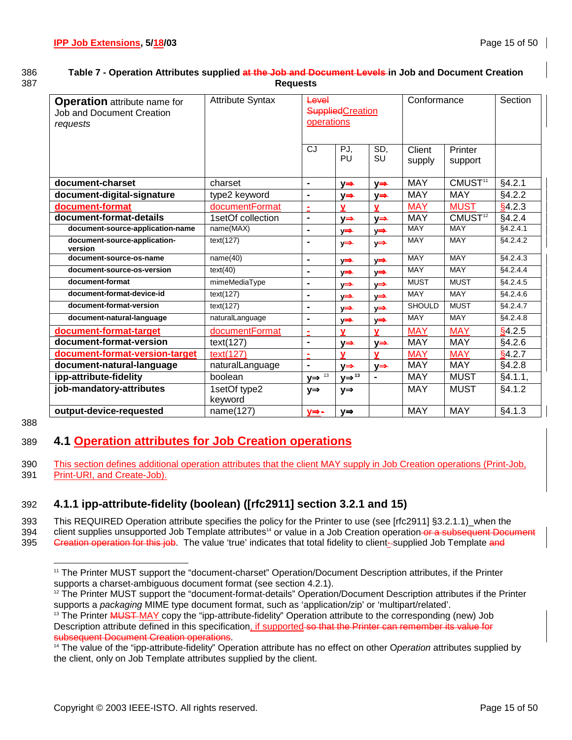### 386 **Table 7 - Operation Attributes supplied at the Job and Document Levels in Job and Document Creation**  387 **Requests**

| <b>Operation</b> attribute name for<br><b>Job and Document Creation</b><br>requests | <b>Attribute Syntax</b> | Level<br><b>Supplied</b> Creation<br>operations |                               | Conformance             |                  | Section                 |                   |
|-------------------------------------------------------------------------------------|-------------------------|-------------------------------------------------|-------------------------------|-------------------------|------------------|-------------------------|-------------------|
|                                                                                     |                         | CJ                                              | PJ.<br>PU                     | SD.<br>SU               | Client<br>supply | Printer<br>support      |                   |
| document-charset                                                                    | charset                 | $\blacksquare$                                  | $y \Rightarrow$               | $y \Rightarrow$         | <b>MAY</b>       | CMUST <sup>11</sup>     | §4.2.1            |
| document-digital-signature                                                          | type2 keyword           | $\blacksquare$                                  | $y \Rightarrow$               | y⇒                      | <b>MAY</b>       | <b>MAY</b>              | §4.2.2            |
| document-format                                                                     | documentFormat          | ÷                                               | v                             | v                       | <b>MAY</b>       | <b>MUST</b>             | §4.2.3            |
| document-format-details                                                             | 1setOf collection       | $\blacksquare$                                  | y⇒                            | $y \Rightarrow$         | <b>MAY</b>       | $CMUST^{\overline{12}}$ | §4.2.4            |
| document-source-application-name                                                    | name(MAX)               | $\blacksquare$                                  | y⇒                            | y⇒                      | <b>MAY</b>       | MAY                     | §4.2.4.1          |
| document-source-application-<br>version                                             | text(127)               | $\blacksquare$                                  | y⇒                            | $y \Rightarrow$         | <b>MAY</b>       | <b>MAY</b>              | §4.2.4.2          |
| document-source-os-name                                                             | name(40)                | $\blacksquare$                                  | ⋎⇒                            | y⇒                      | <b>MAY</b>       | <b>MAY</b>              | §4.2.4.3          |
| document-source-os-version                                                          | text(40)                | $\blacksquare$                                  | $y \Rightarrow$               | $y \Longrightarrow$     | <b>MAY</b>       | <b>MAY</b>              | §4.2.4.4          |
| document-format                                                                     | mimeMediaType           | $\blacksquare$                                  | $y \Rightarrow$               | $y \Rightarrow$         | <b>MUST</b>      | <b>MUST</b>             | §4.2.4.5          |
| document-format-device-id                                                           | text(127)               | $\blacksquare$                                  | $y \Rightarrow$               | $y \Rightarrow$         | <b>MAY</b>       | <b>MAY</b>              | $\sqrt{$4.2.4.6}$ |
| document-format-version                                                             | text(127)               | $\blacksquare$                                  | ⋎⇒                            | $y \Rightarrow$         | <b>SHOULD</b>    | <b>MUST</b>             | \$4.2.4.7         |
| document-natural-language                                                           | naturalLanguage         | $\blacksquare$                                  | $y \Longrightarrow$           | $y \Longrightarrow$     | <b>MAY</b>       | <b>MAY</b>              | §4.2.4.8          |
| document-format-target                                                              | documentFormat          | $\blacksquare$                                  | $\mathbf{v}$                  | $\overline{\mathbf{v}}$ | <b>MAY</b>       | <b>MAY</b>              | \$4.2.5           |
| document-format-version                                                             | text(127)               | $\blacksquare$                                  | $y \Rightarrow$               | y⇒                      | <b>MAY</b>       | <b>MAY</b>              | §4.2.6            |
| document-format-version-target                                                      | text(127)               | $\blacksquare$                                  | $\mathbf{v}$                  | v                       | <b>MAY</b>       | <b>MAY</b>              | \$4.2.7           |
| document-natural-language                                                           | naturalLanguage         | $\blacksquare$                                  | $y \Rightarrow$               | y⇒                      | <b>MAY</b>       | <b>MAY</b>              | §4.2.8            |
| ipp-attribute-fidelity                                                              | boolean                 | $y \Rightarrow$ 13                              | $y \Rightarrow$ <sup>13</sup> | $\blacksquare$          | <b>MAY</b>       | <b>MUST</b>             | §4.1.1,           |
| job-mandatory-attributes                                                            | 1setOf type2<br>keyword | $y \Rightarrow$                                 | $y \Rightarrow$               |                         | <b>MAY</b>       | <b>MUST</b>             | §4.1.2            |
| output-device-requested                                                             | name(127)               | <u>y⇒-</u>                                      | $y \Rightarrow$               |                         | <b>MAY</b>       | <b>MAY</b>              | §4.1.3            |

388

l

# 389 **4.1 Operation attributes for Job Creation operations**

390 This section defines additional operation attributes that the client MAY supply in Job Creation operations (Print-Job, 391 Print-URI, and Create-Job).

# 392 **4.1.1 ipp-attribute-fidelity (boolean) ([rfc2911] section 3.2.1 and 15)**

393 This REQUIRED Operation attribute specifies the policy for the Printer to use (see [rfc2911] §3.2.1.1) when the 394 client supplies unsupported Job Template attributes<sup>14</sup> or value in a Job Creation operation on a subsequent Document 395 Greation operation for this job. The value 'true' indicates that total fidelity to client--supplied Job Template and

<sup>11</sup> The Printer MUST support the "document-charset" Operation/Document Description attributes, if the Printer supports a charset-ambiguous document format (see section 4.2.1).

<sup>&</sup>lt;sup>12</sup> The Printer MUST support the "document-format-details" Operation/Document Description attributes if the Printer

supports a *packaging* MIME type document format, such as 'application/zip' or 'multipart/related'.<br><sup>13</sup> The Printer MUST MAY copy the "ipp-attribute-fidelity" Operation attribute to the corresponding (new) Job Description attribute defined in this specification, if supported so that the Printer can remember its value for subsequent Document Creation operations.<br><sup>14</sup> The value of the "ipp-attribute-fidelity" Operation attribute has no effect on other O*peration* attributes supplied by

the client, only on Job Template attributes supplied by the client.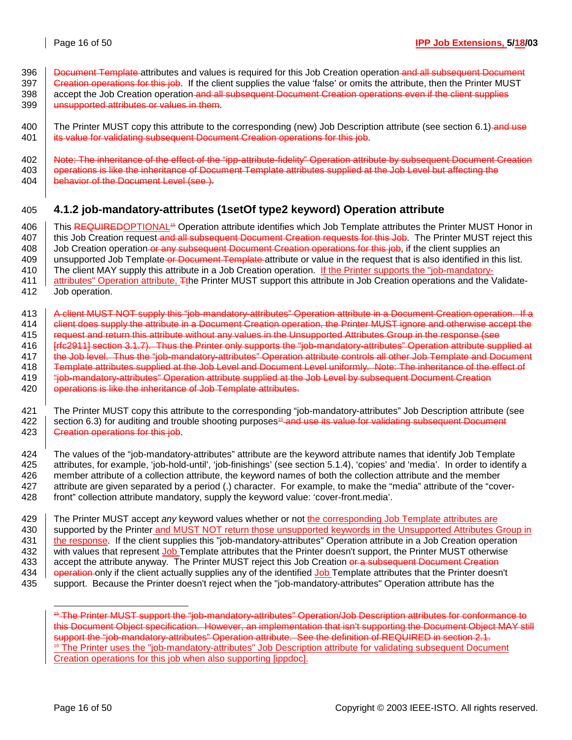396 **Document Template** attributes and values is required for this Job Creation operation and all subsequent Document 397 Greation operations for this job. If the client supplies the value 'false' or omits the attribute, then the Printer MUST 398 accept the Job Creation operation and all subsequent Document Creation operations even if the client supplies 399 **unsupported attributes or values in them.** 

400 The Printer MUST copy this attribute to the corresponding (new) Job Description attribute (see section 6.1) and use 401 **its value for validating subsequent Document Creation operations for this job.** 

402 | Note: The inheritance of the effect of the "ipp-attribute-fidelity" Operation attribute by subsequent Document Creation 403 | operations is like the inheritance of Document Template attributes supplied at the Job Level but affecting the 404 **behavior of the Document Level (see ).** 

# 405 **4.1.2 job-mandatory-attributes (1setOf type2 keyword) Operation attribute**

406 | This REQUIREDOPTIONAL<sup>46</sup> Operation attribute identifies which Job Template attributes the Printer MUST Honor in 407 | this Job Creation request and all subsequent Document Creation requests for this Job. The Printer MUST reject this 408 Job Creation operation or any subsequent Document Creation operations for this job, if the client supplies an 409 vunsupported Job Template or Document Template attribute or value in the request that is also identified in this list. 410 The client MAY supply this attribute in a Job Creation operation. If the Printer supports the "job-mandatory-

- 411 attributes" Operation attribute, Tthe Printer MUST support this attribute in Job Creation operations and the Validate-412 Job operation.
- 413 A client MUST NOT supply this "job-mandatory-attributes" Operation attribute in a Document Creation operation. If a 414 | client does supply the attribute in a Document Creation operation, the Printer MUST ignore and otherwise accept the 415 | request and return this attribute without any values in the Unsupported Attributes Group in the response (see 416 | Fric2911] section 3.1.7). Thus the Printer only supports the "job-mandatory-attributes" Operation attribute supplied at 417 **the Job level. Thus the "job-mandatory-attributes" Operation attribute controls all other Job Template and Document** 418 Template attributes supplied at the Job Level and Document Level uniformly. Note: The inheritance of the effect of 419  $\parallel$  "job-mandatory-attributes" Operation attribute supplied at the Job Level by subsequent Document Creation 420 **operations is like the inheritance of Job Template attributes.**
- 421 The Printer MUST copy this attribute to the corresponding "job-mandatory-attributes" Job Description attribute (see 422  $\parallel$  section 6.3) for auditing and trouble shooting purposes<sup>16</sup> and use its value for validating subsequent Document 423 **Creation operations for this job.**

424 The values of the "job-mandatory-attributes" attribute are the keyword attribute names that identify Job Template 425 attributes, for example, 'job-hold-until', 'job-finishings' (see section 5.1.4), 'copies' and 'media'. In order to identify a 426 member attribute of a collection attribute, the keyword names of both the collection attribute and the member 427 attribute are given separated by a period (.) character. For example, to make the "media" attribute of the "cover-428 front" collection attribute mandatory, supply the keyword value: 'cover-front.media'.

429 The Printer MUST accept *any* keyword values whether or not the corresponding Job Template attributes are 430 Supported by the Printer and MUST NOT return those unsupported keywords in the Unsupported Attributes Group in 431 | the response. If the client supplies this "job-mandatory-attributes" Operation attribute in a Job Creation operation 432 with values that represent Job Template attributes that the Printer doesn't support, the Printer MUST otherwise 433 accept the attribute anyway. The Printer MUST reject this Job Creation or a subsequent Document Creation 434 **operation** only if the client actually supplies any of the identified Job Template attributes that the Printer doesn't 435 support. Because the Printer doesn't reject when the "job-mandatory-attributes" Operation attribute has the

l

<sup>15</sup> The Printer MUST support the "job-mandatory-attributes" Operation/Job Description attributes for conformance to this Document Object specification. However, an implementation that isn't supporting the Document Object MAY still support the "job-mandatory-attributes" Operation attribute. See the definition of REQUIRED in section 2.1. <sup>16</sup> The Printer uses the "job-mandatory-attributes" Job Description attribute for validating subsequent Document Creation operations for this job when also supporting [ippdoc].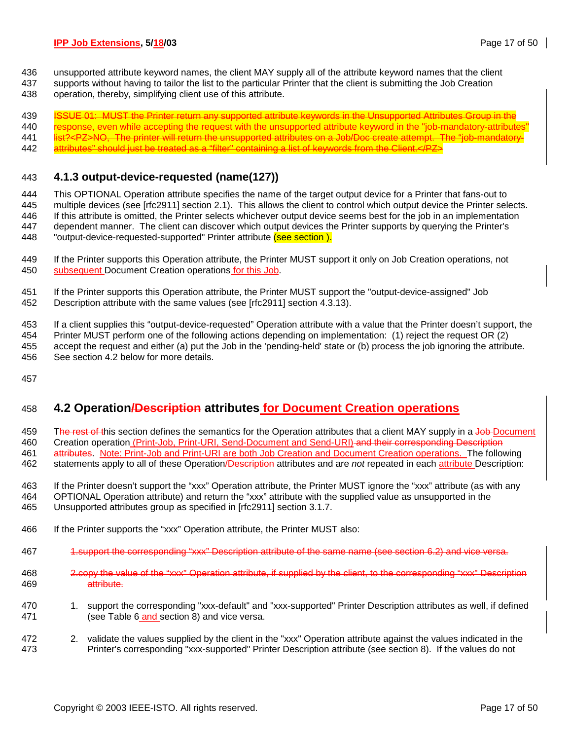- 436 unsupported attribute keyword names, the client MAY supply all of the attribute keyword names that the client
- 437 supports without having to tailor the list to the particular Printer that the client is submitting the Job Creation
- 438 operation, thereby, simplifying client use of this attribute.

439 ISSUE 01: MUST the Printer return any supported attribute keywords in the Unsupported Attributes Group in the

440 response, even while accepting the request with the unsupported attribute keyword in the "job-mandatory-attributes"

441 list?<PZ>NO, The printer will return the unsupported attributes on a Job/Doc create attempt. The "job-mandatory-442 attributes" should just be treated as a "filter" containing a list of keywords from the Client.</PZ>

### 443 **4.1.3 output-device-requested (name(127))**

444 This OPTIONAL Operation attribute specifies the name of the target output device for a Printer that fans-out to 445 multiple devices (see [rfc2911] section 2.1). This allows the client to control which output device the Printer selects. 446 If this attribute is omitted, the Printer selects whichever output device seems best for the job in an implementation 447 dependent manner. The client can discover which output devices the Printer supports by querying the Printer's 448 "output-device-requested-supported" Printer attribute (see section).

- 449 If the Printer supports this Operation attribute, the Printer MUST support it only on Job Creation operations, not 450 subsequent Document Creation operations for this Job.
- 451 If the Printer supports this Operation attribute, the Printer MUST support the "output-device-assigned" Job 452 Description attribute with the same values (see [rfc2911] section 4.3.13).

453 If a client supplies this "output-device-requested" Operation attribute with a value that the Printer doesn't support, the 454 Printer MUST perform one of the following actions depending on implementation: (1) reject the request OR (2) 455 accept the request and either (a) put the Job in the 'pending-held' state or (b) process the job ignoring the attribute. 456 See section 4.2 below for more details.

457

# 458 **4.2 Operation/Description attributes for Document Creation operations**

459 The rest of this section defines the semantics for the Operation attributes that a client MAY supply in a Job-Document 460 Creation operation (Print-Job, Print-URI, Send-Document and Send-URI) and their corresponding Description 461 attributes. Note: Print-Job and Print-URI are both Job Creation and Document Creation operations. The following

462 statements apply to all of these Operation/Description attributes and are *not* repeated in each attribute Description:

463 If the Printer doesn't support the "xxx" Operation attribute, the Printer MUST ignore the "xxx" attribute (as with any 464 OPTIONAL Operation attribute) and return the "xxx" attribute with the supplied value as unsupported in the 465 Unsupported attributes group as specified in [rfc2911] section 3.1.7.

- 466 If the Printer supports the "xxx" Operation attribute, the Printer MUST also:
- 467 1.support the corresponding "xxx" Description attribute of the same name (see section 6.2) and vice versa.
- 468 2.copy the value of the "xxx" Operation attribute, if supplied by the client, to the corresponding "xxx" Description 469 attribute.
- 470 1. support the corresponding "xxx-default" and "xxx-supported" Printer Description attributes as well, if defined 471 (see Table 6 and section 8) and vice versa.
- 472 2. validate the values supplied by the client in the "xxx" Operation attribute against the values indicated in the 473 Printer's corresponding "xxx-supported" Printer Description attribute (see section 8). If the values do not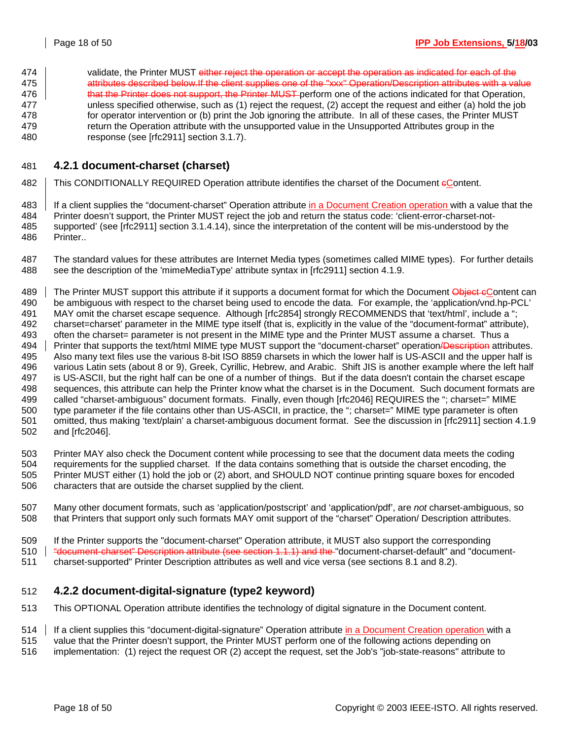474 validate, the Printer MUST either reject the operation or accept the operation as indicated for each of the 475 Attributes described below.If the client supplies one of the "xxx" Operation/Description attributes with a value 476 **that the Printer does not support, the Printer MUST** perform one of the actions indicated for that Operation, 477 unless specified otherwise, such as (1) reject the request, (2) accept the request and either (a) hold the job 478 for operator intervention or (b) print the Job ignoring the attribute. In all of these cases, the Printer MUST 479 return the Operation attribute with the unsupported value in the Unsupported Attributes group in the 480 response (see [rfc2911] section 3.1.7).

# 481 **4.2.1 document-charset (charset)**

482 | This CONDITIONALLY REQUIRED Operation attribute identifies the charset of the Document eContent.

483 | If a client supplies the "document-charset" Operation attribute in a Document Creation operation with a value that the 484 Printer doesn't support, the Printer MUST reject the job and return the status code: 'client-error-charset-not-485 supported' (see [rfc2911] section 3.1.4.14), since the interpretation of the content will be mis-understood by the 486 Printer..

487 The standard values for these attributes are Internet Media types (sometimes called MIME types). For further details 488 see the description of the 'mimeMediaType' attribute syntax in [rfc2911] section 4.1.9.

489 The Printer MUST support this attribute if it supports a document format for which the Document Object eContent can 490 be ambiguous with respect to the charset being used to encode the data. For example, the 'application/vnd.hp-PCL' 491 MAY omit the charset escape sequence. Although [rfc2854] strongly RECOMMENDS that 'text/html', include a "; 492 charset=charset' parameter in the MIME type itself (that is, explicitly in the value of the "document-format" attribute), 493 often the charset= parameter is not present in the MIME type and the Printer MUST assume a charset. Thus a 494 Printer that supports the text/html MIME type MUST support the "document-charset" operation **/Description** attributes. 495 Also many text files use the various 8-bit ISO 8859 charsets in which the lower half is US-ASCII and the upper half is 496 various Latin sets (about 8 or 9), Greek, Cyrillic, Hebrew, and Arabic. Shift JIS is another example where the left half 497 is US-ASCII, but the right half can be one of a number of things. But if the data doesn't contain the charset escape 498 sequences, this attribute can help the Printer know what the charset is in the Document. Such document formats are 499 called "charset-ambiguous" document formats. Finally, even though [rfc2046] REQUIRES the "; charset=" MIME 500 type parameter if the file contains other than US-ASCII, in practice, the "; charset=" MIME type parameter is often 501 omitted, thus making 'text/plain' a charset-ambiguous document format. See the discussion in [rfc2911] section 4.1.9 502 and [rfc2046].

503 Printer MAY also check the Document content while processing to see that the document data meets the coding 504 requirements for the supplied charset. If the data contains something that is outside the charset encoding, the 505 Printer MUST either (1) hold the job or (2) abort, and SHOULD NOT continue printing square boxes for encoded 506 characters that are outside the charset supplied by the client.

507 Many other document formats, such as 'application/postscript' and 'application/pdf', are *not* charset-ambiguous, so 508 that Printers that support only such formats MAY omit support of the "charset" Operation/ Description attributes.

509 If the Printer supports the "document-charset" Operation attribute, it MUST also support the corresponding

510  $\parallel$  "document-charset" Description attribute (see section 1.1.1) and the "document-charset-default" and "document-

511 charset-supported" Printer Description attributes as well and vice versa (see sections 8.1 and 8.2).

### 512 **4.2.2 document-digital-signature (type2 keyword)**

- 513 This OPTIONAL Operation attribute identifies the technology of digital signature in the Document content.
- 514 | If a client supplies this "document-digital-signature" Operation attribute in a Document Creation operation with a
- 515 value that the Printer doesn't support, the Printer MUST perform one of the following actions depending on
- 516 implementation: (1) reject the request OR (2) accept the request, set the Job's "job-state-reasons" attribute to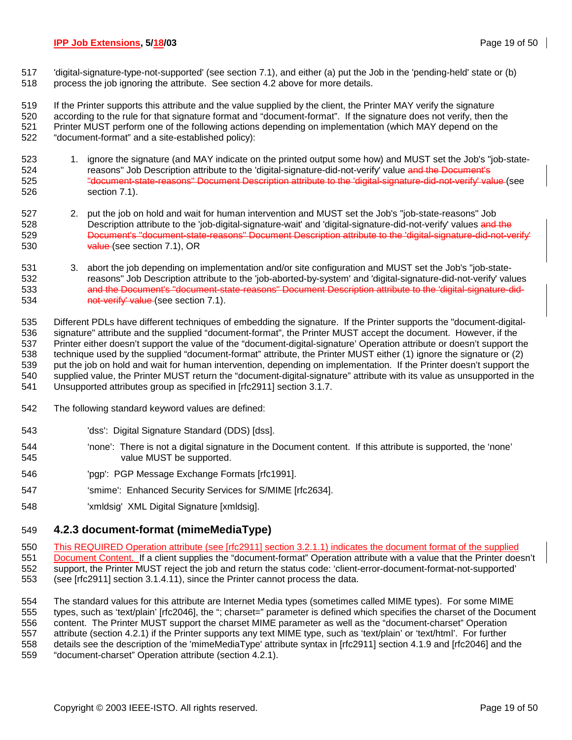517 'digital-signature-type-not-supported' (see section 7.1), and either (a) put the Job in the 'pending-held' state or (b) 518 process the job ignoring the attribute. See section 4.2 above for more details.

519 If the Printer supports this attribute and the value supplied by the client, the Printer MAY verify the signature 520 according to the rule for that signature format and "document-format". If the signature does not verify, then the 521 Printer MUST perform one of the following actions depending on implementation (which MAY depend on the 522 "document-format" and a site-established policy):

- 523 1. ignore the signature (and MAY indicate on the printed output some how) and MUST set the Job's "job-state-524 reasons" Job Description attribute to the 'digital-signature-did-not-verify' value and the Document's 525 "document-state-reasons" Document Description attribute to the 'digital-signature-did-not-verify' value (see 526 section 7.1).
- 527 2. put the job on hold and wait for human intervention and MUST set the Job's "job-state-reasons" Job 528 Description attribute to the 'job-digital-signature-wait' and 'digital-signature-did-not-verify' values and the 529 Document's "document-state-reasons" Document Description attribute to the 'digital-signature-did-not-verify' 530 value (see section 7.1), OR
- 531 3. abort the job depending on implementation and/or site configuration and MUST set the Job's "job-state-532 reasons" Job Description attribute to the 'job-aborted-by-system' and 'digital-signature-did-not-verify' values 533 and the Document's "document-state-reasons" Document Description attribute to the 'digital-signature-did-534 not-verify' value (see section 7.1).

535 Different PDLs have different techniques of embedding the signature. If the Printer supports the "document-digital-536 signature" attribute and the supplied "document-format", the Printer MUST accept the document. However, if the 537 Printer either doesn't support the value of the "document-digital-signature' Operation attribute or doesn't support the 538 technique used by the supplied "document-format" attribute, the Printer MUST either (1) ignore the signature or (2) 539 put the job on hold and wait for human intervention, depending on implementation. If the Printer doesn't support the 540 supplied value, the Printer MUST return the "document-digital-signature" attribute with its value as unsupported in the 541 Unsupported attributes group as specified in [rfc2911] section 3.1.7.

- 542 The following standard keyword values are defined:
- 543 'dss': Digital Signature Standard (DDS) [dss].
- 544 'none': There is not a digital signature in the Document content. If this attribute is supported, the 'none' 545 value MUST be supported.
- 546 'pgp': PGP Message Exchange Formats [rfc1991].
- 547 'smime': Enhanced Security Services for S/MIME [rfc2634].
- 548 'xmldsig' XML Digital Signature [xmldsig].

# 549 **4.2.3 document-format (mimeMediaType)**

- 550 This REQUIRED Operation attribute (see [rfc2911] section 3.2.1.1) indicates the document format of the supplied
- 551 Document Content. If a client supplies the "document-format" Operation attribute with a value that the Printer doesn't 552 support, the Printer MUST reject the job and return the status code: 'client-error-document-format-not-supported' 553 (see [rfc2911] section 3.1.4.11), since the Printer cannot process the data.

554 The standard values for this attribute are Internet Media types (sometimes called MIME types). For some MIME 555 types, such as 'text/plain' [rfc2046], the "; charset=" parameter is defined which specifies the charset of the Document 556 content. The Printer MUST support the charset MIME parameter as well as the "document-charset" Operation 557 attribute (section 4.2.1) if the Printer supports any text MIME type, such as 'text/plain' or 'text/html'. For further 558 details see the description of the 'mimeMediaType' attribute syntax in [rfc2911] section 4.1.9 and [rfc2046] and the 559 "document-charset" Operation attribute (section 4.2.1).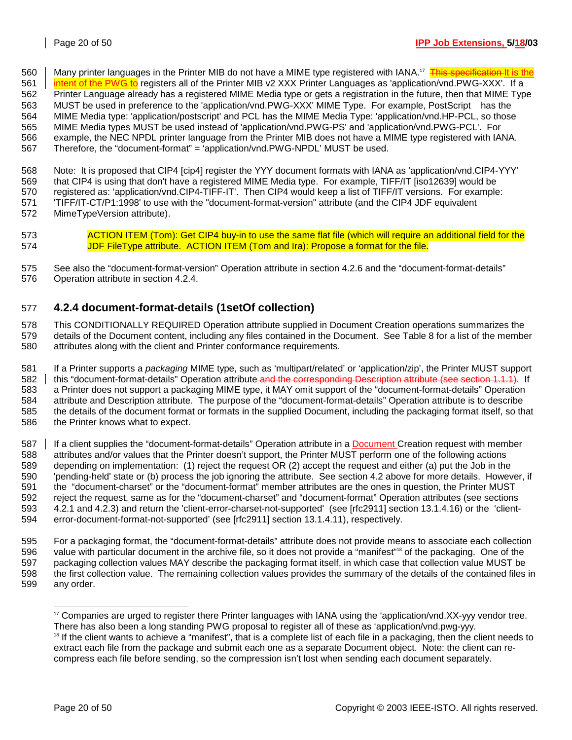560 | Many printer languages in the Printer MIB do not have a MIME type registered with IANA.<sup>17</sup> This specification It is the

561 **intent of the PWG to** registers all of the Printer MIB v2 XXX Printer Languages as 'application/vnd.PWG-XXX'. If a

562 Printer Language already has a registered MIME Media type or gets a registration in the future, then that MIME Type 563 MUST be used in preference to the 'application/vnd.PWG-XXX' MIME Type. For example, PostScript<sup>®</sup> has the

564 MIME Media type: 'application/postscript' and PCL has the MIME Media Type: 'application/vnd.HP-PCL, so those

565 MIME Media types MUST be used instead of 'application/vnd.PWG-PS' and 'application/vnd.PWG-PCL'. For

566 example, the NEC NPDL printer language from the Printer MIB does not have a MIME type registered with IANA.

567 Therefore, the "document-format" = 'application/vnd.PWG-NPDL' MUST be used.

568 Note: It is proposed that CIP4 [cip4] register the YYY document formats with IANA as 'application/vnd.CIP4-YYY' 569 that CIP4 is using that don't have a registered MIME Media type. For example, TIFF/IT [iso12639] would be 570 registered as: 'application/vnd.CIP4-TIFF-IT'. Then CIP4 would keep a list of TIFF/IT versions. For example: 571 'TIFF/IT-CT/P1:1998' to use with the "document-format-version" attribute (and the CIP4 JDF equivalent

572 MimeTypeVersion attribute).

573 **ACTION ITEM (Tom): Get CIP4 buy-in to use the same flat file (which will require an additional field for the** 574 JDF FileType attribute. ACTION ITEM (Tom and Ira): Propose a format for the file.

575 See also the "document-format-version" Operation attribute in section 4.2.6 and the "document-format-details" 576 Operation attribute in section 4.2.4.

# 577 **4.2.4 document-format-details (1setOf collection)**

578 This CONDITIONALLY REQUIRED Operation attribute supplied in Document Creation operations summarizes the 579 details of the Document content, including any files contained in the Document. See Table 8 for a list of the member 580 attributes along with the client and Printer conformance requirements.

581 If a Printer supports a *packaging* MIME type, such as 'multipart/related' or 'application/zip', the Printer MUST support 582 | this "document-format-details" Operation attribute and the corresponding Description attribute (see section 1.1.1). If 583 a Printer does not support a packaging MIME type, it MAY omit support of the "document-format-details" Operation 584 attribute and Description attribute. The purpose of the "document-format-details" Operation attribute is to describe 585 the details of the document format or formats in the supplied Document, including the packaging format itself, so that 586 the Printer knows what to expect.

587 | If a client supplies the "document-format-details" Operation attribute in a Document Creation request with member 588 attributes and/or values that the Printer doesn't support, the Printer MUST perform one of the following actions 589 depending on implementation: (1) reject the request OR (2) accept the request and either (a) put the Job in the 590 'pending-held' state or (b) process the job ignoring the attribute. See section 4.2 above for more details. However, if 591 the "document-charset" or the "document-format" member attributes are the ones in question, the Printer MUST 592 reject the request, same as for the "document-charset" and "document-format" Operation attributes (see sections 593 4.2.1 and 4.2.3) and return the 'client-error-charset-not-supported' (see [rfc2911] section 13.1.4.16) or the 'client-594 error-document-format-not-supported' (see [rfc2911] section 13.1.4.11), respectively.

595 For a packaging format, the "document-format-details" attribute does not provide means to associate each collection 596 value with particular document in the archive file, so it does not provide a "manifest"<sup>18</sup> of the packaging. One of the 597 packaging collection values MAY describe the packaging format itself, in which case that collection value MUST be 598 the first collection value. The remaining collection values provides the summary of the details of the contained files in 599 any order.

l <sup>17</sup> Companies are urged to register there Printer languages with IANA using the 'application/vnd.XX-yyy vendor tree.

There has also been a long standing PWG proposal to register all of these as 'application/vnd.pwg-yyy.<br><sup>18</sup> If the client wants to achieve a "manifest", that is a complete list of each file in a packaging, then the client extract each file from the package and submit each one as a separate Document object. Note: the client can recompress each file before sending, so the compression isn't lost when sending each document separately.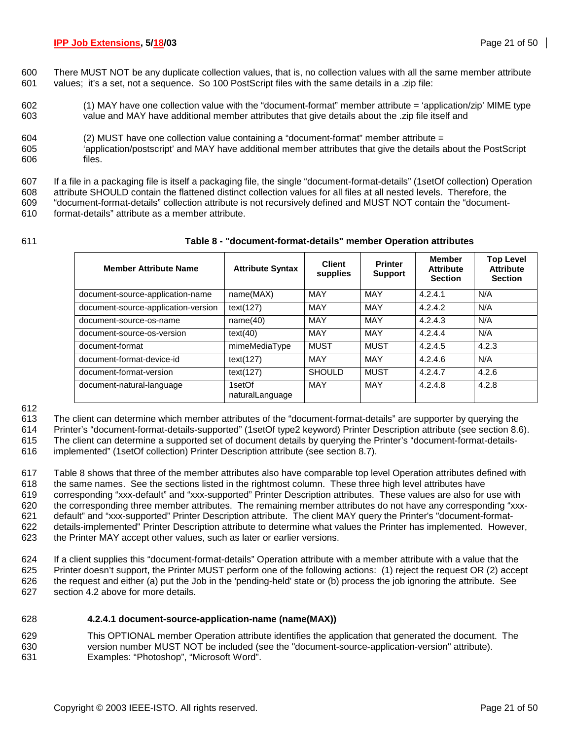- 600 There MUST NOT be any duplicate collection values, that is, no collection values with all the same member attribute 601 values; it's a set, not a sequence. So 100 PostScript files with the same details in a .zip file:
- 602 (1) MAY have one collection value with the "document-format" member attribute = 'application/zip' MIME type 603 value and MAY have additional member attributes that give details about the .zip file itself and
- 604 (2) MUST have one collection value containing a "document-format" member attribute =
- 605 'application/postscript' and MAY have additional member attributes that give the details about the PostScript 606 files.
- 607 If a file in a packaging file is itself a packaging file, the single "document-format-details" (1setOf collection) Operation 608 attribute SHOULD contain the flattened distinct collection values for all files at all nested levels. Therefore, the
- 609 "document-format-details" collection attribute is not recursively defined and MUST NOT contain the "document-610 format-details" attribute as a member attribute.
- 

### 611 **Table 8 - "document-format-details" member Operation attributes**

| <b>Member Attribute Name</b>        | <b>Attribute Syntax</b>   | <b>Client</b><br>supplies | <b>Printer</b><br><b>Support</b> | <b>Member</b><br><b>Attribute</b><br><b>Section</b> | <b>Top Level</b><br><b>Attribute</b><br><b>Section</b> |
|-------------------------------------|---------------------------|---------------------------|----------------------------------|-----------------------------------------------------|--------------------------------------------------------|
| document-source-application-name    | name(MAX)                 | <b>MAY</b>                | <b>MAY</b>                       | 4.2.4.1                                             | N/A                                                    |
| document-source-application-version | text(127)                 | MAY                       | <b>MAY</b>                       | 4.2.4.2                                             | N/A                                                    |
| document-source-os-name             | name(40)                  | <b>MAY</b>                | <b>MAY</b>                       | 4.2.4.3                                             | N/A                                                    |
| document-source-os-version          | text(40)                  | <b>MAY</b>                | MAY                              | 4.2.4.4                                             | N/A                                                    |
| document-format                     | mimeMediaType             | <b>MUST</b>               | <b>MUST</b>                      | 4.2.4.5                                             | 4.2.3                                                  |
| document-format-device-id           | text(127)                 | <b>MAY</b>                | <b>MAY</b>                       | 4.2.4.6                                             | N/A                                                    |
| document-format-version             | text(127)                 | <b>SHOULD</b>             | <b>MUST</b>                      | 4.2.4.7                                             | 4.2.6                                                  |
| document-natural-language           | 1setOf<br>naturalLanguage | <b>MAY</b>                | MAY                              | 4.2.4.8                                             | 4.2.8                                                  |

612

613 The client can determine which member attributes of the "document-format-details" are supporter by querying the

614 Printer's "document-format-details-supported" (1setOf type2 keyword) Printer Description attribute (see section 8.6).

615 The client can determine a supported set of document details by querying the Printer's "document-format-details-

616 implemented" (1setOf collection) Printer Description attribute (see section 8.7).

617 Table 8 shows that three of the member attributes also have comparable top level Operation attributes defined with 618 the same names. See the sections listed in the rightmost column. These three high level attributes have 619 corresponding "xxx-default" and "xxx-supported" Printer Description attributes. These values are also for use with 620 the corresponding three member attributes. The remaining member attributes do not have any corresponding "xxx-621 default" and "xxx-supported" Printer Description attribute. The client MAY query the Printer's "document-format-622 details-implemented" Printer Description attribute to determine what values the Printer has implemented. However, 623 the Printer MAY accept other values, such as later or earlier versions.

624 If a client supplies this "document-format-details" Operation attribute with a member attribute with a value that the 625 Printer doesn't support, the Printer MUST perform one of the following actions: (1) reject the request OR (2) accept 626 the request and either (a) put the Job in the 'pending-held' state or (b) process the job ignoring the attribute. See 627 section 4.2 above for more details.

### 628 **4.2.4.1 document-source-application-name (name(MAX))**

629 This OPTIONAL member Operation attribute identifies the application that generated the document. The 630 version number MUST NOT be included (see the "document-source-application-version" attribute). 631 Examples: "Photoshop", "Microsoft Word".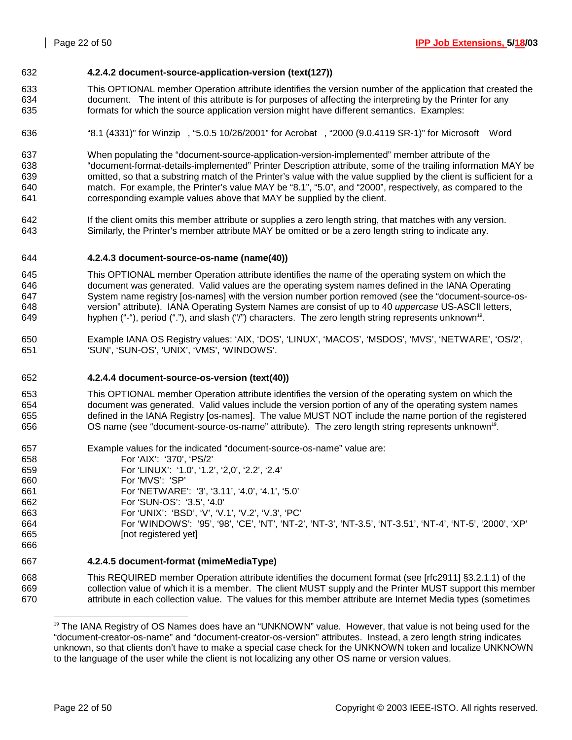### 632 **4.2.4.2 document-source-application-version (text(127))**

- 633 This OPTIONAL member Operation attribute identifies the version number of the application that created the 634 document. The intent of this attribute is for purposes of affecting the interpreting by the Printer for any 635 formats for which the source application version might have different semantics. Examples:
- 636 "8.1 (4331)" for Winzip®, "5.0.5 10/26/2001" for Acrobat®, "2000 (9.0.4119 SR-1)" for Microsoft® Word
- 637 When populating the "document-source-application-version-implemented" member attribute of the 638 "document-format-details-implemented" Printer Description attribute, some of the trailing information MAY be 639 omitted, so that a substring match of the Printer's value with the value supplied by the client is sufficient for a 640 match. For example, the Printer's value MAY be "8.1", "5.0", and "2000", respectively, as compared to the 641 corresponding example values above that MAY be supplied by the client.
- 642 If the client omits this member attribute or supplies a zero length string, that matches with any version. 643 Similarly, the Printer's member attribute MAY be omitted or be a zero length string to indicate any.

### 644 **4.2.4.3 document-source-os-name (name(40))**

- 645 This OPTIONAL member Operation attribute identifies the name of the operating system on which the 646 document was generated. Valid values are the operating system names defined in the IANA Operating 647 System name registry [os-names] with the version number portion removed (see the "document-source-os-648 version" attribute). IANA Operating System Names are consist of up to 40 *uppercase* US-ASCII letters, 649 hyphen ("-"), period ("."), and slash ("/") characters. The zero length string represents unknown<sup>19</sup>.
- 650 Example IANA OS Registry values: 'AIX, 'DOS', 'LINUX', 'MACOS', 'MSDOS', 'MVS', 'NETWARE', 'OS/2', 651 'SUN', 'SUN-OS', 'UNIX', 'VMS', 'WINDOWS'.

### 652 **4.2.4.4 document-source-os-version (text(40))**

653 This OPTIONAL member Operation attribute identifies the version of the operating system on which the 654 document was generated. Valid values include the version portion of any of the operating system names 655 defined in the IANA Registry [os-names]. The value MUST NOT include the name portion of the registered 656 **OS name (see "document-source-os-name" attribute).** The zero length string represents unknown<sup>19</sup>.

| 657 | Example values for the indicated "document-source-os-name" value are:                                        |
|-----|--------------------------------------------------------------------------------------------------------------|
| 658 | For 'AIX': '370', 'PS/2'                                                                                     |
| 659 | For 'LINUX': '1.0', '1.2', '2,0', '2.2', '2.4'                                                               |
| 660 | For 'MVS': 'SP'                                                                                              |
| 661 | For 'NETWARE': '3', '3.11', '4.0', '4.1', '5.0'                                                              |
| 662 | For 'SUN-OS': '3.5', '4.0'                                                                                   |
| 663 | For 'UNIX': 'BSD', 'V', 'V.1', 'V.2', 'V.3', 'PC'                                                            |
| 664 | For 'WINDOWS': '95', '98', 'CE', 'NT', 'NT-2', 'NT-3', 'NT-3.5', 'NT-3.51', 'NT-4', 'NT-5', '2000', 'XP'     |
| 665 | [not registered yet]                                                                                         |
| 666 |                                                                                                              |
| 667 | 4.2.4.5 document-format (mimeMediaType)                                                                      |
| 668 | This REQUIRED member Operation attribute identifies the document format (see [rfc2911] §3.2.1.1) of the      |
| 669 | collection value of which it is a member. The client MUST supply and the Printer MUST support this member    |
| 670 | attribute in each collection value. The values for this member attribute are Internet Media types (sometimes |

l 19 The IANA Registry of OS Names does have an "UNKNOWN" value. However, that value is not being used for the "document-creator-os-name" and "document-creator-os-version" attributes. Instead, a zero length string indicates unknown, so that clients don't have to make a special case check for the UNKNOWN token and localize UNKNOWN to the language of the user while the client is not localizing any other OS name or version values.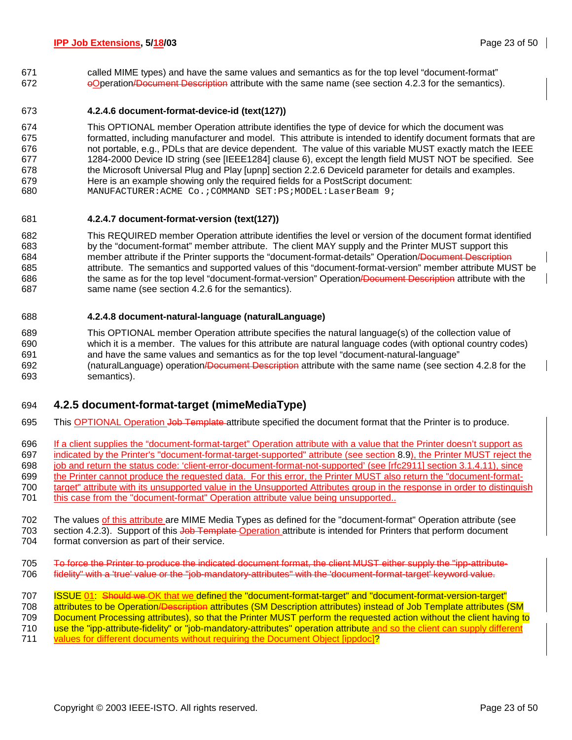671 called MIME types) and have the same values and semantics as for the top level "document-format" 672 oOperation/Document Description attribute with the same name (see section 4.2.3 for the semantics).

### 673 **4.2.4.6 document-format-device-id (text(127))**

674 This OPTIONAL member Operation attribute identifies the type of device for which the document was 675 formatted, including manufacturer and model. This attribute is intended to identify document formats that are 676 not portable, e.g., PDLs that are device dependent. The value of this variable MUST exactly match the IEEE 677 1284-2000 Device ID string (see [IEEE1284] clause 6), except the length field MUST NOT be specified. See 678 the Microsoft Universal Plug and Play [upnp] section 2.2.6 DeviceId parameter for details and examples. 679 Here is an example showing only the required fields for a PostScript document: 680 MANUFACTURER:ACME Co.;COMMAND SET:PS;MODEL:LaserBeam 9;

### 681 **4.2.4.7 document-format-version (text(127))**

682 This REQUIRED member Operation attribute identifies the level or version of the document format identified 683 by the "document-format" member attribute. The client MAY supply and the Printer MUST support this 684 member attribute if the Printer supports the "document-format-details" Operation/Document Description 685 attribute. The semantics and supported values of this "document-format-version" member attribute MUST be 686 the same as for the top level "document-format-version" Operation/Document Description attribute with the 687 same name (see section 4.2.6 for the semantics).

### 688 **4.2.4.8 document-natural-language (naturalLanguage)**

689 This OPTIONAL member Operation attribute specifies the natural language(s) of the collection value of 690 which it is a member. The values for this attribute are natural language codes (with optional country codes) 691 and have the same values and semantics as for the top level "document-natural-language" 692 (naturalLanguage) operation/Document Description attribute with the same name (see section 4.2.8 for the 693 semantics).

### 694 **4.2.5 document-format-target (mimeMediaType)**

- 695 This OPTIONAL Operation Job Template attribute specified the document format that the Printer is to produce.
- 696 If a client supplies the "document-format-target" Operation attribute with a value that the Printer doesn't support as
- 697 indicated by the Printer's "document-format-target-supported" attribute (see section 8.9), the Printer MUST reject the
- 698 job and return the status code: 'client-error-document-format-not-supported' (see [rfc2911] section 3.1.4.11), since
- 699 the Printer cannot produce the requested data. For this error, the Printer MUST also return the "document-format-
- 700 target" attribute with its unsupported value in the Unsupported Attributes group in the response in order to distinguish 701 this case from the "document-format" Operation attribute value being unsupported..
- 702 The values of this attribute are MIME Media Types as defined for the "document-format" Operation attribute (see 703 section 4.2.3). Support of this Job Template Operation attribute is intended for Printers that perform document 704 format conversion as part of their service.
- 705 To force the Printer to produce the indicated document format, the client MUST either supply the "ipp-attribute-706 fidelity" with a 'true' value or the "job-mandatory-attributes" with the 'document-format-target' keyword value.
- 707 ISSUE 01: Should we OK that we defined the "document-format-target" and "document-format-version-target" 708 attributes to be Operation/Description attributes (SM Description attributes) instead of Job Template attributes (SM
- 709 Document Processing attributes), so that the Printer MUST perform the requested action without the client having to
- 710 use the "ipp-attribute-fidelity" or "job-mandatory-attributes" operation attribute and so the client can supply different
- 711 values for different documents without requiring the Document Object [ippdoc]?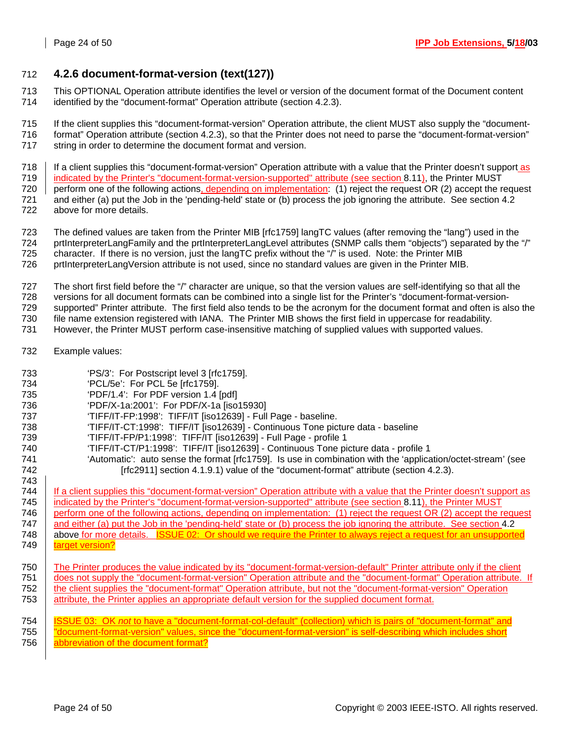# 712 **4.2.6 document-format-version (text(127))**

- 713 This OPTIONAL Operation attribute identifies the level or version of the document format of the Document content 714 identified by the "document-format" Operation attribute (section 4.2.3).
- 715 If the client supplies this "document-format-version" Operation attribute, the client MUST also supply the "document-716 format" Operation attribute (section 4.2.3), so that the Printer does not need to parse the "document-format-version" 717 string in order to determine the document format and version.
- 718 If a client supplies this "document-format-version" Operation attribute with a value that the Printer doesn't support as
- 719 indicated by the Printer's "document-format-version-supported" attribute (see section 8.11), the Printer MUST 720 | perform one of the following actions, depending on implementation:  $(1)$  reject the request OR  $(2)$  accept the request 721 and either (a) put the Job in the 'pending-held' state or (b) process the job ignoring the attribute. See section 4.2
- 722 above for more details.
- 723 The defined values are taken from the Printer MIB [rfc1759] langTC values (after removing the "lang") used in the 724 prtInterpreterLangFamily and the prtInterpreterLangLevel attributes (SNMP calls them "objects") separated by the "/"
- 725 character. If there is no version, just the langTC prefix without the "/" is used. Note: the Printer MIB
- 726 prtInterpreterLangVersion attribute is not used, since no standard values are given in the Printer MIB.
- 727 The short first field before the "/" character are unique, so that the version values are self-identifying so that all the
- 728 versions for all document formats can be combined into a single list for the Printer's "document-format-version-
- 729 supported" Printer attribute. The first field also tends to be the acronym for the document format and often is also the
- 730 file name extension registered with IANA. The Printer MIB shows the first field in uppercase for readability.
- 731 However, the Printer MUST perform case-insensitive matching of supplied values with supported values.
- 732 Example values:
- 733 'PS/3': For Postscript level 3 [rfc1759].
- 734 'PCL/5e': For PCL 5e [rfc1759].
- 735 'PDF/1.4': For PDF version 1.4 [pdf]
- 736 'PDF/X-1a:2001': For PDF/X-1a [iso15930]
- 737 'TIFF/IT-FP:1998': TIFF/IT [iso12639] Full Page baseline.
- 738 'TIFF/IT-CT:1998': TIFF/IT [iso12639] Continuous Tone picture data baseline
- 739 'TIFF/IT-FP/P1:1998': TIFF/IT [iso12639] Full Page profile 1
- 740 'TIFF/IT-CT/P1:1998': TIFF/IT [iso12639] Continuous Tone picture data profile 1
- 741 'Automatic': auto sense the format [rfc1759]. Is use in combination with the 'application/octet-stream' (see 742 **[rfc2911]** section 4.1.9.1) value of the "document-format" attribute (section 4.2.3).

743 744 | If a client supplies this "document-format-version" Operation attribute with a value that the Printer doesn't support as 745 | indicated by the Printer's "document-format-version-supported" attribute (see section 8.11), the Printer MUST 746 perform one of the following actions, depending on implementation: (1) reject the request OR (2) accept the request 747 and either (a) put the Job in the 'pending-held' state or (b) process the job ignoring the attribute. See section 4.2 748 above for more details. **ISSUE 02: Or should we require the Printer to always reject a request for an unsupported** 749 **target version?** 

- $750$   $\parallel$  The Printer produces the value indicated by its "document-format-version-default" Printer attribute only if the client 751 does not supply the "document-format-version" Operation attribute and the "document-format" Operation attribute. If 752 the client supplies the "document-format" Operation attribute, but not the "document-format-version" Operation 753 attribute, the Printer applies an appropriate default version for the supplied document format.
- 754 ISSUE 03: OK *not* to have a "document-format-col-default" (collection) which is pairs of "document-format" and 755 | "document-format-version" values, since the "document-format-version" is self-describing which includes short 756 abbreviation of the document format?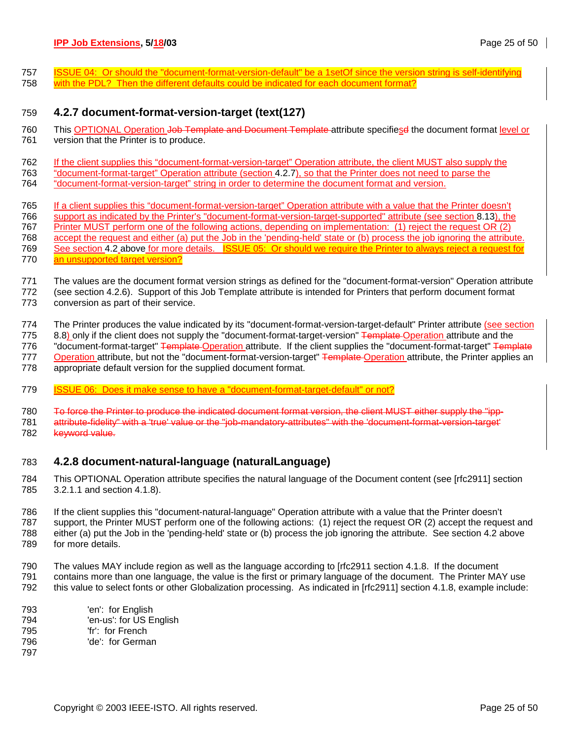757 ISSUE 04: Or should the "document-format-version-default" be a 1setOf since the version string is self-identifying 758 with the PDL? Then the different defaults could be indicated for each document format?

# 759 **4.2.7 document-format-version-target (text(127)**

760 This OPTIONAL Operation Job Template and Document Template attribute specifiesd the document format level or 761 version that the Printer is to produce.

762 If the client supplies this "document-format-version-target" Operation attribute, the client MUST also supply the

- 763 "document-format-target" Operation attribute (section 4.2.7), so that the Printer does not need to parse the
- 764 "document-format-version-target" string in order to determine the document format and version.
- 765 If a client supplies this "document-format-version-target" Operation attribute with a value that the Printer doesn't 766 support as indicated by the Printer's "document-format-version-target-supported" attribute (see section 8.13), the 767 Printer MUST perform one of the following actions, depending on implementation: (1) reject the request OR (2) 768 accept the request and either (a) put the Job in the 'pending-held' state or (b) process the job ignoring the attribute. 769 See section 4.2 above for more details. ISSUE 05: Or should we require the Printer to always reject a request for
- 770 an unsupported target version?
- 771 The values are the document format version strings as defined for the "document-format-version" Operation attribute 772 (see section 4.2.6). Support of this Job Template attribute is intended for Printers that perform document format 773 conversion as part of their service.
- 774 The Printer produces the value indicated by its "document-format-version-target-default" Printer attribute (see section

775 8.8) only if the client does not supply the "document-format-target-version" <del>Template Operation attribute and the</del>

776 "document-format-target" Template Operation attribute. If the client supplies the "document-format-target" Template 777 Operation attribute, but not the "document-format-version-target" Template Operation attribute, the Printer applies an

- 778 appropriate default version for the supplied document format.
- 779 ISSUE 06: Does it make sense to have a "document-format-target-default" or not?
- 780 To force the Printer to produce the indicated document format version, the client MUST either supply the "ipp-781 attribute-fidelity" with a 'true' value or the "job-mandatory-attributes" with the 'document-format-version-target'
- 782 keyword value.

# 783 **4.2.8 document-natural-language (naturalLanguage)**

784 This OPTIONAL Operation attribute specifies the natural language of the Document content (see [rfc2911] section 785 3.2.1.1 and section 4.1.8).

- 786 If the client supplies this "document-natural-language" Operation attribute with a value that the Printer doesn't 787 support, the Printer MUST perform one of the following actions: (1) reject the request OR (2) accept the request and 788 either (a) put the Job in the 'pending-held' state or (b) process the job ignoring the attribute. See section 4.2 above 789 for more details.
- 790 The values MAY include region as well as the language according to [rfc2911 section 4.1.8. If the document 791 contains more than one language, the value is the first or primary language of the document. The Printer MAY use 792 this value to select fonts or other Globalization processing. As indicated in [rfc2911] section 4.1.8, example include:
- 793 'en': for English 794 'en-us': for US English 795 'fr': for French 796 'de': for German 797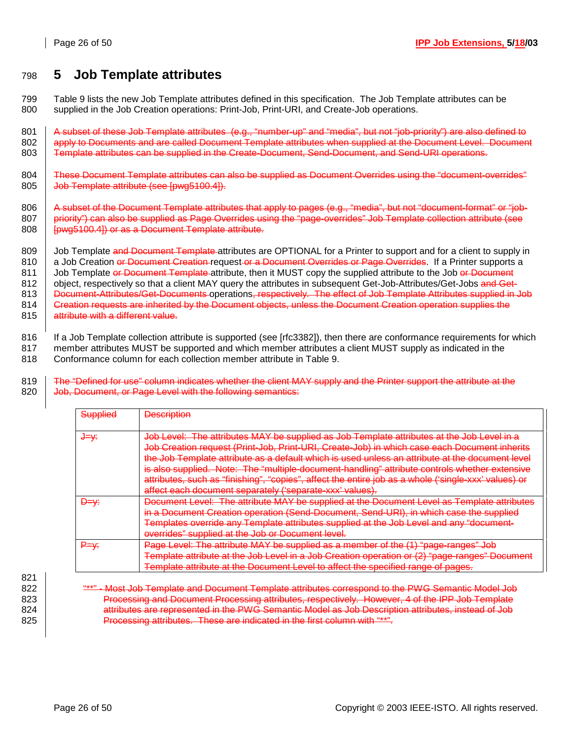# 798 **5 Job Template attributes**

799 Table 9 lists the new Job Template attributes defined in this specification. The Job Template attributes can be 800 supplied in the Job Creation operations: Print-Job, Print-URI, and Create-Job operations.

801 A subset of these Job Template attributes (e.g., "number-up" and "media", but not "job-priority") are also defined to 802 apply to Documents and are called Document Template attributes when supplied at the Document Level. Document 803 Template attributes can be supplied in the Create-Document, Send-Document, and Send-URI operations.

804 These Document Template attributes can also be supplied as Document Overrides using the "document-overrides" 805 | Job Template attribute (see [pwg5100.4]).

806 A subset of the Document Template attributes that apply to pages (e.g., "media", but not "document-format" or "job-807 | priority") can also be supplied as Page Overrides using the "page-overrides" Job Template collection attribute (see 808 | [pwg5100.4]) or as a Document Template attribute.

809 Job Template and Document Template attributes are OPTIONAL for a Printer to support and for a client to supply in 810 a Job Creation or Document Creation request or a Document Overrides or Page Overrides. If a Printer supports a 811 Job Template or Document Template attribute, then it MUST copy the supplied attribute to the Job or Document 812 | object, respectively so that a client MAY query the attributes in subsequent Get-Job-Attributes/Get-Jobs and Get-813 | Document-Attributes/Get-Documents operations, respectively. The effect of Job Template Attributes supplied in Job

814 Creation requests are inherited by the Document objects, unless the Document Creation operation supplies the 815 attribute with a different value.

816 If a Job Template collection attribute is supported (see [rfc3382]), then there are conformance requirements for which 817 member attributes MUST be supported and which member attributes a client MUST supply as indicated in the

818 Conformance column for each collection member attribute in Table 9.

819 The "Defined for use" column indicates whether the client MAY supply and the Printer support the attribute at the 820 **Job, Document, or Page Level with the following semantics:** 

| Supplied        | <b>Description</b>                                                                                                                                                                                                                                                                                                                                                                                                                                                                                |
|-----------------|---------------------------------------------------------------------------------------------------------------------------------------------------------------------------------------------------------------------------------------------------------------------------------------------------------------------------------------------------------------------------------------------------------------------------------------------------------------------------------------------------|
| <del>J=γ∶</del> | Job Level:  The attributes MAY be supplied as Job Template attributes at the Job Level in a<br>Job Creation request (Print-Job, Print-URI, Create-Job) in which case each Document inherits<br>the Job Template attribute as a default which is used unless an attribute at the document<br>is also supplied. Note: The "multiple-document-handling" attribute controls whether extensive<br>attributes, such as "finishing", "copies", affect the entire job as a whole ('single-xxx' values) or |
|                 | affect each document separately ('separate-xxx' values).                                                                                                                                                                                                                                                                                                                                                                                                                                          |
| <del>D=v∶</del> | <u> Document Level: The attribute MAY be supplied at the Document Level as Template attributes</u><br>in a Document Creation operation (Send-Document, Send-URI), in which case the supplied<br>Templates override any Template attributes supplied at the Job Level and any "document-<br>overrides" supplied at the Job or Document level.                                                                                                                                                      |
|                 | Page Level: The attribute MAY be supplied as a member of the (1) "page-ranges" Job<br>Template attribute at the Job Level in a Job Creation operation or (2) "page-ranges" Document<br>Level to affect the specified range of pages.<br>at the attribute at the                                                                                                                                                                                                                                   |

821

822 **Was a "\*\*" - Most Job Template and Document Template attributes correspond to the PWG Semantic Model Job** 823 Processing and Document Processing attributes, respectively. However, 4 of the IPP Job Template 824 **attributes are represented in the PWG Semantic Model as Job Description attributes, instead of Job** 825 | Processing attributes. These are indicated in the first column with "\*\*".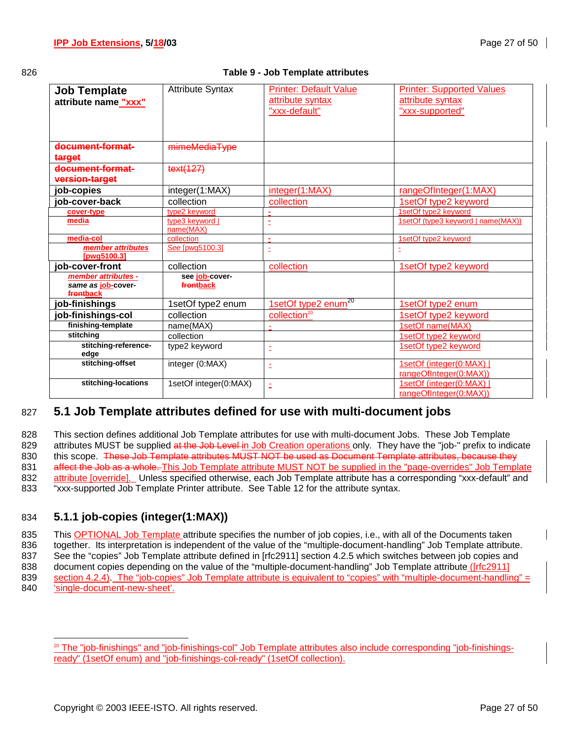### 826 **Table 9 - Job Template attributes**

| <b>Job Template</b><br>attribute name "xxx"            | <b>Attribute Syntax</b>      | <b>Printer: Default Value</b><br>attribute syntax | <b>Printer: Supported Values</b><br>attribute syntax |
|--------------------------------------------------------|------------------------------|---------------------------------------------------|------------------------------------------------------|
|                                                        |                              | "xxx-default"                                     | "xxx-supported"                                      |
| document-format-<br>target                             | mimeMediaType                |                                                   |                                                      |
| document-format-<br>version-target                     | text(127)                    |                                                   |                                                      |
| job-copies                                             | integer(1:MAX)               | integer(1:MAX)                                    | rangeOfInteger(1:MAX)                                |
| job-cover-back                                         | collection                   | collection                                        | 1setOf type2 keyword                                 |
| cover-type                                             | type2 keyword                |                                                   | 1setOf type2 keyword                                 |
| media                                                  | type3 keyword  <br>name(MAX) |                                                   | 1setOf (type3 keyword   name(MAX))                   |
| media-col                                              | collection                   | $\blacksquare$                                    | 1setOf type2 keyword                                 |
| member attributes<br>[pwg5100.3]                       | See [pwg5100.3]              | È,                                                | Ξ                                                    |
| job-cover-front                                        | collection                   | collection                                        | 1setOf type2 keyword                                 |
| member attributes -<br>same as job-cover-<br>frontback | see job-cover-<br>frontback  |                                                   |                                                      |
| job-finishings                                         | 1setOf type2 enum            | 1setOf type2 enum <sup>20</sup>                   | 1setOf type2 enum                                    |
| job-finishings-col                                     | collection                   | collection <sup>20</sup>                          | 1setOf type2 keyword                                 |
| finishing-template                                     | name(MAX)                    |                                                   | 1setOf name(MAX)                                     |
| stitching                                              | collection                   |                                                   | 1setOf type2 keyword                                 |
| stitching-reference-<br>edge                           | type2 keyword                | Ì                                                 | 1setOf type2 keyword                                 |
| stitching-offset                                       | integer (0:MAX)              | ż                                                 | 1setOf (integer(0:MAX)  <br>rangeOfInteger(0:MAX))   |
| stitching-locations                                    | 1setOf integer(0:MAX)        | Ė                                                 | 1setOf (integer(0:MAX)<br>rangeOfInteger(0:MAX))     |

# 827 **5.1 Job Template attributes defined for use with multi-document jobs**

828 This section defines additional Job Template attributes for use with multi-document Jobs. These Job Template 829 attributes MUST be supplied at the Job Level in Job Creation operations only. They have the "job-" prefix to indicate 830 this scope. These Job Template attributes MUST NOT be used as Document Template attributes, because they 831 affect the Job as a whole. This Job Template attribute MUST NOT be supplied in the "page-overrides" Job Template 832 attribute [override]. Unless specified otherwise, each Job Template attribute has a corresponding "xxx-default" and 833 "xxx-supported Job Template Printer attribute. See Table 12 for the attribute syntax.

# 834 **5.1.1 job-copies (integer(1:MAX))**

835 This OPTIONAL Job Template attribute specifies the number of job copies, i.e., with all of the Documents taken 836 together. Its interpretation is independent of the value of the "multiple-document-handling" Job Template attribute. 837 See the "copies" Job Template attribute defined in [rfc2911] section 4.2.5 which switches between job copies and 838 document copies depending on the value of the "multiple-document-handling" Job Template attribute ([rfc2911] 839 section 4.2.4). The "job-copies" Job Template attribute is equivalent to "copies" with "multiple-document-handling" = 840 'single-document-new-sheet'.

l <sup>20</sup> The "job-finishings" and "job-finishings-col" Job Template attributes also include corresponding "job-finishingsready" (1setOf enum) and "job-finishings-col-ready" (1setOf collection).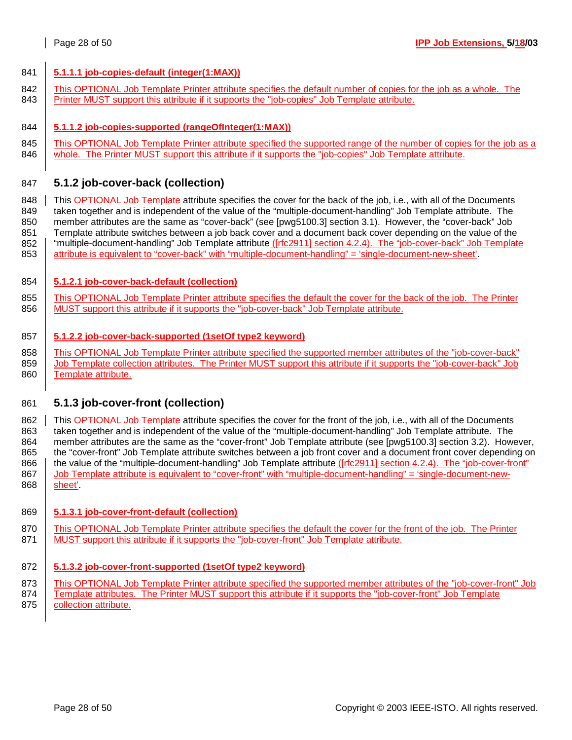### 841 **5.1.1.1 job-copies-default (integer(1:MAX))**

- 842 | This OPTIONAL Job Template Printer attribute specifies the default number of copies for the job as a whole. The
- 843 Printer MUST support this attribute if it supports the "job-copies" Job Template attribute.
- 844 **5.1.1.2 job-copies-supported (rangeOfInteger(1:MAX))**
- 845 | This OPTIONAL Job Template Printer attribute specified the supported range of the number of copies for the job as a 846 whole. The Printer MUST support this attribute if it supports the "job-copies" Job Template attribute.

### 847 **5.1.2 job-cover-back (collection)**

848 This OPTIONAL Job Template attribute specifies the cover for the back of the job, i.e., with all of the Documents 849 taken together and is independent of the value of the "multiple-document-handling" Job Template attribute. The 850 member attributes are the same as "cover-back" (see [pwg5100.3] section 3.1). However, the "cover-back" Job 851 Template attribute switches between a job back cover and a document back cover depending on the value of the 852 | "multiple-document-handling" Job Template attribute ([rfc2911] section 4.2.4). The "job-cover-back" Job Template 853 attribute is equivalent to "cover-back" with "multiple-document-handling" = 'single-document-new-sheet'.

### 854 **5.1.2.1 job-cover-back-default (collection)**

855 This OPTIONAL Job Template Printer attribute specifies the default the cover for the back of the job. The Printer 856 | MUST support this attribute if it supports the "job-cover-back" Job Template attribute.

### 857 **5.1.2.2 job-cover-back-supported (1setOf type2 keyword)**

858 This OPTIONAL Job Template Printer attribute specified the supported member attributes of the "iob-cover-back" 859 Job Template collection attributes. The Printer MUST support this attribute if it supports the "job-cover-back" Job 860 | Template attribute.

### 861 **5.1.3 job-cover-front (collection)**

862 This OPTIONAL Job Template attribute specifies the cover for the front of the job, i.e., with all of the Documents 863 taken together and is independent of the value of the "multiple-document-handling" Job Template attribute. The 864 member attributes are the same as the "cover-front" Job Template attribute (see [pwg5100.3] section 3.2). However, 865 the "cover-front" Job Template attribute switches between a job front cover and a document front cover depending on 866 the value of the "multiple-document-handling" Job Template attribute ([rfc2911] section 4.2.4). The "job-cover-front" 867 Job Template attribute is equivalent to "cover-front" with "multiple-document-handling" = 'single-document-new-868 sheet'

### 869 **5.1.3.1 job-cover-front-default (collection)**

870 | This OPTIONAL Job Template Printer attribute specifies the default the cover for the front of the job. The Printer 871 MUST support this attribute if it supports the "job-cover-front" Job Template attribute.

### 872 **5.1.3.2 job-cover-front-supported (1setOf type2 keyword)**

- 873 | This OPTIONAL Job Template Printer attribute specified the supported member attributes of the "job-cover-front" Job
- 874 Template attributes. The Printer MUST support this attribute if it supports the "job-cover-front" Job Template 875 **collection attribute.**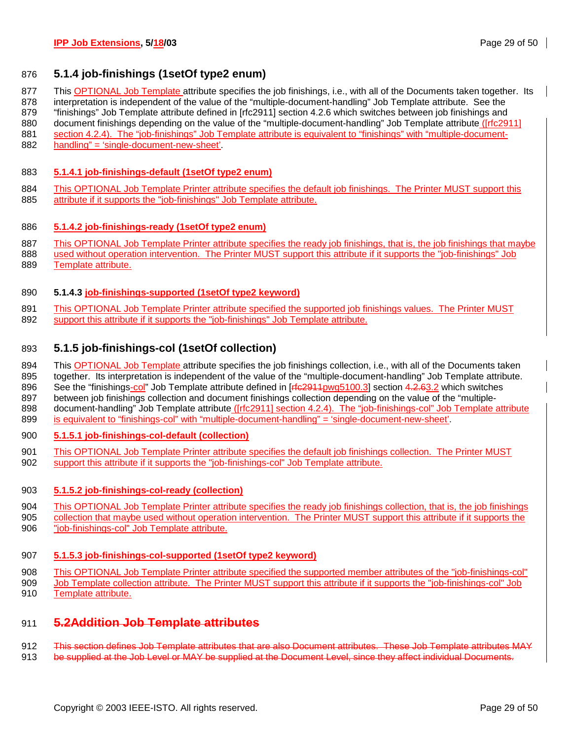## 876 **5.1.4 job-finishings (1setOf type2 enum)**

877 This OPTIONAL Job Template attribute specifies the job finishings, i.e., with all of the Documents taken together. Its

878 interpretation is independent of the value of the "multiple-document-handling" Job Template attribute. See the

- 879 "finishings" Job Template attribute defined in [rfc2911] section 4.2.6 which switches between job finishings and 880 document finishings depending on the value of the "multiple-document-handling" Job Template attribute ([rfc2911]
- 881 section 4.2.4). The "job-finishings" Job Template attribute is equivalent to "finishings" with "multiple-document-
- 882 handling" = 'single-document-new-sheet'.

### 883 **5.1.4.1 job-finishings-default (1setOf type2 enum)**

884 This OPTIONAL Job Template Printer attribute specifies the default job finishings. The Printer MUST support this 885 attribute if it supports the "job-finishings" Job Template attribute.

### 886 **5.1.4.2 job-finishings-ready (1setOf type2 enum)**

- 887 This OPTIONAL Job Template Printer attribute specifies the ready job finishings, that is, the job finishings that maybe
- 888 used without operation intervention. The Printer MUST support this attribute if it supports the "job-finishings" Job 889 Template attribute.

### 890 **5.1.4.3 job-finishings-supported (1setOf type2 keyword)**

891 This OPTIONAL Job Template Printer attribute specified the supported job finishings values. The Printer MUST 892 support this attribute if it supports the "job-finishings" Job Template attribute.

### 893 **5.1.5 job-finishings-col (1setOf collection)**

894 This OPTIONAL Job Template attribute specifies the job finishings collection, i.e., with all of the Documents taken 895 together. Its interpretation is independent of the value of the "multiple-document-handling" Job Template attribute.

- 896 See the "finishings-col" Job Template attribute defined in [r<del>fc2911pwg5100.3]</del> section 4.2.63.2 which switches 897 between job finishings collection and document finishings collection depending on the value of the "multiple-
- 898 document-handling" Job Template attribute ([rfc2911] section 4.2.4). The "job-finishings-col" Job Template attribute 899 is equivalent to "finishings-col" with "multiple-document-handling" = 'single-document-new-sheet'.

### 900 **5.1.5.1 job-finishings-col-default (collection)**

901 This OPTIONAL Job Template Printer attribute specifies the default job finishings collection. The Printer MUST 902 support this attribute if it supports the "job-finishings-col" Job Template attribute.

### 903 **5.1.5.2 job-finishings-col-ready (collection)**

- 904 This OPTIONAL Job Template Printer attribute specifies the ready job finishings collection, that is, the job finishings 905 collection that maybe used without operation intervention. The Printer MUST support this attribute if it supports the
- 906 "job-finishings-col" Job Template attribute.

### 907 **5.1.5.3 job-finishings-col-supported (1setOf type2 keyword)**

- 908 This OPTIONAL Job Template Printer attribute specified the supported member attributes of the "job-finishings-col" 909 Job Template collection attribute. The Printer MUST support this attribute if it supports the "job-finishings-col" Job
- 910 Template attribute.

# 911 **5.2Addition Job Template attributes**

912 This section defines Job Template attributes that are also Document attributes. These Job Template attributes MAY

913 be supplied at the Job Level or MAY be supplied at the Document Level, since they affect individual Documents.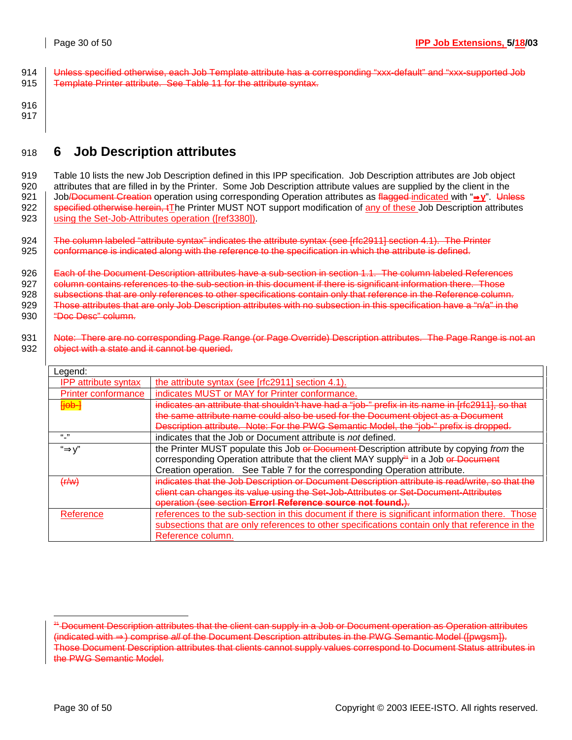- 914 | Unless specified otherwise, each Job Template attribute has a corresponding "xxx-default" and "xxx-supported Job 915 Template Printer attribute. See Table 11 for the attribute syntax.
- 916 917

# 918 **6 Job Description attributes**

919 Table 10 lists the new Job Description defined in this IPP specification. Job Description attributes are Job object 920 attributes that are filled in by the Printer. Some Job Description attribute values are supplied by the client in the 921 Job/Document Creation operation using corresponding Operation attributes as flagged indicated with "⇒**y**". Unless 922 Specified otherwise herein, tThe Printer MUST NOT support modification of any of these Job Description attributes 923 | using the Set-Job-Attributes operation ([ref3380]).

924 The column labeled "attribute syntax" indicates the attribute syntax (see [rfc2911] section 4.1). The Printer  $925$   $\parallel$  conformance is indicated along with the reference to the specification in which the attribute is defined.

926 | Each of the Document Description attributes have a sub-section in section 1.1. The column labeled References 927 **column contains references to the sub-section in this document if there is significant information there. Those**  $928$  subsections that are only references to other specifications contain only that reference in the Reference column. 929 Those attributes that are only Job Description attributes with no subsection in this specification have a "n/a" in the 930 "Doc Desc" column.

931 Note: There are no corresponding Page Range (or Page Override) Description attributes. The Page Range is not an 932 **Signelly** object with a state and it cannot be queried. ו ד Legend:

| reñeua.                     |                                                                                                 |  |  |  |  |  |
|-----------------------------|-------------------------------------------------------------------------------------------------|--|--|--|--|--|
| <b>IPP attribute syntax</b> | the attribute syntax (see [rfc2911] section 4.1).                                               |  |  |  |  |  |
| <b>Printer conformance</b>  | indicates MUST or MAY for Printer conformance.                                                  |  |  |  |  |  |
| Heb-                        | indicates an attribute that shouldn't have had a "job-" prefix in its name in Irfc29111, so-    |  |  |  |  |  |
|                             | the same attribute name could also be used for the Document object as a Document                |  |  |  |  |  |
|                             | Description attribute. Note: For the PWG Semantic Model, the "job-" prefix is dropped.          |  |  |  |  |  |
| ``"                         | indicates that the Job or Document attribute is not defined.                                    |  |  |  |  |  |
| "⇒y'                        | the Printer MUST populate this Job or Document Description attribute by copying from the        |  |  |  |  |  |
|                             | corresponding Operation attribute that the client MAY supply <sup>24</sup> in a Job or Document |  |  |  |  |  |
|                             | Creation operation. See Table 7 for the corresponding Operation attribute.                      |  |  |  |  |  |
| (f/w)                       | indicates that the Job Description or Document Description attribute is read/write, so that the |  |  |  |  |  |
|                             | client can changes its value using the Set-Job-Attributes or Set-Document-Attributes            |  |  |  |  |  |
|                             | operation (see section Error! Reference source not found.).                                     |  |  |  |  |  |
| Reference                   | references to the sub-section in this document if there is significant information there. Those |  |  |  |  |  |
|                             | subsections that are only references to other specifications contain only that reference in the |  |  |  |  |  |
|                             | Reference column.                                                                               |  |  |  |  |  |

l

<sup>&</sup>lt;sup>24</sup> Document Description attributes that the client can supply in a Job or Document operation as Operation attributes (indicated with ⇒) comprise *all* of the Document Description attributes in the PWG Semantic Model ([pwgsm]). Those Document Description attributes that clients cannot supply values correspond to Document Status attributes in the PWG Semantic Model.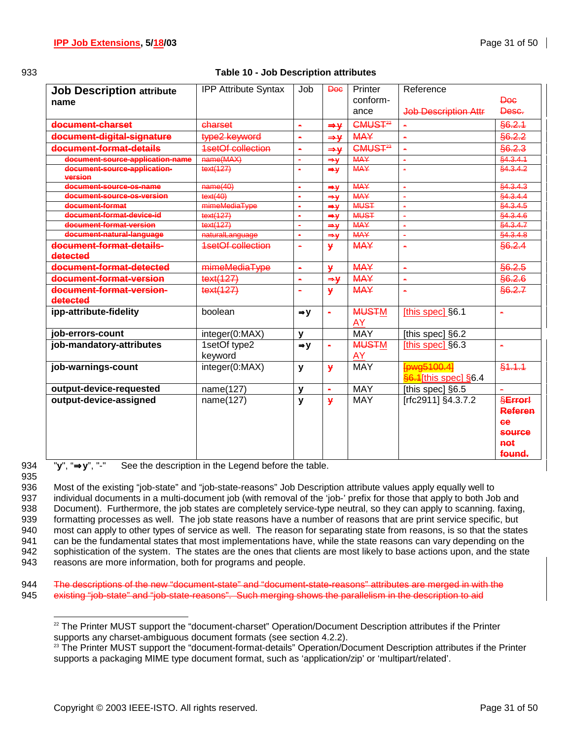### 933 **Table 10 - Job Description attributes**

| <b>Job Description attribute</b><br>name | <b>IPP Attribute Syntax</b> | Job                   | Doc             | Printer<br>conform-            | Reference                           | <b>Doc</b>                                                     |
|------------------------------------------|-----------------------------|-----------------------|-----------------|--------------------------------|-------------------------------------|----------------------------------------------------------------|
|                                          |                             |                       |                 | ance                           | <b>Job Description Attr</b>         | Desc.                                                          |
| document-charset                         | charset                     | $\blacksquare$        | $\Rightarrow$ y | CMUS <sub>T<sup>22</sup></sub> |                                     | \$6.2.1                                                        |
| document-digital-signature               | type2 keyword               | $\blacksquare$        | $\Rightarrow$ y | <b>MAY</b>                     |                                     | §6.2.2                                                         |
| document-format-details                  | 1setOf collection           | $\blacksquare$        | $\Rightarrow$ y | CMUS <sub>T<sup>23</sup></sub> | ÷.                                  | §6.2.3                                                         |
| document-source-application-name         | name(MAX)                   | $\tilde{\phantom{a}}$ | $\Rightarrow$ Y | <b>MAY</b>                     | Ä.                                  | §4.3.4.1                                                       |
| document-source-application-<br>version  | text(127)                   | $\blacksquare$        | $\Rightarrow$ y | <b>MAY</b>                     |                                     | §4.3.4.2                                                       |
| document-source-os-name                  | name(40)                    | $\blacksquare$        | $\Rightarrow$ y | <b>MAY</b>                     | $\blacksquare$                      | §4.3.4.3                                                       |
| document-source-os-version               | text(40)                    | $\blacksquare$        | $\Rightarrow$ y | <b>MAY</b>                     |                                     | §4.3.4.4                                                       |
| document-format                          | mimeMediaType               | $\blacksquare$        | $\Rightarrow$ y | <b>MUST</b>                    | $\blacksquare$                      | §4.3.4.5                                                       |
| document-format-device-id                | text(127)                   | $\blacksquare$        | $\Rightarrow$ y | <b>MUST</b>                    | $\blacksquare$                      | §4.3.4.6                                                       |
| document-format-version                  | text(127)                   | $\blacksquare$        | $\Rightarrow$ y | <b>MAY</b>                     | $\blacksquare$                      | \$4.3.4.7                                                      |
| document-natural-language                | naturalLanguage             | $\blacksquare$        | $\Rightarrow$ y | <b>MAY</b>                     | $\blacksquare$                      | §4.3.4.8                                                       |
| document-format-details-<br>detected     | <b>1setOf collection</b>    | $\blacksquare$        | ¥               | <b>MAY</b>                     | $\blacksquare$                      | §6.2.4                                                         |
| document-format-detected                 | mimeMediaType               | $\blacksquare$        | $\mathbf{y}$    | <b>MAY</b>                     | ä,                                  | \$6.2.5                                                        |
| document-format-version                  | text(127)                   | $\blacksquare$        | $\Rightarrow$   | <b>MAY</b>                     | $\blacksquare$                      | \$6.2.6                                                        |
| document-format-version-                 | text(127)                   | $\blacksquare$        | ¥               | <b>MAY</b>                     | ۰                                   | \$6.2.7                                                        |
| detected                                 |                             |                       |                 |                                |                                     |                                                                |
| ipp-attribute-fidelity                   | boolean                     | $\Rightarrow$ y       | $\blacksquare$  | <b>MUSTM</b><br>AY             | [this spec] §6.1                    | $\blacksquare$                                                 |
| job-errors-count                         | integer(0:MAX)              | $\mathbf v$           |                 | <b>MAY</b>                     | [this spec] §6.2                    |                                                                |
| job-mandatory-attributes                 | 1setOf type2<br>keyword     | $\Rightarrow$ y       | ä,              | <b>MUSTM</b><br>AY             | [this spec] §6.3                    | ä,                                                             |
| job-warnings-count                       | integer(0:MAX)              | y                     | ¥               | <b>MAY</b>                     | Fowg5100.41<br>§6.1[this spec] §6.4 | \$4.4.4                                                        |
| output-device-requested                  | name(127)                   | $\mathbf{v}$          | ×               | <b>MAY</b>                     | [this spec] §6.5                    | $\blacksquare$                                                 |
| output-device-assigned                   | name(127)                   | y                     | ¥               | <b>MAY</b>                     | [rfc2911] §4.3.7.2                  | <b>SError!</b><br><b>Referen</b><br><b>Ge</b><br><b>SOUFCO</b> |
|                                          |                             |                       |                 |                                |                                     | not<br>found.                                                  |

935

l

934 "**y**", "⇒**y**", "-" See the description in the Legend before the table.

936 Most of the existing "job-state" and "job-state-reasons" Job Description attribute values apply equally well to 937 individual documents in a multi-document job (with removal of the 'job-' prefix for those that apply to both Job and 938 Document). Furthermore, the job states are completely service-type neutral, so they can apply to scanning. faxing, 939 formatting processes as well. The job state reasons have a number of reasons that are print service specific, but 940 most can apply to other types of service as well. The reason for separating state from reasons, is so that the states 941 can be the fundamental states that most implementations have, while the state reasons can vary depending on the 942 sophistication of the system. The states are the ones that clients are most likely to base actions upon, and the state 943 reasons are more information, both for programs and people.

944 The descriptions of the new "document-state" and "document-state-reasons" attributes are merged in with the 945 existing "job-state" and "job-state-reasons". Such merging shows the parallelism in the description to aid

<sup>&</sup>lt;sup>22</sup> The Printer MUST support the "document-charset" Operation/Document Description attributes if the Printer supports any charset-ambiguous document formats (see section 4.2.2).

<sup>&</sup>lt;sup>23</sup> The Printer MUST support the "document-format-details" Operation/Document Description attributes if the Printer supports a packaging MIME type document format, such as 'application/zip' or 'multipart/related'.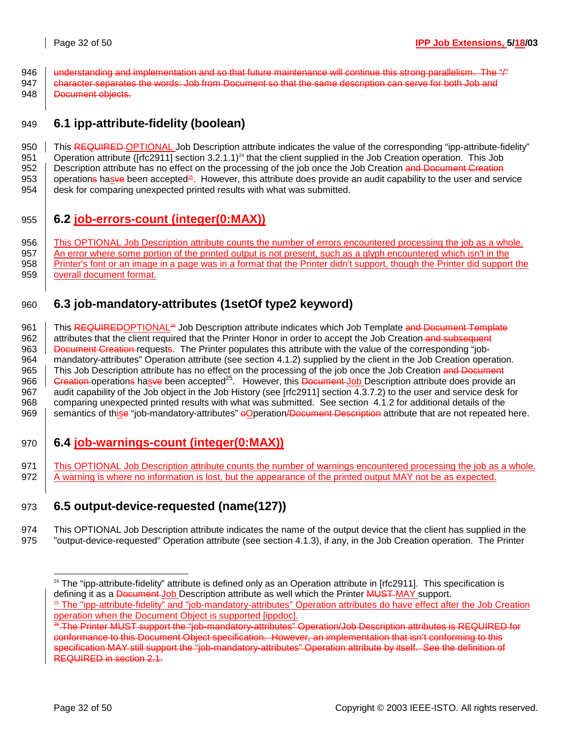946  $\parallel$  understanding and implementation and so that future maintenance will continue this strong parallelism. The "/" 947 character separates the words: Job from Document so that the same description can serve for both Job and 948 **Document objects.** 

949 **6.1 ipp-attribute-fidelity (boolean)** 

950 This REQUIRED OPTIONAL Job Description attribute indicates the value of the corresponding "ipp-attribute-fidelity" 951 Operation attribute ([rfc2911] section  $3.2.1.1$ )<sup>24</sup> that the client supplied in the Job Creation operation. This Job 952 | Description attribute has no effect on the processing of the job once the Job Creation and Document Creation 953 | operations hasve been accepted<sup>25</sup>. However, this attribute does provide an audit capability to the user and service 954 | desk for comparing unexpected printed results with what was submitted.

955 **6.2 job-errors-count (integer(0:MAX))**

956 This OPTIONAL Job Description attribute counts the number of errors encountered processing the job as a whole. 957 An error where some portion of the printed output is not present, such as a glyph encountered which isn't in the 958 Printer's font or an image in a page was in a format that the Printer didn't support, though the Printer did support the 959 overall document format.

# 960 **6.3 job-mandatory-attributes (1setOf type2 keyword)**

961 | This REQUIREDOPTIONAL<sup>26</sup> Job Description attribute indicates which Job Template and Document Template 962 attributes that the client required that the Printer Honor in order to accept the Job Creation and subsequent 963 **Document Creation** requests. The Printer populates this attribute with the value of the corresponding "job-964 mandatory-attributes" Operation attribute (see section 4.1.2) supplied by the client in the Job Creation operation. 965 This Job Description attribute has no effect on the processing of the job once the Job Creation and Document 966  $\overline{)}$  Greation-operations hasve been accepted<sup>25</sup>. However, this Document Job Description attribute does provide an 967 audit capability of the Job object in the Job History (see [rfc2911] section 4.3.7.2) to the user and service desk for 968 comparing unexpected printed results with what was submitted. See section 4.1.2 for additional details of the 969 Semantics of thise "job-mandatory-attributes" oOperation/Document Description attribute that are not repeated here.

- 970 **6.4 job-warnings-count (integer(0:MAX))**
- 971 This OPTIONAL Job Description attribute counts the number of warnings encountered processing the job as a whole. 972 A warning is where no information is lost, but the appearance of the printed output MAY not be as expected.

# 973 **6.5 output-device-requested (name(127))**

974 This OPTIONAL Job Description attribute indicates the name of the output device that the client has supplied in the 975 "output-device-requested" Operation attribute (see section 4.1.3), if any, in the Job Creation operation. The Printer

l

 $24$  The "ipp-attribute-fidelity" attribute is defined only as an Operation attribute in [rfc2911]. This specification is defining it as a <del>Document Job</del> Description attribute as well which the Printer <del>MUST MAY</del> support.<br><sup>25</sup> The "ipp-attribute-fidelity" and "job-mandatory-attributes" Operation attributes do have effect after the Job Creatio operation when the Document Object is supported [ippdoc].

<sup>&</sup>lt;sup>26</sup> The Printer MUST support the "job-mandatory-attributes" Operation/Job Description attributes is REQUIRED for conformance to this Document Object specification. However, an implementation that isn't conforming to this specification MAY still support the "job-mandatory-attributes" Operation attribute by itself. See the definition of REQUIRED in section 2.1.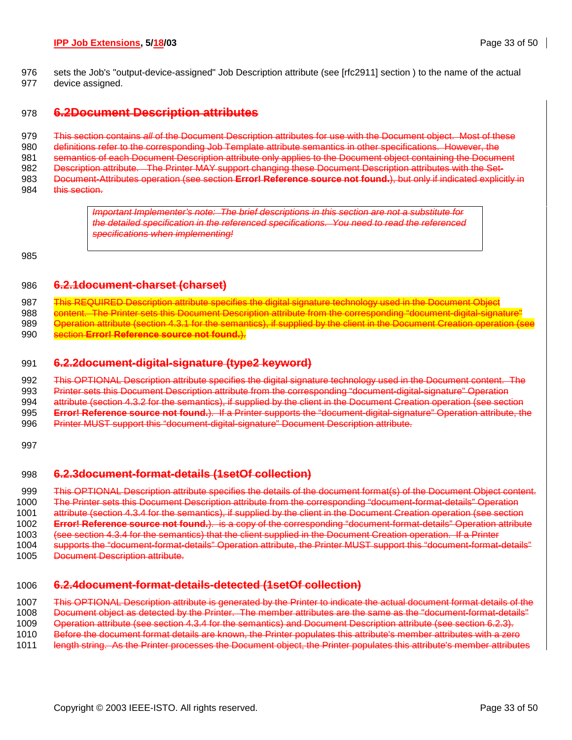### **IPP Job Extensions, 5/18/03 Page 33 of 50**

976 sets the Job's "output-device-assigned" Job Description attribute (see [rfc2911] section ) to the name of the actual 977 device assigned.

### 978 **6.2Document Description attributes**

979 This section contains *all* of the Document Description attributes for use with the Document object. Most of these 980 definitions refer to the corresponding Job Template attribute semantics in other specifications. However, the 981 semantics of each Document Description attribute only applies to the Document object containing the Document 982 Description attribute. The Printer MAY support changing these Document Description attributes with the Set-983 Document-Attributes operation (see section **Error! Reference source not found.**), but only if indicated explicitly in 984 this section.

> *Important Implementer's note: The brief descriptions in this section are not a substitute for the detailed specification in the referenced specifications. You need to read the referenced specifications when implementing!*

985

### 986 **6.2.1document-charset (charset)**

987 This REQUIRED Description attribute specifies the digital signature technology used in the Document Object 988 content. The Printer sets this Document Description attribute from the corresponding "document-digital-signature"

- 989 **Operation attribute (section 4.3.1 for the semantics), if supplied by the client in the Document Creation operation (see** 990 section **Error! Reference source not found.**).
- 

### 991 **6.2.2document-digital-signature (type2 keyword)**

992 This OPTIONAL Description attribute specifies the digital signature technology used in the Document content. The 993 Printer sets this Document Description attribute from the corresponding "document-digital-signature" Operation 994 attribute (section 4.3.2 for the semantics), if supplied by the client in the Document Creation operation (see section 995 **Error! Reference source not found.**). If a Printer supports the "document-digital-signature" Operation attribute, the 996 Printer MUST support this "document-digital-signature" Document Description attribute.

997

### 998 **6.2.3document-format-details (1setOf collection)**

999 This OPTIONAL Description attribute specifies the details of the document format(s) of the Document Object content. 1000 The Printer sets this Document Description attribute from the corresponding "document-format-details" Operation

1001 attribute (section 4.3.4 for the semantics), if supplied by the client in the Document Creation operation (see section

1002 **Error! Reference source not found.**). is a copy of the corresponding "document-format-details" Operation attribute

1003 (see section 4.3.4 for the semantics) that the client supplied in the Document Creation operation. If a Printer

- 1004 supports the "document-format-details" Operation attribute, the Printer MUST support this "document-format-details"
- 1005 Document Description attribute.

### 1006 **6.2.4document-format-details-detected (1setOf collection)**

1007 This OPTIONAL Description attribute is generated by the Printer to indicate the actual document format details of the

1008 Document object as detected by the Printer. The member attributes are the same as the "document-format-details"

1009 Operation attribute (see section 4.3.4 for the semantics) and Document Description attribute (see section 6.2.3).

1010 Before the document format details are known, the Printer populates this attribute's member attributes with a zero

1011 length string. As the Printer processes the Document object, the Printer populates this attribute's member attributes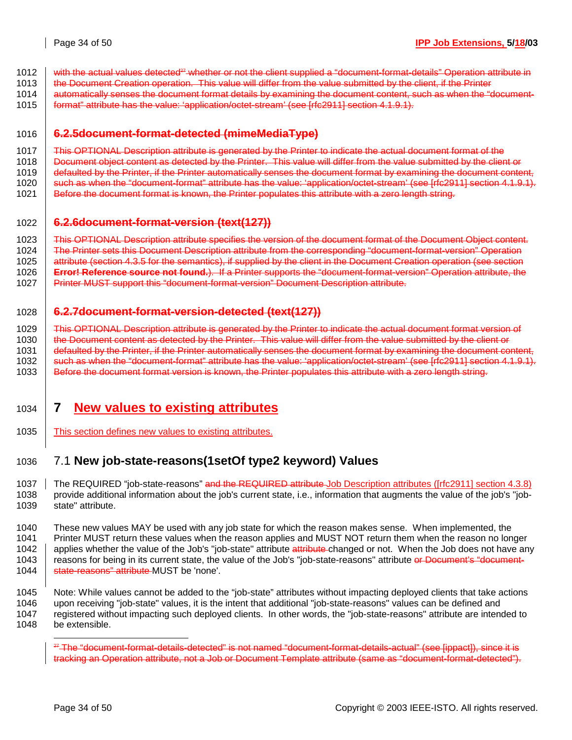- 1012 with the actual values detected<sup>27</sup> whether or not the client supplied a "document-format-details" Operation attribute in
- 1013 the Document Creation operation. This value will differ from the value submitted by the client, if the Printer
- 1014 automatically senses the document format details by examining the document content, such as when the "document-
- 1015 **format**" attribute has the value: 'application/octet-stream' (see [rfc2911] section 4.1.9.1).

### 1016 **6.2.5document-format-detected (mimeMediaType)**

- 1017 This OPTIONAL Description attribute is generated by the Printer to indicate the actual document format of the
- 1018 Document object content as detected by the Printer. This value will differ from the value submitted by the client or
- 1019 | defaulted by the Printer, if the Printer automatically senses the document format by examining the document content,
- 1020 such as when the "document-format" attribute has the value: 'application/octet-stream' (see [rfc2911] section 4.1.9.1).
- 1021 | Before the document format is known, the Printer populates this attribute with a zero length string.

# 1022 **6.2.6document-format-version (text(127))**

1023 This OPTIONAL Description attribute specifies the version of the document format of the Document Object content. 1024 The Printer sets this Document Description attribute from the corresponding "document-format-version" Operation 1025 attribute (section 4.3.5 for the semantics), if supplied by the client in the Document Creation operation (see section

- 1026 **Error! Reference source not found.**). If a Printer supports the "document-format-version" Operation attribute, the 1027 Printer MUST support this "document-format-version" Document Description attribute.
- 

### 1028 **6.2.7document-format-version-detected (text(127))**

1029 This OPTIONAL Description attribute is generated by the Printer to indicate the actual document format version of 1030 the Document content as detected by the Printer. This value will differ from the value submitted by the client or 1031 defaulted by the Printer, if the Printer automatically senses the document format by examining the document content, 1032 such as when the "document-format" attribute has the value: 'application/octet-stream' (see [rfc2911] section 4.1.9.1). 1033 Before the document format version is known, the Printer populates this attribute with a zero length string.

# 1034 **7 New values to existing attributes**

1035 This section defines new values to existing attributes.

# 1036 7.1 **New job-state-reasons(1setOf type2 keyword) Values**

1037 The REQUIRED "job-state-reasons" and the REQUIRED attribute Job Description attributes ([rfc2911] section 4.3.8) 1038 provide additional information about the job's current state, i.e., information that augments the value of the job's "job-1039 state" attribute.

1040 These new values MAY be used with any job state for which the reason makes sense. When implemented, the 1041 Printer MUST return these values when the reason applies and MUST NOT return them when the reason no longer 1042 applies whether the value of the Job's "job-state" attribute attribute changed or not. When the Job does not have any 1043 | reasons for being in its current state, the value of the Job's "job-state-reasons" attribute or Document's "document-1044 **State-reasons**" attribute MUST be 'none'.

1045 Note: While values cannot be added to the "job-state" attributes without impacting deployed clients that take actions 1046 upon receiving "job-state" values, it is the intent that additional "job-state-reasons" values can be defined and 1047 registered without impacting such deployed clients. In other words, the "job-state-reasons" attribute are intended to 1048 be extensible.

l

<sup>&</sup>lt;sup>27</sup> The "document-format-details-detected" is not named "document-format-details-actual" (see [ippact]), since it is tracking an Operation attribute, not a Job or Document Template attribute (same as "document-format-detected").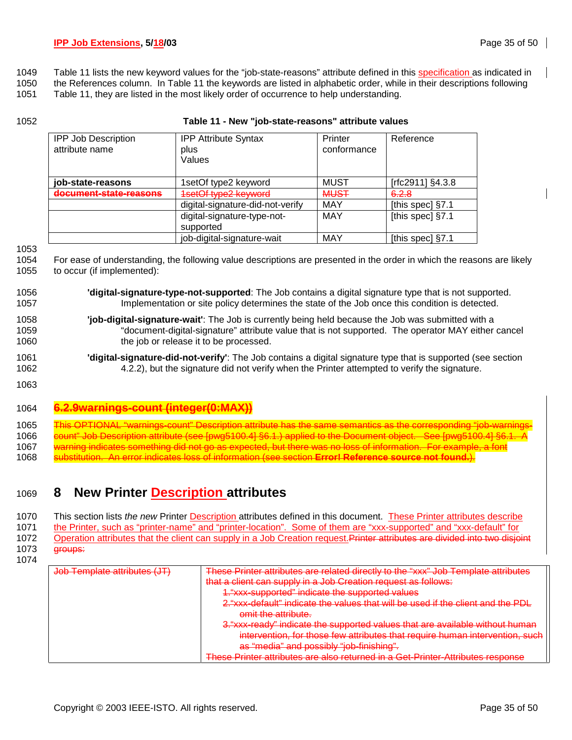- 1049 Table 11 lists the new keyword values for the "job-state-reasons" attribute defined in this specification as indicated in
- 1050 the References column. In Table 11 the keywords are listed in alphabetic order, while in their descriptions following
- 1051 Table 11, they are listed in the most likely order of occurrence to help understanding.
- 

### 1052 **Table 11 - New "job-state-reasons" attribute values**

| <b>IPP Job Description</b><br>attribute name | <b>IPP Attribute Syntax</b><br>plus<br>Values | Printer<br>conformance | Reference        |
|----------------------------------------------|-----------------------------------------------|------------------------|------------------|
| job-state-reasons                            | 1setOf type2 keyword                          | <b>MUST</b>            | [rfc2911] §4.3.8 |
| document-state-reasons                       | 1setOf type2 keyword                          | <b>MUST</b>            | 6.2.8            |
|                                              | digital-signature-did-not-verify              | MAY                    | [this spec] §7.1 |
|                                              | digital-signature-type-not-<br>supported      | <b>MAY</b>             | [this spec] §7.1 |
|                                              | job-digital-signature-wait                    | MAY                    | [this spec] §7.1 |

1053

1054 For ease of understanding, the following value descriptions are presented in the order in which the reasons are likely 1055 to occur (if implemented):

| 1056 | <b>digital-signature-type-not-supported</b> : The Job contains a digital signature type that is not supported. |
|------|----------------------------------------------------------------------------------------------------------------|
| 1057 | Implementation or site policy determines the state of the Job once this condition is detected.                 |
| 1058 | "job-digital-signature-wait": The Job is currently being held because the Job was submitted with a             |

- 1059 "document-digital-signature" attribute value that is not supported. The operator MAY either cancel 1060 the job or release it to be processed.
- 1061 **'digital-signature-did-not-verify'**: The Job contains a digital signature type that is supported (see section 1062 4.2.2), but the signature did not verify when the Printer attempted to verify the signature.
- 1063

# 1064 **6.2.9warnings-count (integer(0:MAX))**

1065 This OPTIONAL "warnings-count" Description attribute has the same semantics as the corresponding "job-warnings-1066 count" Job Description attribute (see [pwg5100.4] §6.1.) applied to the Document object. See [pwg5100.4] § 1067 warning indicates something did not go as expected, but there was no loss of information. For example

1068 substitution. An error indicates loss of information (see section **Error! Reference source not found.**).

# 1069 **8 New Printer Description attributes**

1070 This section lists *the new* Printer Description attributes defined in this document. These Printer attributes describe 1071 the Printer, such as "printer-name" and "printer-location". Some of them are "xxx-supported" and "xxx-default" for 1072 Operation attributes that the client can supply in a Job Creation request. Printer attributes are divided into two disjoint

1073 groups:

| <u>Inh Tamplata attributes (IT</u> | These Printer attributes are related directly to the "xxx" Job Template attributes |
|------------------------------------|------------------------------------------------------------------------------------|
|                                    | that a client can supply in a Job Creation request as follows:                     |
|                                    | 1."xxx-supported" indicate the supported values                                    |
|                                    | 2, "xxx-default" indicate the values that will be used if the client and the PDL   |
|                                    | omit the attribute.                                                                |
|                                    | 3. "xxx-ready" indicate the supported values that are available without human      |
|                                    | intervention, for those few attributes that require human intervention, such       |
|                                    | as "media" and possibly "job-finishing".                                           |
|                                    | These Printer attributes are also returned in a Cet-Printer-Attributes response    |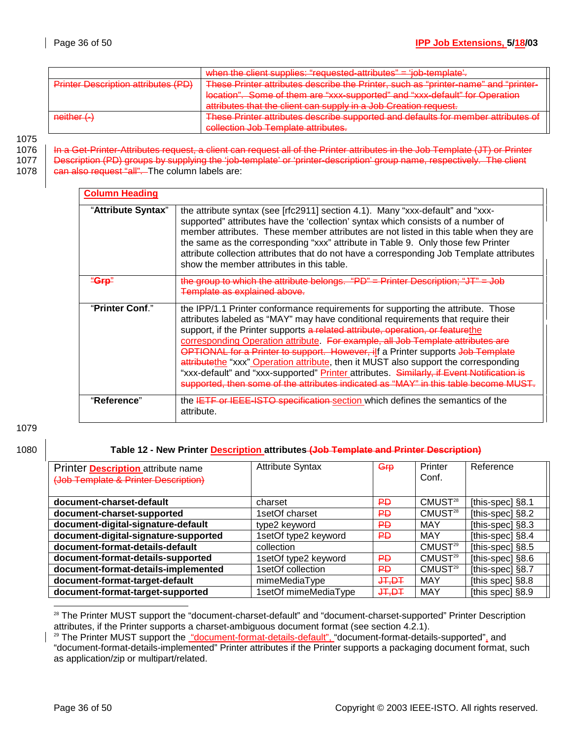|                                            | when the client supplies: "requested-attributes" = 'iob-template'                                                            |
|--------------------------------------------|------------------------------------------------------------------------------------------------------------------------------|
| <b>Drintor Deparintion attributor (DD)</b> | These Printer attributes describe the Printer such as "printer-name" and "printer-<br><del>the rimter, such as printer</del> |
|                                            | location". Some of them are "xxx-supported" and "xxx-default" for Operation                                                  |
|                                            | attributes that the client can supply in a Job Creation request                                                              |
| $neither (-)$                              | These Printer attributes describe supported and defaults for member attributes of                                            |
|                                            | collection Joh Template attributes                                                                                           |

1075

1076 | In a Get-Printer-Attributes request, a client can request all of the Printer attributes in the Job Template (JT) or Printer 1077 | Description (PD) groups by supplying the 'job-template' or 'printer-description' group name, respectively. The client

1078 **can also request "all".** The column labels are:

| <b>Column Heading</b> |                                                                                                                                                                                                                                                                                                                                                                                                                                                                                                                                                                                                                                                                                                       |
|-----------------------|-------------------------------------------------------------------------------------------------------------------------------------------------------------------------------------------------------------------------------------------------------------------------------------------------------------------------------------------------------------------------------------------------------------------------------------------------------------------------------------------------------------------------------------------------------------------------------------------------------------------------------------------------------------------------------------------------------|
| "Attribute Syntax"    | the attribute syntax (see [rfc2911] section 4.1). Many "xxx-default" and "xxx-<br>supported" attributes have the 'collection' syntax which consists of a number of<br>member attributes. These member attributes are not listed in this table when they are<br>the same as the corresponding "xxx" attribute in Table 9. Only those few Printer<br>attribute collection attributes that do not have a corresponding Job Template attributes<br>show the member attributes in this table.                                                                                                                                                                                                              |
| <u>'Grn"</u>          | "PD" = Printer Description; "JT" = Job<br>the group to which the attribute belongs.<br>Template as explained above.                                                                                                                                                                                                                                                                                                                                                                                                                                                                                                                                                                                   |
| "Printer Conf."       | the IPP/1.1 Printer conformance requirements for supporting the attribute. Those<br>attributes labeled as "MAY" may have conditional requirements that require their<br>support, if the Printer supports a related attribute, operation, or featurethe<br>corresponding Operation attribute. For example, all Job Template attributes are<br>OPTIONAL for a Printer to support. However, ilf a Printer supports Job Template<br>attributethe "xxx" Operation attribute, then it MUST also support the corresponding<br>"xxx-default" and "xxx-supported" Printer attributes. Similarly, if Event Notification is<br>supported, then some of the attributes indicated as "MAY" in this table become MI |
| "Reference"           | the <del>IETF or IEEE-ISTO specification</del> section which defines the semantics of the<br>attribute.                                                                                                                                                                                                                                                                                                                                                                                                                                                                                                                                                                                               |

1079

### 1080 **Table 12 - New Printer Description attributes (Job Template and Printer Description)**

| Printer <b>Description</b> attribute name<br>(Job Template & Printer Description) | <b>Attribute Syntax</b> | Grp           | Printer<br>Conf.    | Reference          |
|-----------------------------------------------------------------------------------|-------------------------|---------------|---------------------|--------------------|
| document-charset-default                                                          | charset                 | ₽Đ            | CMUST <sup>28</sup> | [this-spec] §8.1   |
| document-charset-supported                                                        | 1setOf charset          | ₽Đ            | CMUST <sup>28</sup> | [this-spec] §8.2   |
| document-digital-signature-default                                                | type2 keyword           | ₽Đ            | <b>MAY</b>          | [this-spec] §8.3   |
| document-digital-signature-supported                                              | 1setOf type2 keyword    | <b>PD</b>     | <b>MAY</b>          | [this-spec] §8.4   |
| document-format-details-default                                                   | collection              |               | CMUST <sup>29</sup> | [this-spec] §8.5   |
| document-format-details-supported                                                 | 1setOf type2 keyword    | <b>PD</b>     | CMUST <sup>29</sup> | [this-spec] $§8.6$ |
| document-format-details-implemented                                               | 1setOf collection       | <del>PD</del> | CMUST <sup>29</sup> | [this-spec] §8.7   |
| document-format-target-default                                                    | mimeMediaType           | $+4.7 +$      | MAY                 | [this spec] $§8.8$ |
| document-format-target-supported                                                  | 1setOf mimeMediaType    | $+4.7 +$      | MAY                 | [this spec] §8.9   |

l <sup>28</sup> The Printer MUST support the "document-charset-default" and "document-charset-supported" Printer Description attributes, if the Printer supports a charset-ambiguous document format (see section 4.2.1).

<sup>&</sup>lt;sup>29</sup> The Printer MUST support the "document-format-details-default", "document-format-details-supported", and "document-format-details-implemented" Printer attributes if the Printer supports a packaging document format, such as application/zip or multipart/related.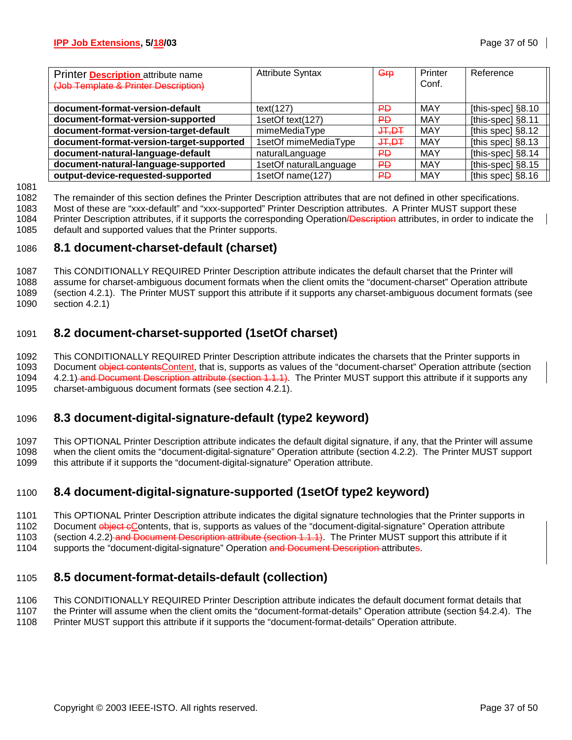| Printer <b>Description</b> attribute name<br>(Job Template & Printer Description) | <b>Attribute Syntax</b> | $G$ <sub>rp</sub> | Printer<br>Conf. | Reference         |
|-----------------------------------------------------------------------------------|-------------------------|-------------------|------------------|-------------------|
| document-format-version-default                                                   | text(127)               | ₽Đ                | MAY              | [this-spec] §8.10 |
| document-format-version-supported                                                 | 1setOf text(127)        | ₽Đ                | MAY              | [this-spec] §8.11 |
| document-format-version-target-default                                            | mimeMediaType           | JT, DT            | <b>MAY</b>       | [this spec] §8.12 |
| document-format-version-target-supported                                          | 1setOf mimeMediaType    | $+4.7$            | MAY              | [this spec] §8.13 |
| document-natural-language-default                                                 | naturalLanguage         | ₽Đ                | MAY              | [this-spec] §8.14 |
| document-natural-language-supported                                               | 1setOf naturalLanguage  | ₽Đ                | MAY              | [this-spec] §8.15 |
| output-device-requested-supported                                                 | 1setOf name(127)        | ₽Đ                | MAY              | [this spec] §8.16 |

1081

1082 The remainder of this section defines the Printer Description attributes that are not defined in other specifications.

1083 Most of these are "xxx-default" and "xxx-supported" Printer Description attributes. A Printer MUST support these 1084 Printer Description attributes, if it supports the corresponding Operation/Description attributes, in order to indicate the

1085 default and supported values that the Printer supports.

### 1086 **8.1 document-charset-default (charset)**

1087 This CONDITIONALLY REQUIRED Printer Description attribute indicates the default charset that the Printer will 1088 assume for charset-ambiguous document formats when the client omits the "document-charset" Operation attribute 1089 (section 4.2.1). The Printer MUST support this attribute if it supports any charset-ambiguous document formats (see 1090 section 4.2.1)

# 1091 **8.2 document-charset-supported (1setOf charset)**

1092 This CONDITIONALLY REQUIRED Printer Description attribute indicates the charsets that the Printer supports in 1093 Document object contentsContent, that is, supports as values of the "document-charset" Operation attribute (section 1094 4.2.1) and Document Description attribute (section 1.1.1). The Printer MUST support this attribute if it supports any 1095 charset-ambiguous document formats (see section 4.2.1).

# 1096 **8.3 document-digital-signature-default (type2 keyword)**

1097 This OPTIONAL Printer Description attribute indicates the default digital signature, if any, that the Printer will assume 1098 when the client omits the "document-digital-signature" Operation attribute (section 4.2.2). The Printer MUST support 1099 this attribute if it supports the "document-digital-signature" Operation attribute.

# 1100 **8.4 document-digital-signature-supported (1setOf type2 keyword)**

1101 This OPTIONAL Printer Description attribute indicates the digital signature technologies that the Printer supports in 1102 Document object cContents, that is, supports as values of the "document-digital-signature" Operation attribute 1103 (section 4.2.2) and Document Description attribute (section 1.1.1). The Printer MUST support this attribute if it

1104 supports the "document-digital-signature" Operation and Document Description-attributes.

# 1105 **8.5 document-format-details-default (collection)**

1106 This CONDITIONALLY REQUIRED Printer Description attribute indicates the default document format details that

1107 the Printer will assume when the client omits the "document-format-details" Operation attribute (section §4.2.4). The 1108 Printer MUST support this attribute if it supports the "document-format-details" Operation attribute.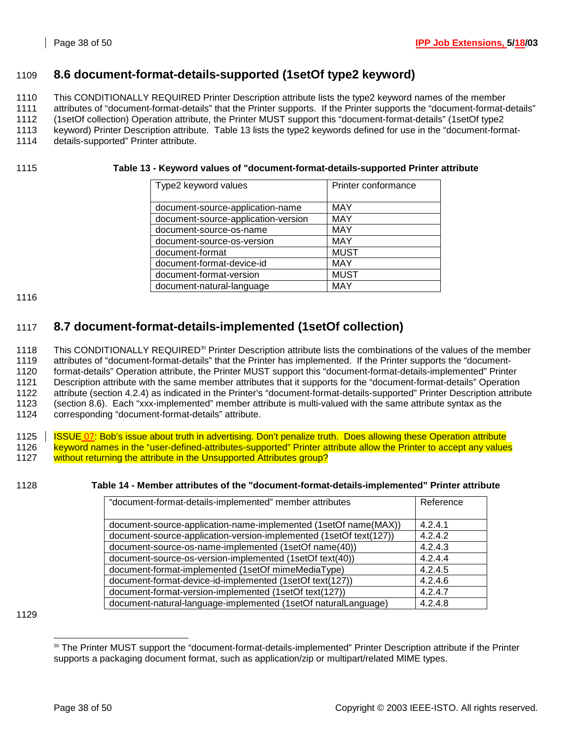# 1109 **8.6 document-format-details-supported (1setOf type2 keyword)**

1110 This CONDITIONALLY REQUIRED Printer Description attribute lists the type2 keyword names of the member

1111 attributes of "document-format-details" that the Printer supports. If the Printer supports the "document-format-details"

1112 (1setOf collection) Operation attribute, the Printer MUST support this "document-format-details" (1setOf type2

1113 keyword) Printer Description attribute. Table 13 lists the type2 keywords defined for use in the "document-format-

1114 details-supported" Printer attribute.

### 1115 **Table 13 - Keyword values of "document-format-details-supported Printer attribute**

| Type2 keyword values                | Printer conformance |
|-------------------------------------|---------------------|
| document-source-application-name    | <b>MAY</b>          |
| document-source-application-version | <b>MAY</b>          |
| document-source-os-name             | <b>MAY</b>          |
| document-source-os-version          | <b>MAY</b>          |
| document-format                     | <b>MUST</b>         |
| document-format-device-id           | <b>MAY</b>          |
| document-format-version             | <b>MUST</b>         |
| document-natural-language           | <b>MAY</b>          |

1116

# 1117 **8.7 document-format-details-implemented (1setOf collection)**

1118 This CONDITIONALLY REQUIRED<sup>30</sup> Printer Description attribute lists the combinations of the values of the member 1119 attributes of "document-format-details" that the Printer has implemented. If the Printer supports the "document-1120 format-details" Operation attribute, the Printer MUST support this "document-format-details-implemented" Printer 1121 Description attribute with the same member attributes that it supports for the "document-format-details" Operation 1122 attribute (section 4.2.4) as indicated in the Printer's "document-format-details-supported" Printer Description attribute 1123 (section 8.6). Each "xxx-implemented" member attribute is multi-valued with the same attribute syntax as the 1124 corresponding "document-format-details" attribute.

1125 | ISSUE 07: Bob's issue about truth in advertising. Don't penalize truth. Does allowing these Operation attribute 1126 keyword names in the "user-defined-attributes-supported" Printer attribute allow the Printer to accept any values 1127 without returning the attribute in the Unsupported Attributes group?

### 1128 **Table 14 - Member attributes of the "document-format-details-implemented" Printer attribute**

| "document-format-details-implemented" member attributes            | Reference |
|--------------------------------------------------------------------|-----------|
|                                                                    |           |
| document-source-application-name-implemented (1setOf name(MAX))    | 4.2.4.1   |
| document-source-application-version-implemented (1setOf text(127)) | 4.2.4.2   |
| document-source-os-name-implemented (1setOf name(40))              | 4.2.4.3   |
| document-source-os-version-implemented (1setOf text(40))           | 4.2.4.4   |
| document-format-implemented (1setOf mimeMediaType)                 | 4.2.4.5   |
| document-format-device-id-implemented (1setOf text(127))           | 4.2.4.6   |
| document-format-version-implemented (1setOf text(127))             | 4.2.4.7   |
| document-natural-language-implemented (1setOf naturalLanguage)     | 4.2.4.8   |

l <sup>30</sup> The Printer MUST support the "document-format-details-implemented" Printer Description attribute if the Printer supports a packaging document format, such as application/zip or multipart/related MIME types.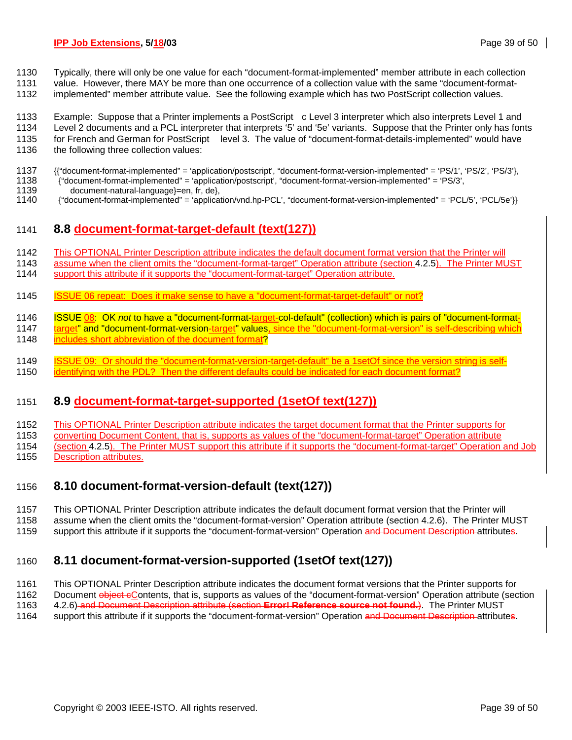- 1130 Typically, there will only be one value for each "document-format-implemented" member attribute in each collection
- 1131 value. However, there MAY be more than one occurrence of a collection value with the same "document-format-
- 1132 implemented" member attribute value. See the following example which has two PostScript collection values.
- 1133 Example: Suppose that a Printer implements a PostScript<sup>™</sup>c Level 3 interpreter which also interprets Level 1 and
- 1134 Level 2 documents and a PCL interpreter that interprets '5' and '5e' variants. Suppose that the Printer only has fonts
- 1135 for French and German for PostScript™ level 3. The value of "document-format-details-implemented" would have<br>1136 the following three collection values:
- the following three collection values:
- 1137 {{"document-format-implemented" = 'application/postscript', "document-format-version-implemented" = 'PS/1', 'PS/2', 'PS/3'},<br>1138 {"document-format-implemented" = 'application/postscript', "document-format-version-imp
- 1138 {"document-format-implemented" = 'application/postscript', "document-format-version-implemented" = 'PS/3',
- 1139 document-natural-language}=en, fr, de},<br>1140 f"document-format-implemented" = 'applica
- 1140 {"document-format-implemented" = 'application/vnd.hp-PCL', "document-format-version-implemented" = 'PCL/5', 'PCL/5e'}}

# 1141 **8.8 document-format-target-default (text(127))**

- 1142 This OPTIONAL Printer Description attribute indicates the default document format version that the Printer will
- 1143 assume when the client omits the "document-format-target" Operation attribute (section 4.2.5). The Printer MUST
- 1144 support this attribute if it supports the "document-format-target" Operation attribute.
- 1145 ISSUE 06 repeat: Does it make sense to have a "document-format-target-default" or not?
- 1146 ISSUE 08: OK *not* to have a "document-format-target-col-default" (collection) which is pairs of "document-format-
- 1147 target" and "document-format-version-target" values, since the "document-format-version" is self-describing which
- 1148 includes short abbreviation of the document format?
- 1149 ISSUE 09: Or should the "document-format-version-target-default" be a 1setOf since the version string is self-
- 1150 identifying with the PDL? Then the different defaults could be indicated for each document format?

# 1151 **8.9 document-format-target-supported (1setOf text(127))**

- 1152 This OPTIONAL Printer Description attribute indicates the target document format that the Printer supports for
- 1153 converting Document Content, that is, supports as values of the "document-format-target" Operation attribute
- 1154 (section 4.2.5). The Printer MUST support this attribute if it supports the "document-format-target" Operation and Job 1155 Description attributes.

# 1156 **8.10 document-format-version-default (text(127))**

- 1157 This OPTIONAL Printer Description attribute indicates the default document format version that the Printer will
- 1158 assume when the client omits the "document-format-version" Operation attribute (section 4.2.6). The Printer MUST
- 1159 support this attribute if it supports the "document-format-version" Operation and Document Description attributes.

# 1160 **8.11 document-format-version-supported (1setOf text(127))**

- 1161 This OPTIONAL Printer Description attribute indicates the document format versions that the Printer supports for
- 1162 Document object eContents, that is, supports as values of the "document-format-version" Operation attribute (section
- 1163 4.2.6) and Document Description attribute (section **Error! Reference source not found.**). The Printer MUST
- 1164 support this attribute if it supports the "document-format-version" Operation and Document Description attributes.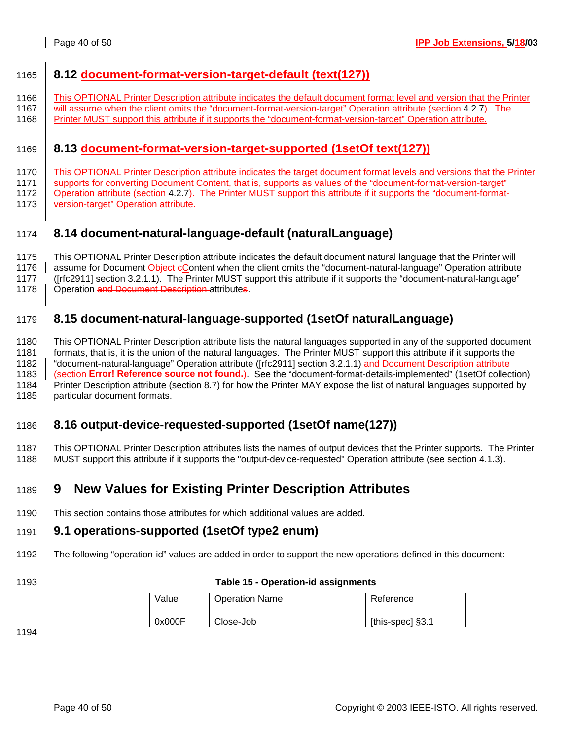# 1165 **8.12 document-format-version-target-default (text(127))**

- 1166 This OPTIONAL Printer Description attribute indicates the default document format level and version that the Printer
- 1167 will assume when the client omits the "document-format-version-target" Operation attribute (section 4.2.7). The 1168 Printer MUST support this attribute if it supports the "document-format-version-target" Operation attribute.

# 1169 **8.13 document-format-version-target-supported (1setOf text(127))**

- 1170 This OPTIONAL Printer Description attribute indicates the target document format levels and versions that the Printer
- 1171 | supports for converting Document Content, that is, supports as values of the "document-format-version-target"
- 1172 | Operation attribute (section 4.2.7). The Printer MUST support this attribute if it supports the "document-format-
- 1173 version-target" Operation attribute.

# 1174 **8.14 document-natural-language-default (naturalLanguage)**

1175 This OPTIONAL Printer Description attribute indicates the default document natural language that the Printer will

1176 assume for Document Object eContent when the client omits the "document-natural-language" Operation attribute

1177 ([rfc2911] section 3.2.1.1). The Printer MUST support this attribute if it supports the "document-natural-language"

1178 | Operation and Document Description attributes.

# 1179 **8.15 document-natural-language-supported (1setOf naturalLanguage)**

1180 This OPTIONAL Printer Description attribute lists the natural languages supported in any of the supported document 1181 formats, that is, it is the union of the natural languages. The Printer MUST support this attribute if it supports the 1182 | "document-natural-language" Operation attribute ([rfc2911] section 3.2.1.1) and Document Description attribute 1183 (section **Error! Reference source not found.**). See the "document-format-details-implemented" (1setOf collection) 1184 Printer Description attribute (section 8.7) for how the Printer MAY expose the list of natural languages supported by 1185 particular document formats.

# 1186 **8.16 output-device-requested-supported (1setOf name(127))**

1187 This OPTIONAL Printer Description attributes lists the names of output devices that the Printer supports. The Printer 1188 MUST support this attribute if it supports the "output-device-requested" Operation attribute (see section 4.1.3).

# 1189 **9 New Values for Existing Printer Description Attributes**

1190 This section contains those attributes for which additional values are added.

# 1191 **9.1 operations-supported (1setOf type2 enum)**

1192 The following "operation-id" values are added in order to support the new operations defined in this document:

### 1193 **Table 15 - Operation-id assignments**

| Value  | <b>Operation Name</b> | Reference        |
|--------|-----------------------|------------------|
| 0x000F | Close-Job             | [this-spec] §3.1 |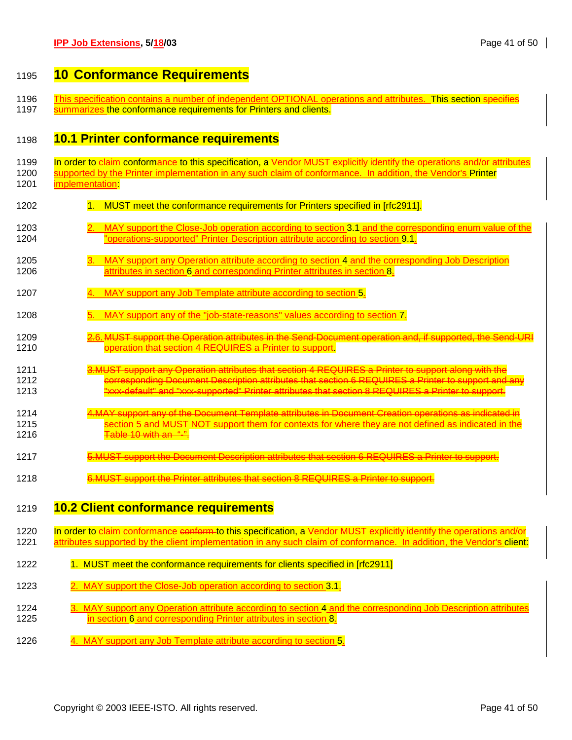# 1195 **10 Conformance Requirements**

- 1196 This specification contains a number of independent OPTIONAL operations and attributes. This section specifies<br>1197 Summarizes the conformance requirements for Printers and clients.
- summarizes the conformance requirements for Printers and clients.

# 1198 **10.1 Printer conformance requirements**

| 1199 | In order to claim conformance to this specification, a Vendor MUST explicitly identify the operations and/or attributes |
|------|-------------------------------------------------------------------------------------------------------------------------|
| 1200 | supported by the Printer implementation in any such claim of conformance. In addition, the Vendor's Printer             |
| 1201 | implementation:                                                                                                         |
| 1202 | 1 <sub>1</sub><br>MUST meet the conformance requirements for Printers specified in [rfc2911].                           |
| 1203 | MAY support the Close-Job operation according to section 3.1 and the corresponding enum value of the                    |
| 1204 | "operations-supported" Printer Description attribute according to section 9.1.                                          |
| 1205 | MAY support any Operation attribute according to section 4 and the corresponding Job Description                        |
| 1206 | attributes in section 6 and corresponding Printer attributes in section 8.                                              |
| 1207 | MAY support any Job Template attribute according to section 5.                                                          |
| 1208 | MAY support any of the "job-state-reasons" values according to section 7.                                               |
| 1209 | 2.6. MUST support the Operation attributes in the Send-Document operation and, if supported, the                        |
| 1210 | operation that section 4 REQUIRES a Printer to support.                                                                 |
| 1211 | 3.MUST support any Operation attributes that section 4 REQUIRES a Printer to support along with the                     |
| 1212 | corresponding Document Description attributes that section 6 REQUIRES a Printer to support and any                      |
| 1213 | xxx-default" and "xxx-supported" Printer attributes that section 8 REQUIRES a Printer to support.                       |
| 1214 | 4.MAY support any of the Document Template attributes in Document Creation operations as indicated in                   |
| 1215 | tion 5 and MUST NOT support them for contexts for where they are not defined as indicated in the                        |
| 1216 | Table 10 with an "-".                                                                                                   |
| 1217 | <u>MUST support the Document Description attributes that section 6 REQUIRES a Printer to support.</u>                   |
| 1218 | MUST support the Printer attributes that section 8 REQUIRES a Printer to support.                                       |
| 1219 | <b>10.2 Client conformance requirements</b>                                                                             |
| 1220 | In order to claim conformance conform to this specification, a Vendor MUST explicitly identify the operations and/or    |
| 1221 | attributes supported by the client implementation in any such claim of conformance. In addition, the Vendor's client:   |
| 1222 | 1. MUST meet the conformance requirements for clients specified in [rfc2911]                                            |
| 1223 | 2. MAY support the Close-Job operation according to section 3.1.                                                        |
| 1224 | MAY support any Operation attribute according to section 4 and the corresponding Job Description attributes             |
| 1225 | in section 6 and corresponding Printer attributes in section 8.                                                         |

1226 4. MAY support any Job Template attribute according to section 5.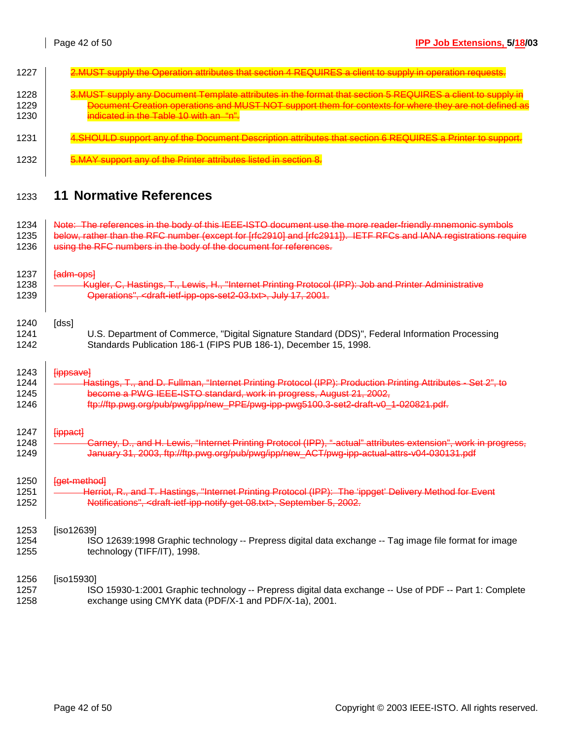| 1228<br>1229<br>1230 | cument Creation operations and MUST NOT support the<br>ndicated in the Table 10 with an "n"                      |
|----------------------|------------------------------------------------------------------------------------------------------------------|
| 1231                 |                                                                                                                  |
| 1232                 |                                                                                                                  |
| 1233                 | <b>11 Normative References</b>                                                                                   |
| 1234                 | Note: The references in the body of this IEEE-ISTO document use the more reader-friendly mnemonic symbols        |
| 1235                 | below, rather than the RFC number (except for [rfc2910] and [rfc2911]). IETF RFCs and IANA registrations require |
| 1236                 | using the RFC numbers in the body of the document for references.                                                |
| 1237                 | fadm-opsl                                                                                                        |
| 1238                 | Kugler, C. Hastings, T., Lewis, H., "Internet Printing Protocol (IPP): Job and Printer Administrative            |
| 1239                 | Operations", <draft-ietf-ipp-ops-set2-03.txt>, July 17, 2001.</draft-ietf-ipp-ops-set2-03.txt>                   |
| 1240                 | [dss]                                                                                                            |
| 1241                 | U.S. Department of Commerce, "Digital Signature Standard (DDS)", Federal Information Processing                  |
| 1242                 | Standards Publication 186-1 (FIPS PUB 186-1), December 15, 1998.                                                 |
| 1243                 | <del>[ippsave]</del>                                                                                             |
| 1244                 | Hastings, T., and D. Fullman, "Internet Printing Protocol (IPP): Production Printing Attributes - Set 2",        |
| 1245                 | become a PWG IEEE-ISTO standard, work in progress, August 21, 2002,                                              |
| 1246                 | ftp://ftp.pwg.org/pub/pwg/ipp/new_PPE/pwg-ipp-pwg5100.3-set2-draft-v0_1-020821.pdf.                              |
| 1247                 | <b>Hippact</b>                                                                                                   |
| 1248                 | Carney, D., and H. Lewis, "Internet Printing Protocol (IPP), "-actual" attributes extension", work in progress,  |
| 1249                 | January 31, 2003, ftp://ftp.pwg.org/pub/pwg/ipp/new_ACT/pwg-ipp-actual-attrs-v04-030131.pdf                      |
| 1250                 | [get-method]                                                                                                     |
| 1251                 | Herriot, R., and T. Hastings, "Internet Printing Protocol (IPP): The 'ippget' Delivery Method for Event          |
| 1252                 | Notifications", <draft-ietf-ipp-notify-get-08.txt>, September 5, 2002.</draft-ietf-ipp-notify-get-08.txt>        |
| 1253                 | [iso12639]                                                                                                       |
| 1254                 | ISO 12639:1998 Graphic technology -- Prepress digital data exchange -- Tag image file format for image           |
| 1255                 | technology (TIFF/IT), 1998.                                                                                      |
| 1256                 | [iso15930]                                                                                                       |

1227 | 2.MUST supply the Operation attributes that section 4 REQUIRES a client to supply in operation requests

1257 ISO 15930-1:2001 Graphic technology -- Prepress digital data exchange -- Use of PDF -- Part 1: Complete 1258 exchange using CMYK data (PDF/X-1 and PDF/X-1a), 2001.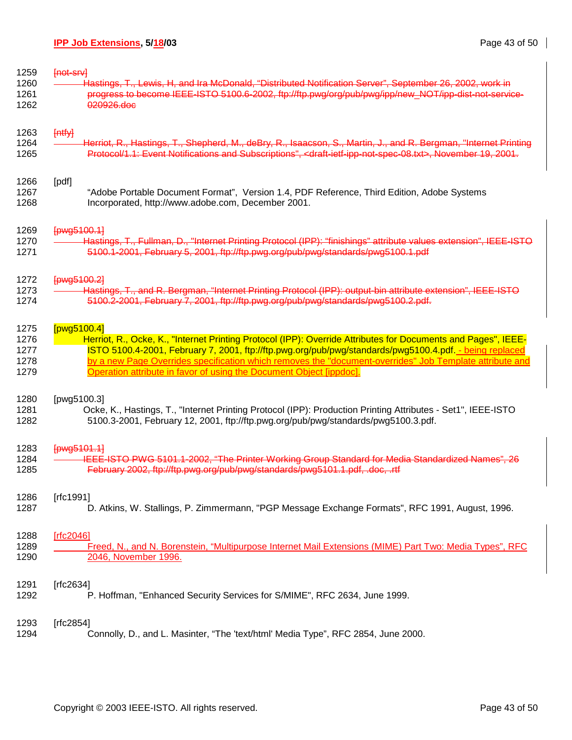| 1259 | [not-srv]                                                                                                                                   |
|------|---------------------------------------------------------------------------------------------------------------------------------------------|
| 1260 | Hastings, T., Lewis, H, and Ira McDonald, "Distributed Notification Server", September 26, 2002, work in                                    |
| 1261 | progress to become IEEE-ISTO 5100.6-2002, ftp://ftp.pwg/org/pub/pwg/ipp/new_NOT/ipp-dist-not-service-                                       |
| 1262 | 020926.doc                                                                                                                                  |
| 1263 | $[$ ntfy]                                                                                                                                   |
| 1264 | Herriot, R., Hastings, T., Shepherd, M., deBry, R., Isaacson, S., Martin, J., and R. Bergman, "Internet Printing                            |
| 1265 | Protocol/1.1: Event Notifications and Subscriptions", <draft-ietf-ipp-not-spec-08.txt>, November 19, 2001.</draft-ietf-ipp-not-spec-08.txt> |
| 1266 | [pdf]                                                                                                                                       |
| 1267 | "Adobe Portable Document Format", Version 1.4, PDF Reference, Third Edition, Adobe Systems                                                  |
| 1268 | Incorporated, http://www.adobe.com, December 2001.                                                                                          |
| 1269 | [pwg5100.1]                                                                                                                                 |
| 1270 | Hastings, T., Fullman, D., "Internet Printing Protocol (IPP): "finishings" attribute values extension", IEEE-ISTO                           |
| 1271 | 5100.1-2001, February 5, 2001, ftp://ftp.pwg.org/pub/pwg/standards/pwg5100.1.pdf                                                            |
| 1272 | [pwg5100.2]                                                                                                                                 |
| 1273 | Hastings, T., and R. Bergman, "Internet Printing Protocol (IPP): output-bin attribute extension", IEEE-ISTO                                 |
| 1274 | 5100.2-2001, February 7, 2001, ftp://ftp.pwg.org/pub/pwg/standards/pwg5100.2.pdf.                                                           |
| 1275 | [pwg5100.4]                                                                                                                                 |
| 1276 | Herriot, R., Ocke, K., "Internet Printing Protocol (IPP): Override Attributes for Documents and Pages", IEEE-                               |
| 1277 | ISTO 5100.4-2001, February 7, 2001, ftp://ftp.pwg.org/pub/pwg/standards/pwg5100.4.pdf. - being replaced                                     |
| 1278 | by a new Page Overrides specification which removes the "document-overrides" Job Template attribute and                                     |
| 1279 | Operation attribute in favor of using the Document Object [ippdoc].                                                                         |
| 1280 | [pwg5100.3]                                                                                                                                 |
| 1281 | Ocke, K., Hastings, T., "Internet Printing Protocol (IPP): Production Printing Attributes - Set1", IEEE-ISTO                                |
| 1282 | 5100.3-2001, February 12, 2001, ftp://ftp.pwg.org/pub/pwg/standards/pwg5100.3.pdf.                                                          |
| 1283 | [pwg5101.1]                                                                                                                                 |
| 1284 | IEEE-ISTO PWG 5101.1-2002, "The Printer Working Group Standard for Media Standardized Names", 26                                            |
| 1285 | February 2002, ftp://ftp.pwg.org/pub/pwg/standards/pwg5101.1.pdf, .doc, .rtf                                                                |
| 1286 | [ $rfc1991$ ]                                                                                                                               |
| 1287 | D. Atkins, W. Stallings, P. Zimmermann, "PGP Message Exchange Formats", RFC 1991, August, 1996.                                             |
| 1288 | [rfc2046]                                                                                                                                   |
| 1289 | Freed, N., and N. Borenstein, "Multipurpose Internet Mail Extensions (MIME) Part Two: Media Types", RFC                                     |
| 1290 | 2046, November 1996.                                                                                                                        |
| 1291 | [ $rfc2634$ ]                                                                                                                               |
| 1292 | P. Hoffman, "Enhanced Security Services for S/MIME", RFC 2634, June 1999.                                                                   |
| 1293 | [ $rfc2854$ ]                                                                                                                               |
| 1294 | Connolly, D., and L. Masinter, "The 'text/html' Media Type", RFC 2854, June 2000.                                                           |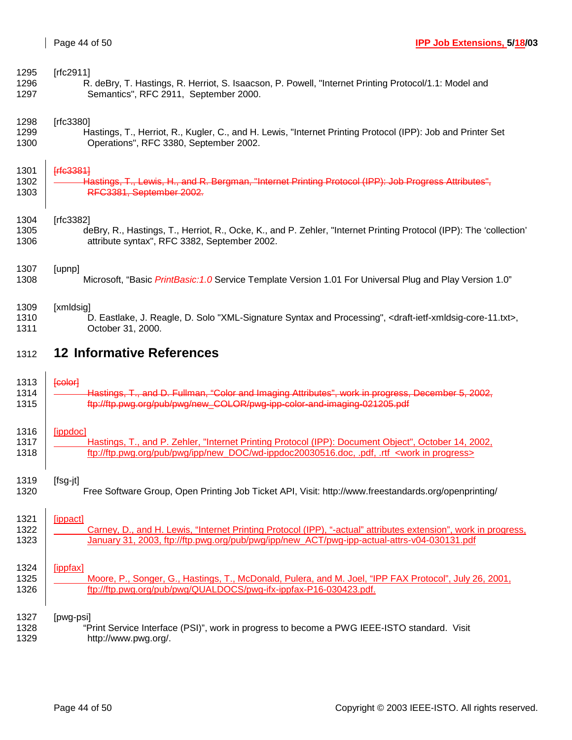| 1295 | [ $rfc2911$ ]                                                                                                                             |
|------|-------------------------------------------------------------------------------------------------------------------------------------------|
| 1296 | R. deBry, T. Hastings, R. Herriot, S. Isaacson, P. Powell, "Internet Printing Protocol/1.1: Model and                                     |
| 1297 | Semantics", RFC 2911, September 2000.                                                                                                     |
| 1298 | [ $rfc3380$ ]                                                                                                                             |
| 1299 | Hastings, T., Herriot, R., Kugler, C., and H. Lewis, "Internet Printing Protocol (IPP): Job and Printer Set                               |
| 1300 | Operations", RFC 3380, September 2002.                                                                                                    |
| 1301 | <b>Frfc33811</b>                                                                                                                          |
| 1302 | Hastings, T., Lewis, H., and R. Bergman, "Internet Printing Protocol (IPP): Job Progress Attributes".                                     |
| 1303 | RFC3381, September 2002.                                                                                                                  |
| 1304 | [ $rfc3382$ ]                                                                                                                             |
| 1305 | deBry, R., Hastings, T., Herriot, R., Ocke, K., and P. Zehler, "Internet Printing Protocol (IPP): The 'collection'                        |
| 1306 | attribute syntax", RFC 3382, September 2002.                                                                                              |
| 1307 | [upnp]                                                                                                                                    |
| 1308 | Microsoft, "Basic PrintBasic: 1.0 Service Template Version 1.01 For Universal Plug and Play Version 1.0"                                  |
| 1309 | [xmldsig]                                                                                                                                 |
| 1310 | D. Eastlake, J. Reagle, D. Solo "XML-Signature Syntax and Processing", <draft-ietf-xmldsig-core-11.txt>,</draft-ietf-xmldsig-core-11.txt> |
| 1311 | October 31, 2000.                                                                                                                         |
| 1312 | <b>12 Informative References</b>                                                                                                          |
|      |                                                                                                                                           |
| 1313 | feolor                                                                                                                                    |
| 1314 | Hastings, T., and D. Fullman, "Color and Imaging Attributes", work in progress, December 5, 2002,                                         |
| 1315 | ftp://ftp.pwg.org/pub/pwg/new_COLOR/pwg-ipp-color-and-imaging-021205.pdf                                                                  |
| 1316 | [ippdoc]                                                                                                                                  |
| 1317 | Hastings, T., and P. Zehler, "Internet Printing Protocol (IPP): Document Object", October 14, 2002,                                       |
| 1318 | ftp://ftp.pwg.org/pub/pwg/ipp/new_DOC/wd-ippdoc20030516.doc, .pdf, .rtf <work in="" progress=""></work>                                   |
| 1319 | [fsg-jt]                                                                                                                                  |
| 1320 | Free Software Group, Open Printing Job Ticket API, Visit: http://www.freestandards.org/openprinting/                                      |
| 1321 | [ippact]                                                                                                                                  |
| 1322 | Carney, D., and H. Lewis, "Internet Printing Protocol (IPP), "-actual" attributes extension", work in progress,                           |
| 1323 | January 31, 2003, ftp://ftp.pwg.org/pub/pwg/ipp/new ACT/pwg-ipp-actual-attrs-v04-030131.pdf                                               |
| 1324 | [ippfax]                                                                                                                                  |
| 1325 | Moore, P., Songer, G., Hastings, T., McDonald, Pulera, and M. Joel, "IPP FAX Protocol", July 26, 2001,                                    |
| 1326 | ftp://ftp.pwg.org/pub/pwg/QUALDOCS/pwg-ifx-ippfax-P16-030423.pdf.                                                                         |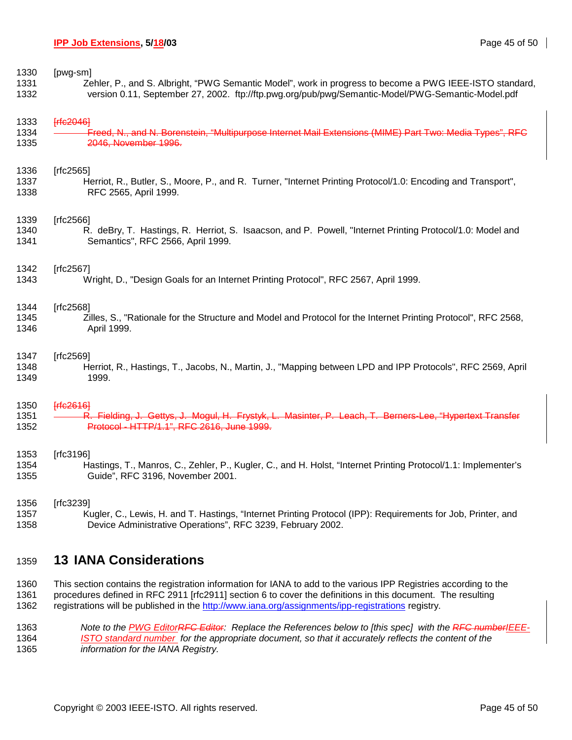1330 [pwg-sm]

1331 Zehler, P., and S. Albright, "PWG Semantic Model", work in progress to become a PWG IEEE-ISTO standard, 1332 version 0.11, September 27, 2002. ftp://ftp.pwg.org/pub/pwg/Semantic-Model/PWG-Semantic-Model.pdf

1333 **[rfc2046]** 

1334 Freed, N., and N. Borenstein, "Multipurpose Internet Mail Extensions (MIME) Part Two: Media Types", RFC 1335 2046, November 1996.

1336 [rfc2565]

1337 Herriot, R., Butler, S., Moore, P., and R. Turner, "Internet Printing Protocol/1.0: Encoding and Transport", 1338 RFC 2565, April 1999.

#### 1339 [rfc2566]

1340 R. deBry, T. Hastings, R. Herriot, S. Isaacson, and P. Powell, "Internet Printing Protocol/1.0: Model and 1341 Semantics", RFC 2566, April 1999.

#### 1342 [rfc2567]

1343 Wright, D., "Design Goals for an Internet Printing Protocol", RFC 2567, April 1999.

#### 1344 [rfc2568]

1345 Zilles, S., "Rationale for the Structure and Model and Protocol for the Internet Printing Protocol", RFC 2568, 1346 April 1999.

#### 1347 [rfc2569]

1348 Herriot, R., Hastings, T., Jacobs, N., Martin, J., "Mapping between LPD and IPP Protocols", RFC 2569, April 1349 1999.

#### 1350 [rfc2616]

1351 <del>- R. Fielding, J. Gettys, J. Mogul, H. Frystyk, L. Masinter, P. Leach, T. Berners-Lee, "Hypertext Transfer</del> 1352 Protocol - HTTP/1.1", RFC 2616, June 1999.

#### 1353 [rfc3196]

1354 Hastings, T., Manros, C., Zehler, P., Kugler, C., and H. Holst, "Internet Printing Protocol/1.1: Implementer's 1355 Guide", RFC 3196, November 2001.

#### 1356 [rfc3239]

1357 Kugler, C., Lewis, H. and T. Hastings, "Internet Printing Protocol (IPP): Requirements for Job, Printer, and 1358 Device Administrative Operations", RFC 3239, February 2002.

# 1359 **13 IANA Considerations**

1360 This section contains the registration information for IANA to add to the various IPP Registries according to the 1361 procedures defined in RFC 2911 [rfc2911] section 6 to cover the definitions in this document. The resulting 1362 registrations will be published in the http://www.iana.org/assignments/ipp-registrations registry.

1363 *Note to the PWG EditorRFC Editor: Replace the References below to [this spec] with the RFC numberIEEE-*1364 *ISTO standard number for the appropriate document, so that it accurately reflects the content of the*  1365 *information for the IANA Registry.*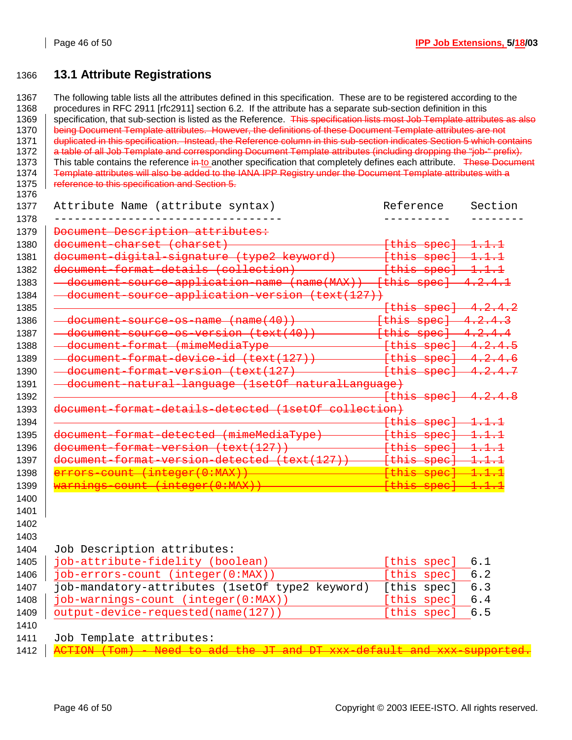# 1366 **13.1 Attribute Registrations**

1367 The following table lists all the attributes defined in this specification. These are to be registered according to the 1368 procedures in RFC 2911 [rfc2911] section 6.2. If the attribute has a separate sub-section definition in this 1369 specification, that sub-section is listed as the Reference. This specification lists most Job Template attributes as also 1370 being Document Template attributes. However, the definitions of these Document Template attributes are not 1371 duplicated in this specification. Instead, the Reference column in this sub-section indicates Section 5 which contains 1372 a table of all Job Template and corresponding Document Template attributes (including dropping the "job-" prefix). 1373 | This table contains the reference in-to another specification that completely defines each attribute. These Document 1374 Template attributes will also be added to the IANA IPP Registry under the Document Template attributes with a 1375 **Feference to this specification and Section 5.** 1376 1377 Attribute Name (attribute syntax) Reference Section 1378 ---------------------------------- ---------- -------- 1379 | Document Description attributes: 1380  $\vert$  document charset (charset)  $\vert$  .  $\vert$  .  $\vert$  .  $\vert$  .  $\vert$  .  $\vert$  .  $\vert$  .  $\vert$  .  $\vert$  .  $\vert$  .  $\vert$  .  $\vert$  .  $\vert$  .  $\vert$  .  $\vert$  .  $\vert$  .  $\vert$  .  $\vert$  .  $\vert$  .  $\vert$  .  $\vert$  .  $\vert$  .  $\vert$  .  $\vert$  .  $\vert$  .  $\vert$  .  $\$ 1381 document-digital-signature (type2 keyword) [this spec] 1.1.1 1382 document-format-details (collection) 1383  $\vert$   $\vert$   $\vert$   $\vert$   $\vert$  document source application name (name (MAX))  $\vert$  [this spec]  $\vert$  4.2.4.1 1384 <del>document source application version (text(127))</del> 1385 [this spec] 4.2.4.2 1386 | <del>- document-source-os-name (name(40)) - - - - - [this spec] 4.2.4.3</del><br>1387 | <del>- document source os version (text(40)) - - - - [this spec] 4.2.4.4</del> 1387 document-source-os-version (text(40)) [this spec] 4.2.4.4 1388 dd <del>- document-format (mimeMediaType -</del> 1389 document-format-device-id (text(127)) [this spec] 4.2.4.6 1390 document-format-version (text(127) [this spec] 4.2.4.7 1391 document natural language (1setOf naturalLanguage) 1392 [this spec] 4.2.4.8 1393 document-format-details-detected (1setOf collection) 1394 [this spec] 1.1.1 1395 document-format-detected (mimeMediaType) [this spec] 1.1.1 1396 | document-format-version (text(127)) - This spece (this spec) 1397 | document-format-version-detected (text(127)) 1398 errors-count (integer(0:MAX)) [this spec] 1.1.1 1399 <mark>warnings-count</mark> 1400 1401 1402 1403 1404 Job Description attributes: 1405 | job-attribute-fidelity (boolean) [this spec] 6.1 1406 job-errors-count (integer(0:MAX)) [this spec] 6.2 1407 job-mandatory-attributes (1setOf type2 keyword) [this spec] 6.3 1408 job-warnings-count (integer(0:MAX)) [this spec] 6.4 1409 output-device-requested(name(127)) [this spec] 6.5 1410 1411 Job Template attributes: 1412 | <del>ACTION (Tom) - Need to add the JT and</del>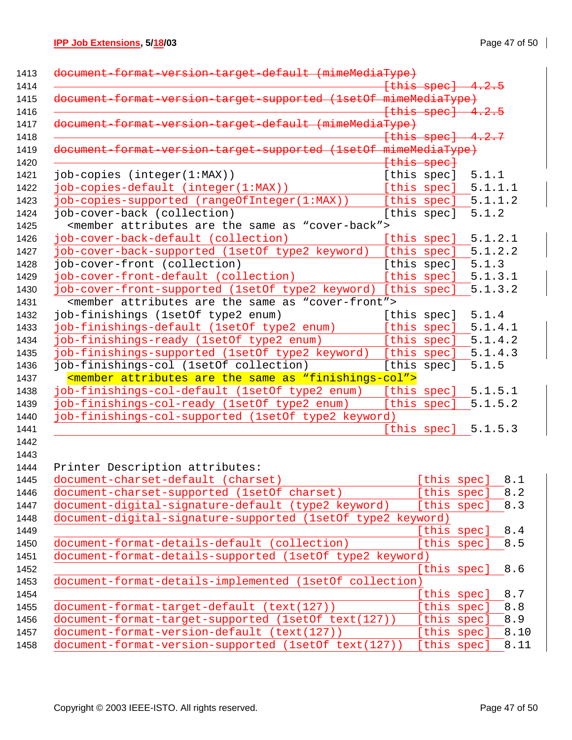# **IPP Job Extensions, 5/18/03** Page 47 of 50

| document format version target default (mimeMediaType)                          |                        |                       |      |
|---------------------------------------------------------------------------------|------------------------|-----------------------|------|
|                                                                                 | <del>[this spec]</del> |                       |      |
| version-target-supported (1setOf mimeMediaType)                                 |                        |                       |      |
|                                                                                 |                        | $[this speed]$ 4.2.5  |      |
| document-format-version-target-default (mimeMediaType)                          |                        |                       |      |
|                                                                                 | [this spec]            | 4.2.7                 |      |
| version-target-supported (1setOf mimeMediaType)<br>document-format              |                        |                       |      |
|                                                                                 | {this spec}            |                       |      |
| job-copies (integer(1:MAX))                                                     | [this spec]            | 5.1.1                 |      |
| job-copies-default (integer(1:MAX))                                             |                        | [this spec] $5.1.1.1$ |      |
| job-copies-supported (rangeOfInteger(1:MAX))                                    |                        | [this spec] $5.1.1.2$ |      |
| job-cover-back (collection)                                                     | [this spec]            | 5.1.2                 |      |
| <member "cover-back"="" are="" as="" attributes="" same="" the=""></member>     |                        |                       |      |
| job-cover-back-default (collection)                                             | [this spec]            | 5.1.2.1               |      |
| job-cover-back-supported (1setOf type2 keyword)                                 | [this spec]            | 5.1.2.2               |      |
| job-cover-front (collection)                                                    | [this spec]            | 5.1.3                 |      |
| job-cover-front-default (collection)                                            | [this spec]            | 5.1.3.1               |      |
| job-cover-front-supported (1setOf type2 keyword) [this spec]                    |                        | 5.1.3.2               |      |
| <member "cover-front"="" are="" as="" attributes="" same="" the=""></member>    |                        |                       |      |
| job-finishings (1setOf type2 enum)                                              | [this spec]            | 5.1.4                 |      |
| job-finishings-default (1setOf type2 enum)                                      | [this spec]            | 5.1.4.1               |      |
| job-finishings-ready (1setOf type2 enum)                                        | [this spec]            | 5.1.4.2               |      |
| job-finishings-supported (1setOf type2 keyword)                                 | [this spec]            | 5.1.4.3               |      |
| job-finishings-col (1setOf collection)                                          | [this spec]            | 5.1.5                 |      |
| <member "finishings-col"="" are="" as="" attributes="" same="" the=""></member> |                        |                       |      |
| job-finishings-col-default (1setOf type2 enum)                                  | [this spec]            | 5.1.5.1               |      |
| job-finishings-col-ready (1setOf type2 enum)                                    | [this spec]            | 5.1.5.2               |      |
| job-finishings-col-supported (1setOf type2 keyword)                             |                        |                       |      |
|                                                                                 |                        | [this spec] $5.1.5.3$ |      |
|                                                                                 |                        |                       |      |
|                                                                                 |                        |                       |      |
| Printer Description attributes:                                                 |                        |                       |      |
| document-charset-default (charset)                                              |                        | [this spec]           | 8.1  |
| document-charset-supported (1setOf charset)                                     |                        | [this spec]           | 8.2  |
| document-digital-signature-default (type2 keyword)                              |                        | [this spec]           | 8.3  |
| document-digital-signature-supported (lsetOf type2 keyword)                     |                        |                       |      |
|                                                                                 |                        | [this spec]           | 8.4  |
| document-format-details-default (collection)                                    |                        | [this spec]           | 8.5  |
| document-format-details-supported (lsetOf type2 keyword)                        |                        |                       |      |
|                                                                                 |                        | [this spec]           | 8.6  |
| document-format-details-implemented (1setOf collection)                         |                        |                       |      |
|                                                                                 |                        | [this spec]           | 8.7  |
| document-format-target-default (text(127))                                      |                        | [this spec]           | 8.8  |
| document-format-target-supported (1setOf text(127))                             |                        | [this spec]           | 8.9  |
| document-format-version-default (text(127))                                     |                        | [this spec]           | 8.10 |
| document-format-version-supported (1setOf text(127))                            |                        | [this spec]           | 8.11 |
|                                                                                 |                        |                       |      |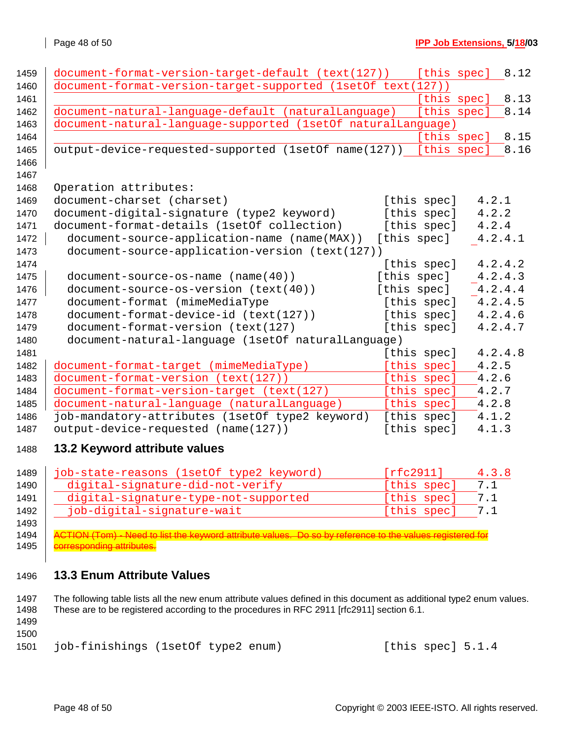| 1459 | document-format-version-target-default (text(127))               | [this spec] | 8.12    |
|------|------------------------------------------------------------------|-------------|---------|
| 1460 | document-format-version-target-supported (1setOf text(127))      |             |         |
| 1461 |                                                                  | [this spec] | 8.13    |
| 1462 | document-natural-language-default (naturalLanguage)              | [this spec] | 8.14    |
| 1463 | document-natural-language-supported (1setOf naturalLanguage)     |             |         |
| 1464 |                                                                  | [this spec] | 8.15    |
| 1465 | output-device-requested-supported (1setOf name(127)) [this spec] |             | 8.16    |
| 1466 |                                                                  |             |         |
| 1467 |                                                                  |             |         |
| 1468 | Operation attributes:                                            |             |         |
| 1469 | document-charset (charset)                                       | [this spec] | 4.2.1   |
| 1470 | document-digital-signature (type2 keyword)                       | [this spec] | 4.2.2   |
| 1471 | document-format-details (1setOf collection)                      | [this spec] | 4.2.4   |
| 1472 | document-source-application-name (name(MAX))                     | [this spec] | 4.2.4.1 |
| 1473 | document-source-application-version (text(127))                  |             |         |
| 1474 |                                                                  | [this spec] | 4.2.4.2 |
| 1475 | document-source-os-name (name(40))                               | [this spec] | 4.2.4.3 |
| 1476 | document-source-os-version (text(40))                            | [this spec] | 4.2.4.4 |
| 1477 | document-format (mimeMediaType                                   | [this spec] | 4.2.4.5 |
| 1478 | document-format-device-id (text(127))                            | [this spec] | 4.2.4.6 |
| 1479 | document-format-version (text(127)                               | [this spec] | 4.2.4.7 |
| 1480 | document-natural-language (1setOf naturalLanguage)               |             |         |
| 1481 |                                                                  | [this spec] | 4.2.4.8 |
| 1482 | document-format-target (mimeMediaType)                           | [this spec] | 4.2.5   |
| 1483 | document-format-version (text(127))                              | [this spec] | 4.2.6   |
| 1484 | document-format-version-target (text(127)                        | [this spec] | 4.2.7   |
| 1485 | document-natural-language (naturalLanguage)                      | [this spec] | 4.2.8   |
| 1486 | job-mandatory-attributes (1setOf type2 keyword)                  | [this spec] | 4.1.2   |
| 1487 | output-device-requested (name(127))                              | [this spec] | 4.1.3   |
| 1488 | 13.2 Keyword attribute values                                    |             |         |
|      |                                                                  |             |         |

| 1489 | job-state-reasons (1setOf type2 keyword) | [rfc2911]   | 4.3.8 |
|------|------------------------------------------|-------------|-------|
| 1490 | digital-signature-did-not-verify         | [this spec] | 7.1   |
| 1491 | digital-signature-type-not-supported     | [this spec] | 7.1   |
| 1492 | job-digital-signature-wait               | [this spec] | 7.1   |
| 1493 |                                          |             |       |

1494 | ACTION (Tom) - Need to list the keyword attribute values. Do so by reference to the values registered for **corresponding attributes.** 

# **13.3 Enum Attribute Values**

1497 The following table lists all the new enum attribute values defined in this document as additional type2 enum values. 1498 These are to be registered according to the procedures in RFC 2911 [rfc2911] section 6.1.

 

job-finishings (1setOf type2 enum) [this spec] 5.1.4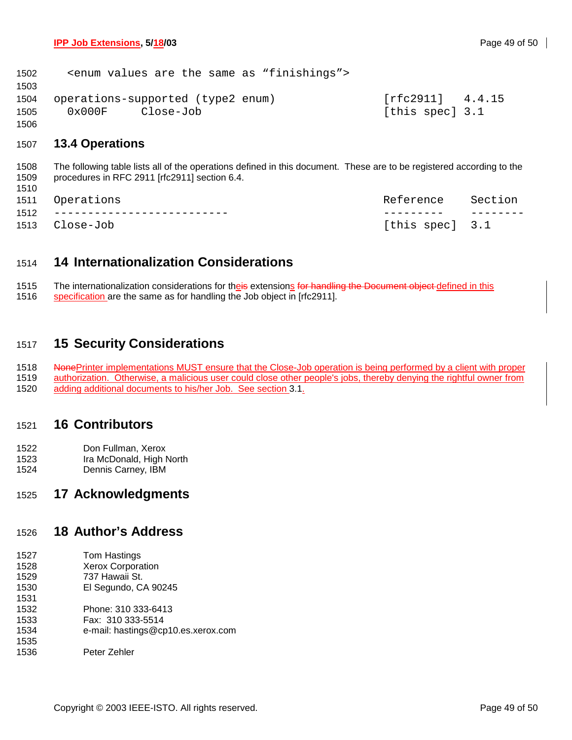| 1502 |                  | <enum "finishings"="" are="" as="" same="" the="" values=""></enum> |                    |  |
|------|------------------|---------------------------------------------------------------------|--------------------|--|
| 1503 |                  |                                                                     |                    |  |
| 1504 |                  | operations-supported (type2 enum)                                   | $[rfc2911]$ 4.4.15 |  |
| 1505 | $0 \times 000$ F | Close-Job                                                           | [this spec] 3.1    |  |
| 1506 |                  |                                                                     |                    |  |

### 1507 **13.4 Operations**

1510

1508 The following table lists all of the operations defined in this document. These are to be registered according to the 1509 procedures in RFC 2911 [rfc2911] section 6.4.

|      | 1511 Operations               | Reference Section |  |
|------|-------------------------------|-------------------|--|
| 1512 | _____________________________ |                   |  |
|      | 1513 Close-Job                | [this spec] 3.1   |  |

# 1514 **14 Internationalization Considerations**

1515 The internationalization considerations for theis extensions for handling the Document object defined in this 1516 specification are the same as for handling the Job object in [rfc2911].

# 1517 **15 Security Considerations**

1518 NonePrinter implementations MUST ensure that the Close-Job operation is being performed by a client with proper 1519 authorization. Otherwise, a malicious user could close other people's jobs, thereby denying the rightful owner from 1520 adding additional documents to his/her Job. See section 3.1.

# 1521 **16 Contributors**

- 1522 Don Fullman, Xerox
- 1523 Ira McDonald, High North
- 1524 Dennis Carney, IBM

### 1525 **17 Acknowledgments**

# 1526 **18 Author's Address**

- 1527 Tom Hastings
- 1528 Xerox Corporation 1529 737 Hawaii St.
- 1530 El Segundo, CA 90245
- 1531 1532 Phone: 310 333-6413
- 1533 Fax: 310 333-5514
- 1534 e-mail: hastings@cp10.es.xerox.com
- 1535
- 1536 Peter Zehler